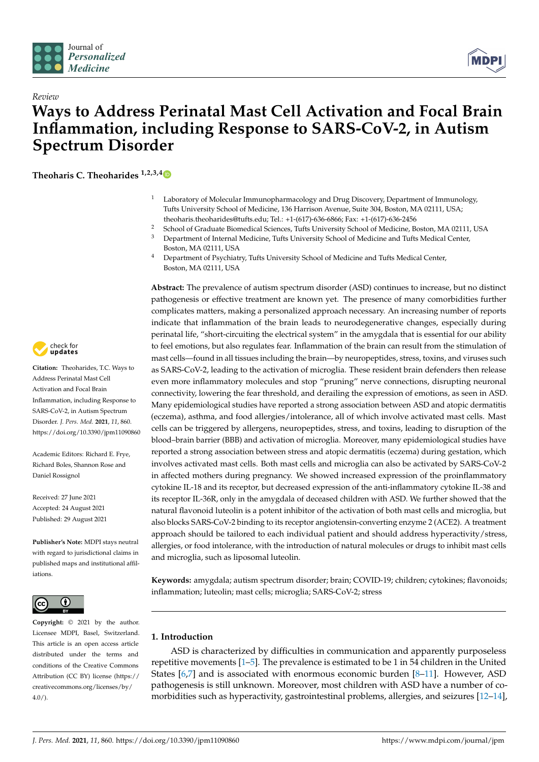



# *Review* **Ways to Address Perinatal Mast Cell Activation and Focal Brain Inflammation, including Response to SARS-CoV-2, in Autism Spectrum Disorder**

**Theoharis C. Theoharides 1,2,3,[4](https://orcid.org/0000-0002-1598-460X)**

- <sup>1</sup> Laboratory of Molecular Immunopharmacology and Drug Discovery, Department of Immunology, Tufts University School of Medicine, 136 Harrison Avenue, Suite 304, Boston, MA 02111, USA; theoharis.theoharides@tufts.edu; Tel.: +1-(617)-636-6866; Fax: +1-(617)-636-2456
- <sup>2</sup> School of Graduate Biomedical Sciences, Tufts University School of Medicine, Boston, MA 02111, USA<br><sup>3</sup> Department of Internal Madisine, Tufts University School of Madisine and Tufts Madisel Center
- <sup>3</sup> Department of Internal Medicine, Tufts University School of Medicine and Tufts Medical Center, Boston, MA 02111, USA
- <sup>4</sup> Department of Psychiatry, Tufts University School of Medicine and Tufts Medical Center, Boston, MA 02111, USA

**Abstract:** The prevalence of autism spectrum disorder (ASD) continues to increase, but no distinct pathogenesis or effective treatment are known yet. The presence of many comorbidities further complicates matters, making a personalized approach necessary. An increasing number of reports indicate that inflammation of the brain leads to neurodegenerative changes, especially during perinatal life, "short-circuiting the electrical system" in the amygdala that is essential for our ability to feel emotions, but also regulates fear. Inflammation of the brain can result from the stimulation of mast cells—found in all tissues including the brain—by neuropeptides, stress, toxins, and viruses such as SARS-CoV-2, leading to the activation of microglia. These resident brain defenders then release even more inflammatory molecules and stop "pruning" nerve connections, disrupting neuronal connectivity, lowering the fear threshold, and derailing the expression of emotions, as seen in ASD. Many epidemiological studies have reported a strong association between ASD and atopic dermatitis (eczema), asthma, and food allergies/intolerance, all of which involve activated mast cells. Mast cells can be triggered by allergens, neuropeptides, stress, and toxins, leading to disruption of the blood–brain barrier (BBB) and activation of microglia. Moreover, many epidemiological studies have reported a strong association between stress and atopic dermatitis (eczema) during gestation, which involves activated mast cells. Both mast cells and microglia can also be activated by SARS-CoV-2 in affected mothers during pregnancy. We showed increased expression of the proinflammatory cytokine IL-18 and its receptor, but decreased expression of the anti-inflammatory cytokine IL-38 and its receptor IL-36R, only in the amygdala of deceased children with ASD. We further showed that the natural flavonoid luteolin is a potent inhibitor of the activation of both mast cells and microglia, but also blocks SARS-CoV-2 binding to its receptor angiotensin-converting enzyme 2 (ACE2). A treatment approach should be tailored to each individual patient and should address hyperactivity/stress, allergies, or food intolerance, with the introduction of natural molecules or drugs to inhibit mast cells and microglia, such as liposomal luteolin.

**Keywords:** amygdala; autism spectrum disorder; brain; COVID-19; children; cytokines; flavonoids; inflammation; luteolin; mast cells; microglia; SARS-CoV-2; stress

# **1. Introduction**

ASD is characterized by difficulties in communication and apparently purposeless repetitive movements [\[1–](#page-10-0)[5\]](#page-10-1). The prevalence is estimated to be 1 in 54 children in the United States [\[6](#page-10-2)[,7\]](#page-10-3) and is associated with enormous economic burden [\[8–](#page-10-4)[11\]](#page-10-5). However, ASD pathogenesis is still unknown. Moreover, most children with ASD have a number of comorbidities such as hyperactivity, gastrointestinal problems, allergies, and seizures [\[12–](#page-10-6)[14\]](#page-10-7),



**Citation:** Theoharides, T.C. Ways to Address Perinatal Mast Cell Activation and Focal Brain Inflammation, including Response to SARS-CoV-2, in Autism Spectrum Disorder. *J. Pers. Med.* **2021**, *11*, 860. <https://doi.org/10.3390/jpm11090860>

Academic Editors: Richard E. Frye, Richard Boles, Shannon Rose and Daniel Rossignol

Received: 27 June 2021 Accepted: 24 August 2021 Published: 29 August 2021

**Publisher's Note:** MDPI stays neutral with regard to jurisdictional claims in published maps and institutional affiliations.



**Copyright:** © 2021 by the author. Licensee MDPI, Basel, Switzerland. This article is an open access article distributed under the terms and conditions of the Creative Commons Attribution (CC BY) license (https:/[/](https://creativecommons.org/licenses/by/4.0/) [creativecommons.org/licenses/by/](https://creativecommons.org/licenses/by/4.0/)  $4.0/$ ).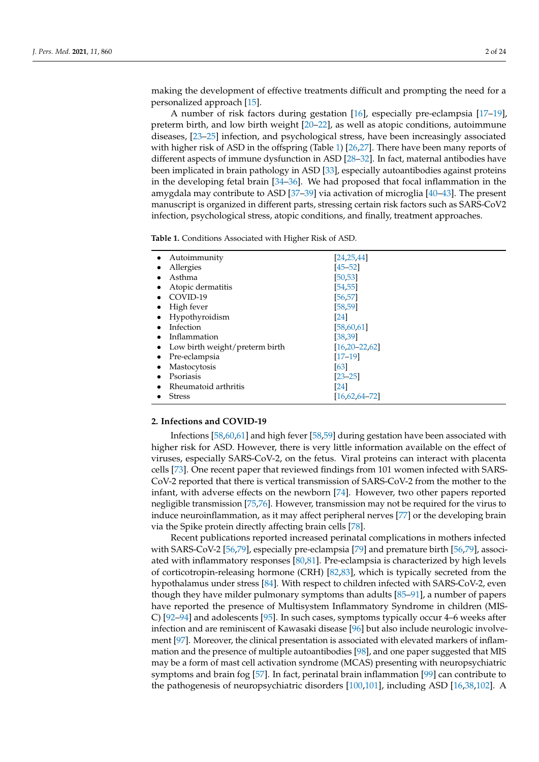making the development of effective treatments difficult and prompting the need for a personalized approach [\[15\]](#page-10-8).

A number of risk factors during gestation [\[16\]](#page-10-9), especially pre-eclampsia [\[17–](#page-10-10)[19\]](#page-10-11), preterm birth, and low birth weight [\[20](#page-10-12)[–22\]](#page-10-13), as well as atopic conditions, autoimmune diseases, [\[23](#page-10-14)[–25\]](#page-10-15) infection, and psychological stress, have been increasingly associated with higher risk of ASD in the offspring (Table [1\)](#page-1-0) [\[26](#page-10-16)[,27\]](#page-10-17). There have been many reports of different aspects of immune dysfunction in ASD [\[28](#page-11-0)[–32\]](#page-11-1). In fact, maternal antibodies have been implicated in brain pathology in ASD [\[33\]](#page-11-2), especially autoantibodies against proteins in the developing fetal brain [\[34–](#page-11-3)[36\]](#page-11-4). We had proposed that focal inflammation in the amygdala may contribute to ASD [\[37](#page-11-5)[–39\]](#page-11-6) via activation of microglia [\[40](#page-11-7)[–43\]](#page-11-8). The present manuscript is organized in different parts, stressing certain risk factors such as SARS-CoV2 infection, psychological stress, atopic conditions, and finally, treatment approaches.

<span id="page-1-0"></span>

| Table 1. Conditions Associated with Higher Risk of ASD. |  |  |  |
|---------------------------------------------------------|--|--|--|
|---------------------------------------------------------|--|--|--|

| Autoimmunity<br>٠                   | [24, 25, 44]        |
|-------------------------------------|---------------------|
| Allergies<br>٠                      | $[45 - 52]$         |
| Asthma                              | [50, 53]            |
| Atopic dermatitis                   | [54, 55]            |
| COVID-19                            | [56, 57]            |
| High fever<br>٠                     | [58, 59]            |
| Hypothyroidism<br>٠                 | [24]                |
| Infection                           | [58, 60, 61]        |
| Inflammation                        | [38, 39]            |
| Low birth weight/preterm birth<br>٠ | $[16, 20 - 22, 62]$ |
| Pre-eclampsia<br>٠                  | $[17-19]$           |
| Mastocytosis                        | [63]                |
| Psoriasis                           | $[23 - 25]$         |
| Rheumatoid arthritis                | [24]                |
| <b>Stress</b>                       | $[16, 62, 64 - 72]$ |

## **2. Infections and COVID-19**

Infections [\[58](#page-12-1)[,60](#page-12-3)[,61\]](#page-12-4) and high fever [\[58,](#page-12-1)[59\]](#page-12-2) during gestation have been associated with higher risk for ASD. However, there is very little information available on the effect of viruses, especially SARS-CoV-2, on the fetus. Viral proteins can interact with placenta cells [\[73\]](#page-12-9). One recent paper that reviewed findings from 101 women infected with SARS-CoV-2 reported that there is vertical transmission of SARS-CoV-2 from the mother to the infant, with adverse effects on the newborn [\[74\]](#page-12-10). However, two other papers reported negligible transmission [\[75,](#page-12-11)[76\]](#page-12-12). However, transmission may not be required for the virus to induce neuroinflammation, as it may affect peripheral nerves [\[77\]](#page-12-13) or the developing brain via the Spike protein directly affecting brain cells [\[78\]](#page-12-14).

Recent publications reported increased perinatal complications in mothers infected with SARS-CoV-2 [\[56,](#page-11-16)[79\]](#page-12-15), especially pre-eclampsia [\[79\]](#page-12-15) and premature birth [\[56](#page-11-16)[,79\]](#page-12-15), associated with inflammatory responses [\[80,](#page-12-16)[81\]](#page-12-17). Pre-eclampsia is characterized by high levels of corticotropin-releasing hormone (CRH) [\[82](#page-12-18)[,83\]](#page-13-0), which is typically secreted from the hypothalamus under stress [\[84\]](#page-13-1). With respect to children infected with SARS-CoV-2, even though they have milder pulmonary symptoms than adults [\[85–](#page-13-2)[91\]](#page-13-3), a number of papers have reported the presence of Multisystem Inflammatory Syndrome in children (MIS-C) [\[92–](#page-13-4)[94\]](#page-13-5) and adolescents [\[95\]](#page-13-6). In such cases, symptoms typically occur 4–6 weeks after infection and are reminiscent of Kawasaki disease [\[96\]](#page-13-7) but also include neurologic involvement [\[97\]](#page-13-8). Moreover, the clinical presentation is associated with elevated markers of inflammation and the presence of multiple autoantibodies [\[98\]](#page-13-9), and one paper suggested that MIS may be a form of mast cell activation syndrome (MCAS) presenting with neuropsychiatric symptoms and brain fog [\[57\]](#page-12-0). In fact, perinatal brain inflammation [\[99\]](#page-13-10) can contribute to the pathogenesis of neuropsychiatric disorders [\[100,](#page-13-11)[101\]](#page-13-12), including ASD [\[16,](#page-10-9)[38,](#page-11-17)[102\]](#page-13-13). A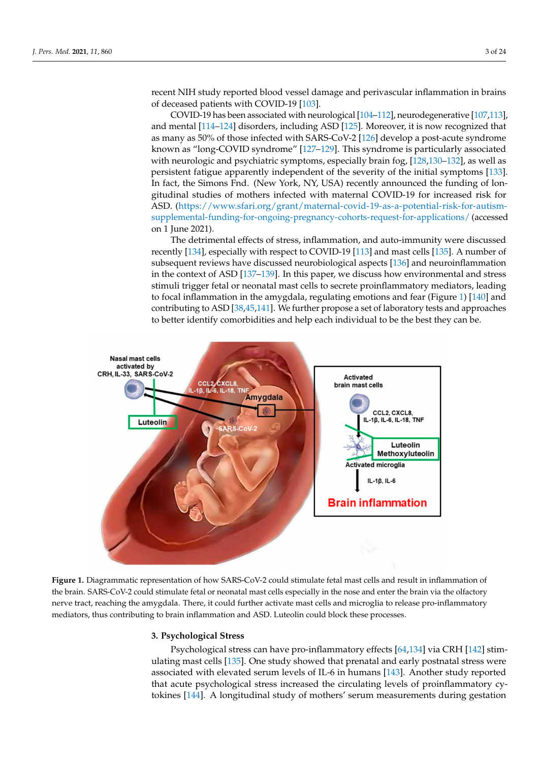recent NIH study reported blood vessel damage and perivascular inflammation in brains of deceased patients with COVID-19 [\[103\]](#page-13-14).

COVID-19 has been associated with neurological [\[104](#page-13-15)[–112\]](#page-14-0), neurodegenerative [\[107](#page-13-16)[,113\]](#page-14-1), and mental [\[114–](#page-14-2)[124\]](#page-14-3) disorders, including ASD [\[125\]](#page-14-4). Moreover, it is now recognized that as many as 50% of those infected with SARS-CoV-2 [\[126\]](#page-14-5) develop a post-acute syndrome known as "long-COVID syndrome" [\[127](#page-14-6)[–129\]](#page-14-7). This syndrome is particularly associated with neurologic and psychiatric symptoms, especially brain fog, [\[128,](#page-14-8)[130–](#page-14-9)[132\]](#page-14-10), as well as persistent fatigue apparently independent of the severity of the initial symptoms [\[133\]](#page-14-11). In fact, the Simons Fnd. (New York, NY, USA) recently announced the funding of longitudinal studies of mothers infected with maternal COVID-19 for increased risk for ASD. [\(https://www.sfari.org/grant/maternal-covid-19-as-a-potential-risk-for-autism](https://www.sfari.org/grant/maternal-covid-19-as-a-potential-risk-for-autism-supplemental-funding-for-ongoing-pregnancy-cohorts-request-for-applications/)[supplemental-funding-for-ongoing-pregnancy-cohorts-request-for-applications/](https://www.sfari.org/grant/maternal-covid-19-as-a-potential-risk-for-autism-supplemental-funding-for-ongoing-pregnancy-cohorts-request-for-applications/) (accessed on 1 June 2021).

The detrimental effects of stress, inflammation, and auto-immunity were discussed recently [\[134\]](#page-14-12), especially with respect to COVID-19 [\[113\]](#page-14-1) and mast cells [\[135\]](#page-14-13). A number of subsequent reviews have discussed neurobiological aspects [\[136\]](#page-14-14) and neuroinflammation in the context of ASD [\[137](#page-14-15)[–139\]](#page-14-16). In this paper, we discuss how environmental and stress stimuli trigger fetal or neonatal mast cells to secrete proinflammatory mediators, leading to focal inflammation in the amygdala, regulating emotions and fear (Figure [1\)](#page-2-0) [\[140\]](#page-14-17) and contributing to ASD [\[38](#page-11-17)[,45,](#page-11-10)[141\]](#page-15-0). We further propose a set of laboratory tests and approaches to better identify comorbidities and help each individual to be the best they can be.

<span id="page-2-0"></span>

**Figure 1.** Diagrammatic representation of how SARS-CoV-2 could stimulate fetal mast cells and result in inflammation of the brain. SARS-CoV-2 could stimulate fetal or neonatal mast cells especially in the nose and enter the brain via the olfactory nerve tract, reaching the amygdala. There, it could further activate mast cells and microglia to release pro-inflammatory mediators, thus contributing to brain inflammation and ASD. Luteolin could block these processes.

## **3. Psychological Stress**

Psychological stress can have pro-inflammatory effects [\[64](#page-12-7)[,134\]](#page-14-12) via CRH [\[142\]](#page-15-1) stimulating mast cells [\[135\]](#page-14-13). One study showed that prenatal and early postnatal stress were associated with elevated serum levels of IL-6 in humans [\[143\]](#page-15-2). Another study reported that acute psychological stress increased the circulating levels of proinflammatory cytokines [\[144\]](#page-15-3). A longitudinal study of mothers' serum measurements during gestation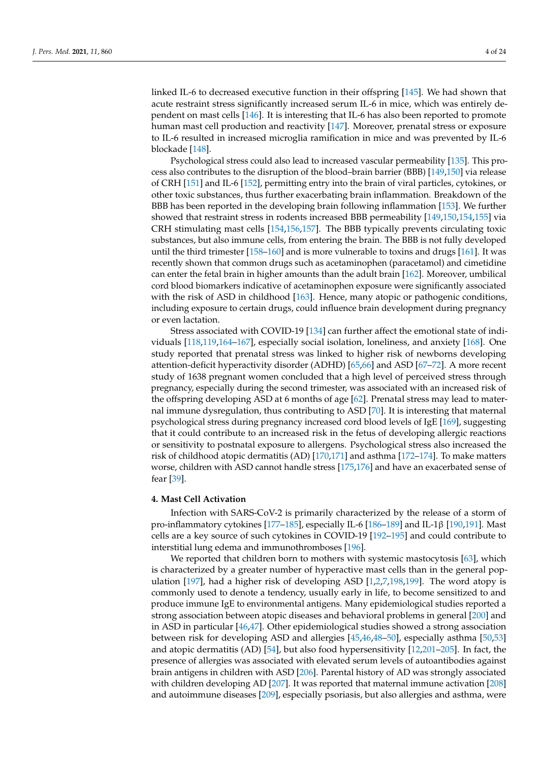linked IL-6 to decreased executive function in their offspring [\[145\]](#page-15-4). We had shown that acute restraint stress significantly increased serum IL-6 in mice, which was entirely dependent on mast cells [\[146\]](#page-15-5). It is interesting that IL-6 has also been reported to promote human mast cell production and reactivity [\[147\]](#page-15-6). Moreover, prenatal stress or exposure to IL-6 resulted in increased microglia ramification in mice and was prevented by IL-6 blockade [\[148\]](#page-15-7).

Psychological stress could also lead to increased vascular permeability [\[135\]](#page-14-13). This process also contributes to the disruption of the blood–brain barrier (BBB) [\[149](#page-15-8)[,150\]](#page-15-9) via release of CRH [\[151\]](#page-15-10) and IL-6 [\[152\]](#page-15-11), permitting entry into the brain of viral particles, cytokines, or other toxic substances, thus further exacerbating brain inflammation. Breakdown of the BBB has been reported in the developing brain following inflammation [\[153\]](#page-15-12). We further showed that restraint stress in rodents increased BBB permeability [\[149](#page-15-8)[,150](#page-15-9)[,154](#page-15-13)[,155\]](#page-15-14) via CRH stimulating mast cells [\[154](#page-15-13)[,156](#page-15-15)[,157\]](#page-15-16). The BBB typically prevents circulating toxic substances, but also immune cells, from entering the brain. The BBB is not fully developed until the third trimester [\[158](#page-15-17)[–160\]](#page-15-18) and is more vulnerable to toxins and drugs [\[161\]](#page-15-19). It was recently shown that common drugs such as acetaminophen (paracetamol) and cimetidine can enter the fetal brain in higher amounts than the adult brain [\[162\]](#page-15-20). Moreover, umbilical cord blood biomarkers indicative of acetaminophen exposure were significantly associated with the risk of ASD in childhood [\[163\]](#page-15-21). Hence, many atopic or pathogenic conditions, including exposure to certain drugs, could influence brain development during pregnancy or even lactation.

Stress associated with COVID-19 [\[134\]](#page-14-12) can further affect the emotional state of individuals [\[118,](#page-14-18)[119,](#page-14-19)[164–](#page-15-22)[167\]](#page-16-0), especially social isolation, loneliness, and anxiety [\[168\]](#page-16-1). One study reported that prenatal stress was linked to higher risk of newborns developing attention-deficit hyperactivity disorder (ADHD) [\[65,](#page-12-19)[66\]](#page-12-20) and ASD [\[67](#page-12-21)[–72\]](#page-12-8). A more recent study of 1638 pregnant women concluded that a high level of perceived stress through pregnancy, especially during the second trimester, was associated with an increased risk of the offspring developing ASD at 6 months of age [\[62\]](#page-12-5). Prenatal stress may lead to maternal immune dysregulation, thus contributing to ASD [\[70\]](#page-12-22). It is interesting that maternal psychological stress during pregnancy increased cord blood levels of IgE [\[169\]](#page-16-2), suggesting that it could contribute to an increased risk in the fetus of developing allergic reactions or sensitivity to postnatal exposure to allergens. Psychological stress also increased the risk of childhood atopic dermatitis (AD) [\[170](#page-16-3)[,171\]](#page-16-4) and asthma [\[172](#page-16-5)[–174\]](#page-16-6). To make matters worse, children with ASD cannot handle stress [\[175,](#page-16-7)[176\]](#page-16-8) and have an exacerbated sense of fear [\[39\]](#page-11-6).

## **4. Mast Cell Activation**

Infection with SARS-CoV-2 is primarily characterized by the release of a storm of pro-inflammatory cytokines [\[177–](#page-16-9)[185\]](#page-16-10), especially IL-6 [\[186–](#page-16-11)[189\]](#page-16-12) and IL-1β [\[190](#page-16-13)[,191\]](#page-16-14). Mast cells are a key source of such cytokines in COVID-19 [\[192–](#page-16-15)[195\]](#page-17-0) and could contribute to interstitial lung edema and immunothromboses [\[196\]](#page-17-1).

We reported that children born to mothers with systemic mastocytosis [\[63\]](#page-12-6), which is characterized by a greater number of hyperactive mast cells than in the general population [\[197\]](#page-17-2), had a higher risk of developing ASD [\[1](#page-10-0)[,2](#page-10-19)[,7](#page-10-3)[,198](#page-17-3)[,199\]](#page-17-4). The word atopy is commonly used to denote a tendency, usually early in life, to become sensitized to and produce immune IgE to environmental antigens. Many epidemiological studies reported a strong association between atopic diseases and behavioral problems in general [\[200\]](#page-17-5) and in ASD in particular [\[46,](#page-11-18)[47\]](#page-11-19). Other epidemiological studies showed a strong association between risk for developing ASD and allergies [\[45](#page-11-10)[,46](#page-11-18)[,48](#page-11-20)[–50\]](#page-11-12), especially asthma [\[50](#page-11-12)[,53\]](#page-11-13) and atopic dermatitis (AD) [\[54\]](#page-11-14), but also food hypersensitivity [\[12](#page-10-6)[,201–](#page-17-6)[205\]](#page-17-7). In fact, the presence of allergies was associated with elevated serum levels of autoantibodies against brain antigens in children with ASD [\[206\]](#page-17-8). Parental history of AD was strongly associated with children developing AD [\[207\]](#page-17-9). It was reported that maternal immune activation [\[208\]](#page-17-10) and autoimmune diseases [\[209\]](#page-17-11), especially psoriasis, but also allergies and asthma, were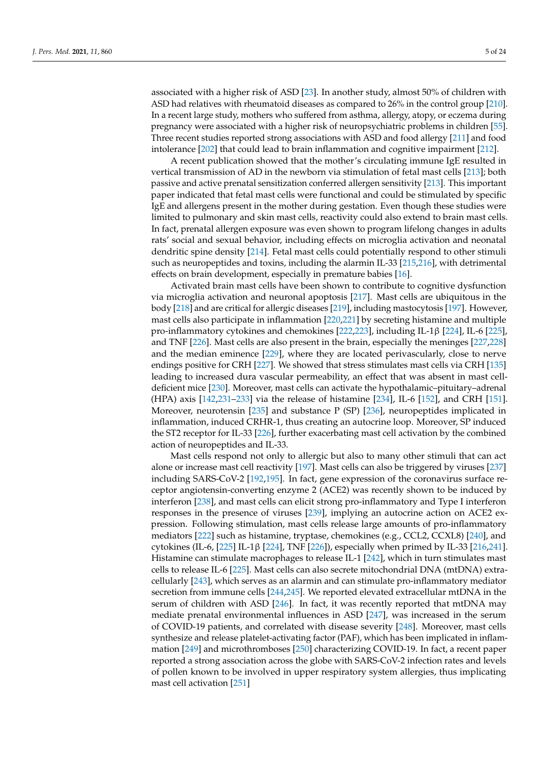associated with a higher risk of ASD [\[23\]](#page-10-14). In another study, almost 50% of children with ASD had relatives with rheumatoid diseases as compared to 26% in the control group [\[210\]](#page-17-12). In a recent large study, mothers who suffered from asthma, allergy, atopy, or eczema during pregnancy were associated with a higher risk of neuropsychiatric problems in children [\[55\]](#page-11-15). Three recent studies reported strong associations with ASD and food allergy [\[211\]](#page-17-13) and food intolerance [\[202\]](#page-17-14) that could lead to brain inflammation and cognitive impairment [\[212\]](#page-17-15).

A recent publication showed that the mother's circulating immune IgE resulted in vertical transmission of AD in the newborn via stimulation of fetal mast cells [\[213\]](#page-17-16); both passive and active prenatal sensitization conferred allergen sensitivity [\[213\]](#page-17-16). This important paper indicated that fetal mast cells were functional and could be stimulated by specific IgE and allergens present in the mother during gestation. Even though these studies were limited to pulmonary and skin mast cells, reactivity could also extend to brain mast cells. In fact, prenatal allergen exposure was even shown to program lifelong changes in adults rats' social and sexual behavior, including effects on microglia activation and neonatal dendritic spine density [\[214\]](#page-17-17). Fetal mast cells could potentially respond to other stimuli such as neuropeptides and toxins, including the alarmin IL-33 [\[215,](#page-17-18)[216\]](#page-17-19), with detrimental effects on brain development, especially in premature babies [\[16\]](#page-10-9).

Activated brain mast cells have been shown to contribute to cognitive dysfunction via microglia activation and neuronal apoptosis [\[217\]](#page-17-20). Mast cells are ubiquitous in the body [\[218\]](#page-17-21) and are critical for allergic diseases [\[219\]](#page-17-22), including mastocytosis [\[197\]](#page-17-2). However, mast cells also participate in inflammation [\[220,](#page-17-23)[221\]](#page-17-24) by secreting histamine and multiple pro-inflammatory cytokines and chemokines [\[222,](#page-18-0)[223\]](#page-18-1), including IL-1β [\[224\]](#page-18-2), IL-6 [\[225\]](#page-18-3), and TNF [\[226\]](#page-18-4). Mast cells are also present in the brain, especially the meninges [\[227](#page-18-5)[,228\]](#page-18-6) and the median eminence [\[229\]](#page-18-7), where they are located perivascularly, close to nerve endings positive for CRH [\[227\]](#page-18-5). We showed that stress stimulates mast cells via CRH [\[135\]](#page-14-13) leading to increased dura vascular permeability, an effect that was absent in mast celldeficient mice [\[230\]](#page-18-8). Moreover, mast cells can activate the hypothalamic–pituitary–adrenal (HPA) axis [\[142](#page-15-1)[,231–](#page-18-9)[233\]](#page-18-10) via the release of histamine [\[234\]](#page-18-11), IL-6 [\[152\]](#page-15-11), and CRH [\[151\]](#page-15-10). Moreover, neurotensin [\[235\]](#page-18-12) and substance P (SP) [\[236\]](#page-18-13), neuropeptides implicated in inflammation, induced CRHR-1, thus creating an autocrine loop. Moreover, SP induced the ST2 receptor for IL-33 [\[226\]](#page-18-4), further exacerbating mast cell activation by the combined action of neuropeptides and IL-33.

Mast cells respond not only to allergic but also to many other stimuli that can act alone or increase mast cell reactivity [\[197\]](#page-17-2). Mast cells can also be triggered by viruses [\[237\]](#page-18-14) including SARS-CoV-2 [\[192,](#page-16-15)[195\]](#page-17-0). In fact, gene expression of the coronavirus surface receptor angiotensin-converting enzyme 2 (ACE2) was recently shown to be induced by interferon [\[238\]](#page-18-15), and mast cells can elicit strong pro-inflammatory and Type I interferon responses in the presence of viruses [\[239\]](#page-18-16), implying an autocrine action on ACE2 expression. Following stimulation, mast cells release large amounts of pro-inflammatory mediators [\[222\]](#page-18-0) such as histamine, tryptase, chemokines (e.g., CCL2, CCXL8) [\[240\]](#page-18-17), and cytokines (IL-6, [\[225\]](#page-18-3) IL-1β [\[224\]](#page-18-2), TNF [\[226\]](#page-18-4)), especially when primed by IL-33 [\[216,](#page-17-19)[241\]](#page-18-18). Histamine can stimulate macrophages to release IL-1 [\[242\]](#page-18-19), which in turn stimulates mast cells to release IL-6 [\[225\]](#page-18-3). Mast cells can also secrete mitochondrial DNA (mtDNA) extracellularly [\[243\]](#page-18-20), which serves as an alarmin and can stimulate pro-inflammatory mediator secretion from immune cells [\[244,](#page-18-21)[245\]](#page-18-22). We reported elevated extracellular mtDNA in the serum of children with ASD [\[246\]](#page-19-0). In fact, it was recently reported that mtDNA may mediate prenatal environmental influences in ASD [\[247\]](#page-19-1), was increased in the serum of COVID-19 patients, and correlated with disease severity [\[248\]](#page-19-2). Moreover, mast cells synthesize and release platelet-activating factor (PAF), which has been implicated in inflammation [\[249\]](#page-19-3) and microthromboses [\[250\]](#page-19-4) characterizing COVID-19. In fact, a recent paper reported a strong association across the globe with SARS-CoV-2 infection rates and levels of pollen known to be involved in upper respiratory system allergies, thus implicating mast cell activation [\[251\]](#page-19-5)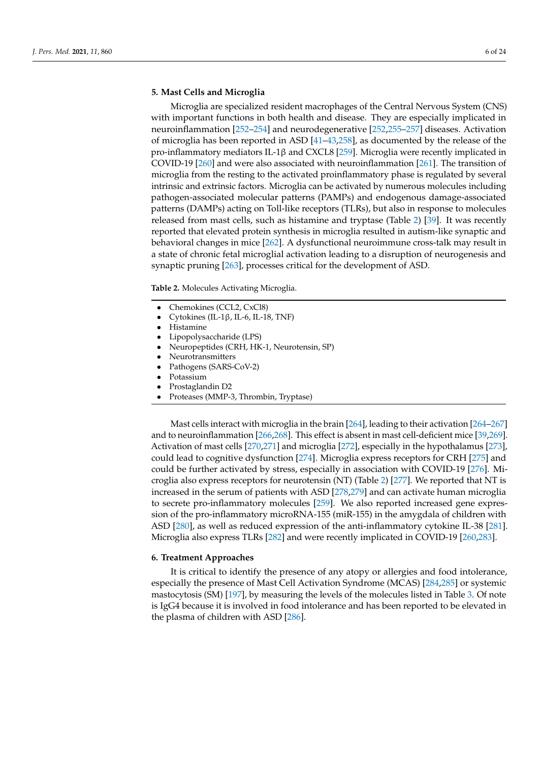## **5. Mast Cells and Microglia**

Microglia are specialized resident macrophages of the Central Nervous System (CNS) with important functions in both health and disease. They are especially implicated in neuroinflammation [\[252](#page-19-6)[–254\]](#page-19-7) and neurodegenerative [\[252,](#page-19-6)[255–](#page-19-8)[257\]](#page-19-9) diseases. Activation of microglia has been reported in ASD [\[41](#page-11-21)[–43,](#page-11-8)[258\]](#page-19-10), as documented by the release of the pro-inflammatory mediators IL-1 $\beta$  and CXCL8 [\[259\]](#page-19-11). Microglia were recently implicated in COVID-19 [\[260\]](#page-19-12) and were also associated with neuroinflammation [\[261\]](#page-19-13). The transition of microglia from the resting to the activated proinflammatory phase is regulated by several intrinsic and extrinsic factors. Microglia can be activated by numerous molecules including pathogen-associated molecular patterns (PAMPs) and endogenous damage-associated patterns (DAMPs) acting on Toll-like receptors (TLRs), but also in response to molecules released from mast cells, such as histamine and tryptase (Table [2\)](#page-5-0) [\[39\]](#page-11-6). It was recently reported that elevated protein synthesis in microglia resulted in autism-like synaptic and behavioral changes in mice [\[262\]](#page-19-14). A dysfunctional neuroimmune cross-talk may result in a state of chronic fetal microglial activation leading to a disruption of neurogenesis and synaptic pruning [\[263\]](#page-19-15), processes critical for the development of ASD.

<span id="page-5-0"></span>**Table 2.** Molecules Activating Microglia.

- Chemokines (CCL2, CxCl8)
- Cytokines (IL-1β, IL-6, IL-18, TNF)
- Histamine
- Lipopolysaccharide (LPS)
- Neuropeptides (CRH, HK-1, Neurotensin, SP)
- Neurotransmitters
- Pathogens (SARS-CoV-2)
- Potassium
- Prostaglandin D2
- Proteases (MMP-3, Thrombin, Tryptase)

Mast cells interact with microglia in the brain [\[264\]](#page-19-16), leading to their activation [\[264](#page-19-16)[–267\]](#page-19-17) and to neuroinflammation [\[266](#page-19-18)[,268\]](#page-19-19). This effect is absent in mast cell-deficient mice [\[39](#page-11-6)[,269\]](#page-19-20). Activation of mast cells [\[270](#page-19-21)[,271\]](#page-19-22) and microglia [\[272\]](#page-19-23), especially in the hypothalamus [\[273\]](#page-19-24), could lead to cognitive dysfunction [\[274\]](#page-20-0). Microglia express receptors for CRH [\[275\]](#page-20-1) and could be further activated by stress, especially in association with COVID-19 [\[276\]](#page-20-2). Microglia also express receptors for neurotensin (NT) (Table [2\)](#page-5-0) [\[277\]](#page-20-3). We reported that NT is increased in the serum of patients with ASD [\[278](#page-20-4)[,279\]](#page-20-5) and can activate human microglia to secrete pro-inflammatory molecules [\[259\]](#page-19-11). We also reported increased gene expression of the pro-inflammatory microRNA-155 (miR-155) in the amygdala of children with ASD [\[280\]](#page-20-6), as well as reduced expression of the anti-inflammatory cytokine IL-38 [\[281\]](#page-20-7). Microglia also express TLRs [\[282\]](#page-20-8) and were recently implicated in COVID-19 [\[260,](#page-19-12)[283\]](#page-20-9).

## **6. Treatment Approaches**

It is critical to identify the presence of any atopy or allergies and food intolerance, especially the presence of Mast Cell Activation Syndrome (MCAS) [\[284,](#page-20-10)[285\]](#page-20-11) or systemic mastocytosis (SM) [\[197\]](#page-17-2), by measuring the levels of the molecules listed in Table [3.](#page-6-0) Of note is IgG4 because it is involved in food intolerance and has been reported to be elevated in the plasma of children with ASD [\[286\]](#page-20-12).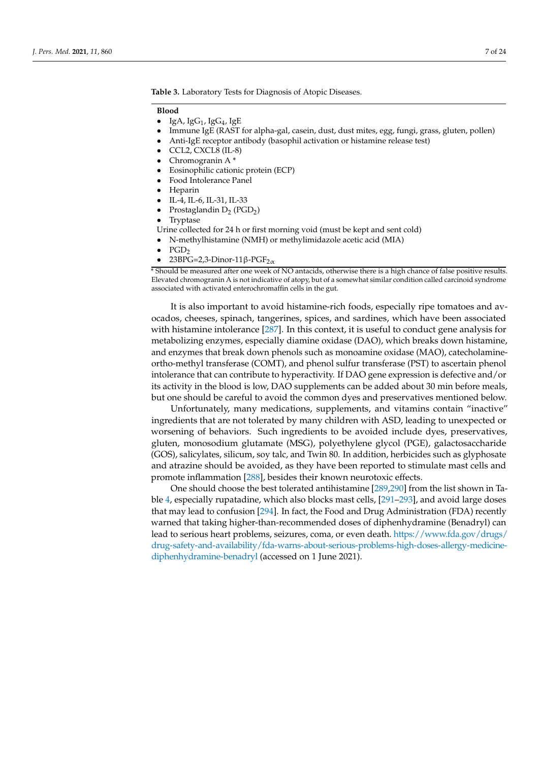<span id="page-6-0"></span>**Table 3.** Laboratory Tests for Diagnosis of Atopic Diseases.

#### **Blood**

- IgA,  $\lg G_1$ ,  $\lg G_4$ ,  $\lg E$
- Immune IgE (RAST for alpha-gal, casein, dust, dust mites, egg, fungi, grass, gluten, pollen)
- Anti-IgE receptor antibody (basophil activation or histamine release test)
- CCL2, CXCL8 (IL-8)
- Chromogranin A \*
- Eosinophilic cationic protein (ECP)
- Food Intolerance Panel
- Heparin
- IL-4, IL-6, IL-31, IL-33
- Prostaglandin  $D_2$  (PGD<sub>2</sub>)
- **Tryptase**

Urine collected for 24 h or first morning void (must be kept and sent cold)

- N-methylhistamine (NMH) or methylimidazole acetic acid (MIA)
- $PGD<sub>2</sub>$
- 23BPG=2,3-Dinor-11β-PGF<sub>2α</sub>

\* Should be measured after one week of NO antacids, otherwise there is a high chance of false positive results. Elevated chromogranin A is not indicative of atopy, but of a somewhat similar condition called carcinoid syndrome associated with activated enterochromaffin cells in the gut.

It is also important to avoid histamine-rich foods, especially ripe tomatoes and avocados, cheeses, spinach, tangerines, spices, and sardines, which have been associated with histamine intolerance [\[287\]](#page-20-13). In this context, it is useful to conduct gene analysis for metabolizing enzymes, especially diamine oxidase (DAO), which breaks down histamine, and enzymes that break down phenols such as monoamine oxidase (MAO), catecholamineortho-methyl transferase (COMT), and phenol sulfur transferase (PST) to ascertain phenol intolerance that can contribute to hyperactivity. If DAO gene expression is defective and/or its activity in the blood is low, DAO supplements can be added about 30 min before meals, but one should be careful to avoid the common dyes and preservatives mentioned below.

Unfortunately, many medications, supplements, and vitamins contain "inactive" ingredients that are not tolerated by many children with ASD, leading to unexpected or worsening of behaviors. Such ingredients to be avoided include dyes, preservatives, gluten, monosodium glutamate (MSG), polyethylene glycol (PGE), galactosaccharide (GOS), salicylates, silicum, soy talc, and Twin 80. In addition, herbicides such as glyphosate and atrazine should be avoided, as they have been reported to stimulate mast cells and promote inflammation [\[288\]](#page-20-14), besides their known neurotoxic effects.

One should choose the best tolerated antihistamine [\[289,](#page-20-15)[290\]](#page-20-16) from the list shown in Table [4,](#page-7-0) especially rupatadine, which also blocks mast cells, [\[291](#page-20-17)[–293\]](#page-20-18), and avoid large doses that may lead to confusion [\[294\]](#page-20-19). In fact, the Food and Drug Administration (FDA) recently warned that taking higher-than-recommended doses of diphenhydramine (Benadryl) can lead to serious heart problems, seizures, coma, or even death. [https://www.fda.gov/drugs/](https://www.fda.gov/drugs/drug-safety-and-availability/fda-warns-about-serious-problems-high-doses-allergy-medicine-diphenhydramine-benadryl) [drug-safety-and-availability/fda-warns-about-serious-problems-high-doses-allergy-medicine](https://www.fda.gov/drugs/drug-safety-and-availability/fda-warns-about-serious-problems-high-doses-allergy-medicine-diphenhydramine-benadryl)[diphenhydramine-benadryl](https://www.fda.gov/drugs/drug-safety-and-availability/fda-warns-about-serious-problems-high-doses-allergy-medicine-diphenhydramine-benadryl) (accessed on 1 June 2021).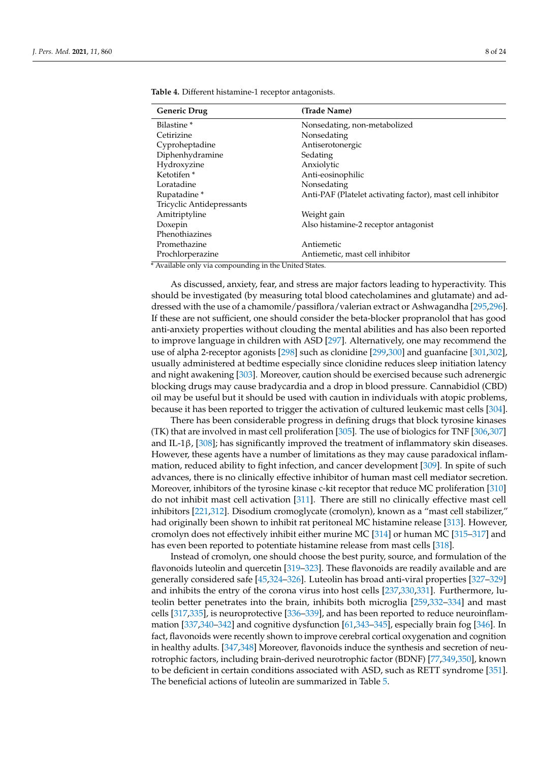| <b>Generic Drug</b>       | (Trade Name)                                               |
|---------------------------|------------------------------------------------------------|
| Bilastine <sup>*</sup>    | Nonsedating, non-metabolized                               |
| Cetirizine                | Nonsedating                                                |
| Cyproheptadine            | Antiserotonergic                                           |
| Diphenhydramine           | Sedating                                                   |
| Hydroxyzine               | Anxiolytic                                                 |
| Ketotifen <sup>*</sup>    | Anti-eosinophilic                                          |
| Loratadine                | Nonsedating                                                |
| Rupatadine*               | Anti-PAF (Platelet activating factor), mast cell inhibitor |
| Tricyclic Antidepressants |                                                            |
| Amitriptyline             | Weight gain                                                |
| Doxepin                   | Also histamine-2 receptor antagonist                       |
| Phenothiazines            |                                                            |
| Promethazine              | Antiemetic                                                 |
| Prochlorperazine          | Antiemetic, mast cell inhibitor                            |

<span id="page-7-0"></span>**Table 4.** Different histamine-1 receptor antagonists.

\* Available only via compounding in the United States.

As discussed, anxiety, fear, and stress are major factors leading to hyperactivity. This should be investigated (by measuring total blood catecholamines and glutamate) and addressed with the use of a chamomile/passiflora/valerian extract or Ashwagandha [\[295](#page-20-20)[,296\]](#page-20-21). If these are not sufficient, one should consider the beta-blocker propranolol that has good anti-anxiety properties without clouding the mental abilities and has also been reported to improve language in children with ASD [\[297\]](#page-20-22). Alternatively, one may recommend the use of alpha 2-receptor agonists [\[298\]](#page-20-23) such as clonidine [\[299,](#page-20-24)[300\]](#page-21-0) and guanfacine [\[301](#page-21-1)[,302\]](#page-21-2), usually administered at bedtime especially since clonidine reduces sleep initiation latency and night awakening [\[303\]](#page-21-3). Moreover, caution should be exercised because such adrenergic blocking drugs may cause bradycardia and a drop in blood pressure. Cannabidiol (CBD) oil may be useful but it should be used with caution in individuals with atopic problems, because it has been reported to trigger the activation of cultured leukemic mast cells [\[304\]](#page-21-4).

There has been considerable progress in defining drugs that block tyrosine kinases (TK) that are involved in mast cell proliferation [\[305\]](#page-21-5). The use of biologics for TNF [\[306,](#page-21-6)[307\]](#page-21-7) and IL-1β, [\[308\]](#page-21-8); has significantly improved the treatment of inflammatory skin diseases. However, these agents have a number of limitations as they may cause paradoxical inflammation, reduced ability to fight infection, and cancer development [\[309\]](#page-21-9). In spite of such advances, there is no clinically effective inhibitor of human mast cell mediator secretion. Moreover, inhibitors of the tyrosine kinase c-kit receptor that reduce MC proliferation [\[310\]](#page-21-10) do not inhibit mast cell activation [\[311\]](#page-21-11). There are still no clinically effective mast cell inhibitors [\[221,](#page-17-24)[312\]](#page-21-12). Disodium cromoglycate (cromolyn), known as a "mast cell stabilizer," had originally been shown to inhibit rat peritoneal MC histamine release [\[313\]](#page-21-13). However, cromolyn does not effectively inhibit either murine MC [\[314\]](#page-21-14) or human MC [\[315–](#page-21-15)[317\]](#page-21-16) and has even been reported to potentiate histamine release from mast cells [\[318\]](#page-21-17).

Instead of cromolyn, one should choose the best purity, source, and formulation of the flavonoids luteolin and quercetin [\[319–](#page-21-18)[323\]](#page-21-19). These flavonoids are readily available and are generally considered safe [\[45,](#page-11-10)[324](#page-21-20)[–326\]](#page-21-21). Luteolin has broad anti-viral properties [\[327](#page-21-22)[–329\]](#page-22-0) and inhibits the entry of the corona virus into host cells [\[237](#page-18-14)[,330](#page-22-1)[,331\]](#page-22-2). Furthermore, luteolin better penetrates into the brain, inhibits both microglia [\[259,](#page-19-11)[332–](#page-22-3)[334\]](#page-22-4) and mast cells [\[317,](#page-21-16)[335\]](#page-22-5), is neuroprotective [\[336](#page-22-6)[–339\]](#page-22-7), and has been reported to reduce neuroinflammation [\[337,](#page-22-8)[340–](#page-22-9)[342\]](#page-22-10) and cognitive dysfunction [\[61](#page-12-4)[,343](#page-22-11)[–345\]](#page-22-12), especially brain fog [\[346\]](#page-22-13). In fact, flavonoids were recently shown to improve cerebral cortical oxygenation and cognition in healthy adults. [\[347](#page-22-14)[,348\]](#page-22-15) Moreover, flavonoids induce the synthesis and secretion of neurotrophic factors, including brain-derived neurotrophic factor (BDNF) [\[77](#page-12-13)[,349](#page-22-16)[,350\]](#page-22-17), known to be deficient in certain conditions associated with ASD, such as RETT syndrome [\[351\]](#page-22-18). The beneficial actions of luteolin are summarized in Table [5.](#page-8-0)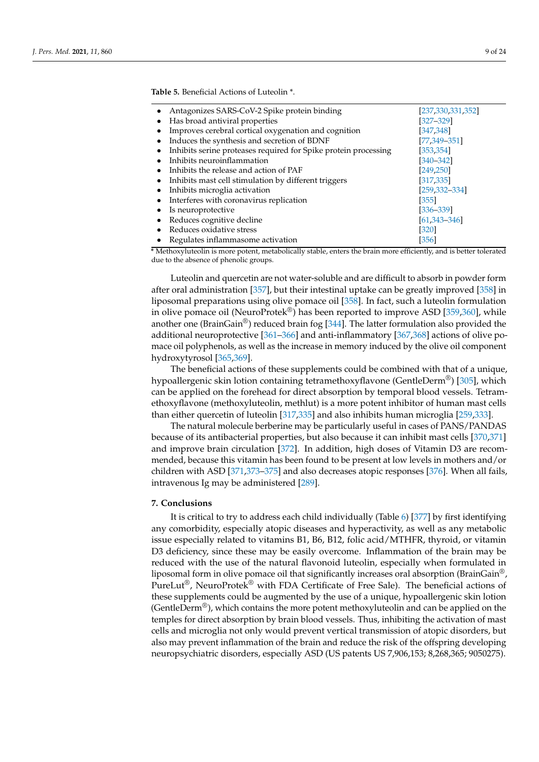<span id="page-8-0"></span>**Table 5.** Beneficial Actions of Luteolin \*.

| Antagonizes SARS-CoV-2 Spike protein binding                    | [237, 330, 331, 352] |
|-----------------------------------------------------------------|----------------------|
| Has broad antiviral properties                                  | $[327 - 329]$        |
| Improves cerebral cortical oxygenation and cognition            | [347,348]            |
| Induces the synthesis and secretion of BDNF                     | $[77, 349 - 351]$    |
| Inhibits serine proteases required for Spike protein processing | [353, 354]           |
| Inhibits neuroinflammation                                      | $[340 - 342]$        |
| Inhibits the release and action of PAF                          | [249, 250]           |
| Inhibits mast cell stimulation by different triggers            | [317, 335]           |
| Inhibits microglia activation                                   | $[259, 332 - 334]$   |
| Interferes with coronavirus replication                         | [355]                |
| Is neuroprotective                                              | [336–339]            |
| Reduces cognitive decline                                       | $[61, 343 - 346]$    |
| Reduces oxidative stress                                        | [320]                |
| Regulates inflammasome activation                               | [356]                |

**\*** Methoxyluteolin is more potent, metabolically stable, enters the brain more efficiently, and is better tolerated due to the absence of phenolic groups.

Luteolin and quercetin are not water-soluble and are difficult to absorb in powder form after oral administration [\[357\]](#page-23-1), but their intestinal uptake can be greatly improved [\[358\]](#page-23-2) in liposomal preparations using olive pomace oil [\[358\]](#page-23-2). In fact, such a luteolin formulation in olive pomace oil (NeuroProtek<sup>®</sup>) has been reported to improve ASD [\[359](#page-23-3)[,360\]](#page-23-4), while another one (BrainGain<sup>®</sup>) reduced brain fog [\[344\]](#page-22-23). The latter formulation also provided the additional neuroprotective [\[361](#page-23-5)[–366\]](#page-23-6) and anti-inflammatory [\[367,](#page-23-7)[368\]](#page-23-8) actions of olive pomace oil polyphenols, as well as the increase in memory induced by the olive oil component hydroxytyrosol [\[365](#page-23-9)[,369\]](#page-23-10).

The beneficial actions of these supplements could be combined with that of a unique, hypoallergenic skin lotion containing tetramethoxyflavone (GentleDerm®) [\[305\]](#page-21-5), which can be applied on the forehead for direct absorption by temporal blood vessels. Tetramethoxyflavone (methoxyluteolin, methlut) is a more potent inhibitor of human mast cells than either quercetin of luteolin [\[317,](#page-21-16)[335\]](#page-22-5) and also inhibits human microglia [\[259](#page-19-11)[,333\]](#page-22-24).

The natural molecule berberine may be particularly useful in cases of PANS/PANDAS because of its antibacterial properties, but also because it can inhibit mast cells [\[370](#page-23-11)[,371\]](#page-23-12) and improve brain circulation [\[372\]](#page-23-13). In addition, high doses of Vitamin D3 are recommended, because this vitamin has been found to be present at low levels in mothers and/or children with ASD [\[371](#page-23-12)[,373](#page-23-14)[–375\]](#page-23-15) and also decreases atopic responses [\[376\]](#page-23-16). When all fails, intravenous Ig may be administered [\[289\]](#page-20-15).

## **7. Conclusions**

It is critical to try to address each child individually (Table [6\)](#page-9-0) [\[377\]](#page-23-17) by first identifying any comorbidity, especially atopic diseases and hyperactivity, as well as any metabolic issue especially related to vitamins B1, B6, B12, folic acid/MTHFR, thyroid, or vitamin D3 deficiency, since these may be easily overcome. Inflammation of the brain may be reduced with the use of the natural flavonoid luteolin, especially when formulated in liposomal form in olive pomace oil that significantly increases oral absorption (BrainGain<sup>®</sup>, PureLut<sup>®</sup>, NeuroProtek<sup>®</sup> with FDA Certificate of Free Sale). The beneficial actions of these supplements could be augmented by the use of a unique, hypoallergenic skin lotion (GentleDerm®), which contains the more potent methoxyluteolin and can be applied on the temples for direct absorption by brain blood vessels. Thus, inhibiting the activation of mast cells and microglia not only would prevent vertical transmission of atopic disorders, but also may prevent inflammation of the brain and reduce the risk of the offspring developing neuropsychiatric disorders, especially ASD (US patents US 7,906,153; 8,268,365; 9050275).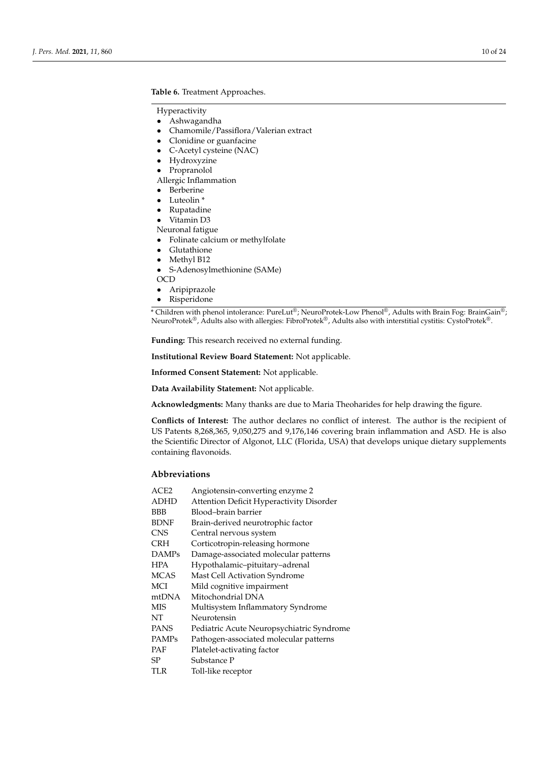## <span id="page-9-0"></span>**Table 6.** Treatment Approaches.

## Hyperactivity

- Ashwagandha
- Chamomile/Passiflora/Valerian extract
- Clonidine or guanfacine
- C-Acetyl cysteine (NAC)
- Hydroxyzine
- Propranolol

Allergic Inflammation

- Berberine
- Luteolin \*
- Rupatadine
- Vitamin D3

Neuronal fatigue

- Folinate calcium or methylfolate
- Glutathione
- Methyl B12
- S-Adenosylmethionine (SAMe)

OCD

- Aripiprazole
- Risperidone

\* Children with phenol intolerance: PureLut®; NeuroProtek-Low Phenol®, Adults with Brain Fog: BrainGain®; NeuroProtek®, Adults also with allergies: FibroProtek®, Adults also with interstitial cystitis: CystoProtek®.

**Funding:** This research received no external funding.

**Institutional Review Board Statement:** Not applicable.

**Informed Consent Statement:** Not applicable.

**Data Availability Statement:** Not applicable.

**Acknowledgments:** Many thanks are due to Maria Theoharides for help drawing the figure.

**Conflicts of Interest:** The author declares no conflict of interest. The author is the recipient of US Patents 8,268,365, 9,050,275 and 9,176,146 covering brain inflammation and ASD. He is also the Scientific Director of Algonot, LLC (Florida, USA) that develops unique dietary supplements containing flavonoids.

# **Abbreviations**

| ACE2         | Angiotensin-converting enzyme 2           |
|--------------|-------------------------------------------|
| <b>ADHD</b>  | Attention Deficit Hyperactivity Disorder  |
| <b>BBB</b>   | Blood-brain barrier                       |
| BDNF         | Brain-derived neurotrophic factor         |
| <b>CNS</b>   | Central nervous system                    |
| <b>CRH</b>   | Corticotropin-releasing hormone           |
| <b>DAMPs</b> | Damage-associated molecular patterns      |
| <b>HPA</b>   | Hypothalamic-pituitary-adrenal            |
| <b>MCAS</b>  | Mast Cell Activation Syndrome             |
| MCI          | Mild cognitive impairment                 |
| mtDNA        | Mitochondrial DNA                         |
| <b>MIS</b>   | Multisystem Inflammatory Syndrome         |
| NT           | Neurotensin                               |
| <b>PANS</b>  | Pediatric Acute Neuropsychiatric Syndrome |
| <b>PAMPs</b> | Pathogen-associated molecular patterns    |
| <b>PAF</b>   | Platelet-activating factor                |
| SP           | Substance P                               |
| TLR          | Toll-like receptor                        |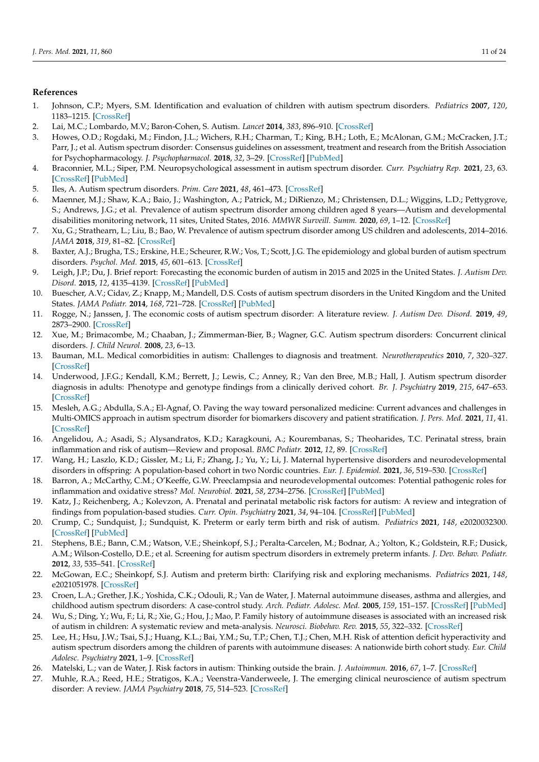## **References**

- <span id="page-10-0"></span>1. Johnson, C.P.; Myers, S.M. Identification and evaluation of children with autism spectrum disorders. *Pediatrics* **2007**, *120*, 1183–1215. [\[CrossRef\]](http://doi.org/10.1542/peds.2007-2361)
- <span id="page-10-19"></span>2. Lai, M.C.; Lombardo, M.V.; Baron-Cohen, S. Autism. *Lancet* **2014**, *383*, 896–910. [\[CrossRef\]](http://doi.org/10.1016/S0140-6736(13)61539-1)
- 3. Howes, O.D.; Rogdaki, M.; Findon, J.L.; Wichers, R.H.; Charman, T.; King, B.H.; Loth, E.; McAlonan, G.M.; McCracken, J.T.; Parr, J.; et al. Autism spectrum disorder: Consensus guidelines on assessment, treatment and research from the British Association for Psychopharmacology. *J. Psychopharmacol.* **2018**, *32*, 3–29. [\[CrossRef\]](http://doi.org/10.1177/0269881117741766) [\[PubMed\]](http://www.ncbi.nlm.nih.gov/pubmed/29237331)
- 4. Braconnier, M.L.; Siper, P.M. Neuropsychological assessment in autism spectrum disorder. *Curr. Psychiatry Rep.* **2021**, *23*, 63. [\[CrossRef\]](http://doi.org/10.1007/s11920-021-01277-1) [\[PubMed\]](http://www.ncbi.nlm.nih.gov/pubmed/34331144)
- <span id="page-10-1"></span>5. Iles, A. Autism spectrum disorders. *Prim. Care* **2021**, *48*, 461–473. [\[CrossRef\]](http://doi.org/10.1016/j.pop.2021.04.003)
- <span id="page-10-2"></span>6. Maenner, M.J.; Shaw, K.A.; Baio, J.; Washington, A.; Patrick, M.; DiRienzo, M.; Christensen, D.L.; Wiggins, L.D.; Pettygrove, S.; Andrews, J.G.; et al. Prevalence of autism spectrum disorder among children aged 8 years—Autism and developmental disabilities monitoring network, 11 sites, United States, 2016. *MMWR Surveill. Summ.* **2020**, *69*, 1–12. [\[CrossRef\]](http://doi.org/10.15585/mmwr.ss6904a1)
- <span id="page-10-3"></span>7. Xu, G.; Strathearn, L.; Liu, B.; Bao, W. Prevalence of autism spectrum disorder among US children and adolescents, 2014–2016. *JAMA* **2018**, *319*, 81–82. [\[CrossRef\]](http://doi.org/10.1001/jama.2017.17812)
- <span id="page-10-4"></span>8. Baxter, A.J.; Brugha, T.S.; Erskine, H.E.; Scheurer, R.W.; Vos, T.; Scott, J.G. The epidemiology and global burden of autism spectrum disorders. *Psychol. Med.* **2015**, *45*, 601–613. [\[CrossRef\]](http://doi.org/10.1017/S003329171400172X)
- 9. Leigh, J.P.; Du, J. Brief report: Forecasting the economic burden of autism in 2015 and 2025 in the United States. *J. Autism Dev. Disord.* **2015**, *12*, 4135–4139. [\[CrossRef\]](http://doi.org/10.1007/s10803-015-2521-7) [\[PubMed\]](http://www.ncbi.nlm.nih.gov/pubmed/26183723)
- 10. Buescher, A.V.; Cidav, Z.; Knapp, M.; Mandell, D.S. Costs of autism spectrum disorders in the United Kingdom and the United States. *JAMA Pediatr.* **2014**, *168*, 721–728. [\[CrossRef\]](http://doi.org/10.1001/jamapediatrics.2014.210) [\[PubMed\]](http://www.ncbi.nlm.nih.gov/pubmed/24911948)
- <span id="page-10-5"></span>11. Rogge, N.; Janssen, J. The economic costs of autism spectrum disorder: A literature review. *J. Autism Dev. Disord.* **2019**, *49*, 2873–2900. [\[CrossRef\]](http://doi.org/10.1007/s10803-019-04014-z)
- <span id="page-10-6"></span>12. Xue, M.; Brimacombe, M.; Chaaban, J.; Zimmerman-Bier, B.; Wagner, G.C. Autism spectrum disorders: Concurrent clinical disorders. *J. Child Neurol.* **2008**, *23*, 6–13.
- 13. Bauman, M.L. Medical comorbidities in autism: Challenges to diagnosis and treatment. *Neurotherapeutics* **2010**, *7*, 320–327. [\[CrossRef\]](http://doi.org/10.1016/j.nurt.2010.06.001)
- <span id="page-10-7"></span>14. Underwood, J.F.G.; Kendall, K.M.; Berrett, J.; Lewis, C.; Anney, R.; Van den Bree, M.B.; Hall, J. Autism spectrum disorder diagnosis in adults: Phenotype and genotype findings from a clinically derived cohort. *Br. J. Psychiatry* **2019**, *215*, 647–653. [\[CrossRef\]](http://doi.org/10.1192/bjp.2019.30)
- <span id="page-10-8"></span>15. Mesleh, A.G.; Abdulla, S.A.; El-Agnaf, O. Paving the way toward personalized medicine: Current advances and challenges in Multi-OMICS approach in autism spectrum disorder for biomarkers discovery and patient stratification. *J. Pers. Med.* **2021**, *11*, 41. [\[CrossRef\]](http://doi.org/10.3390/jpm11010041)
- <span id="page-10-9"></span>16. Angelidou, A.; Asadi, S.; Alysandratos, K.D.; Karagkouni, A.; Kourembanas, S.; Theoharides, T.C. Perinatal stress, brain inflammation and risk of autism—Review and proposal. *BMC Pediatr.* **2012**, *12*, 89. [\[CrossRef\]](http://doi.org/10.1186/1471-2431-12-89)
- <span id="page-10-10"></span>17. Wang, H.; Laszlo, K.D.; Gissler, M.; Li, F.; Zhang, J.; Yu, Y.; Li, J. Maternal hypertensive disorders and neurodevelopmental disorders in offspring: A population-based cohort in two Nordic countries. *Eur. J. Epidemiol.* **2021**, *36*, 519–530. [\[CrossRef\]](http://doi.org/10.1007/s10654-021-00756-2)
- 18. Barron, A.; McCarthy, C.M.; O'Keeffe, G.W. Preeclampsia and neurodevelopmental outcomes: Potential pathogenic roles for inflammation and oxidative stress? *Mol. Neurobiol.* **2021**, *58*, 2734–2756. [\[CrossRef\]](http://doi.org/10.1007/s12035-021-02290-4) [\[PubMed\]](http://www.ncbi.nlm.nih.gov/pubmed/33492643)
- <span id="page-10-11"></span>19. Katz, J.; Reichenberg, A.; Kolevzon, A. Prenatal and perinatal metabolic risk factors for autism: A review and integration of findings from population-based studies. *Curr. Opin. Psychiatry* **2021**, *34*, 94–104. [\[CrossRef\]](http://doi.org/10.1097/YCO.0000000000000673) [\[PubMed\]](http://www.ncbi.nlm.nih.gov/pubmed/33278157)
- <span id="page-10-12"></span>20. Crump, C.; Sundquist, J.; Sundquist, K. Preterm or early term birth and risk of autism. *Pediatrics* **2021**, *148*, e2020032300. [\[CrossRef\]](http://doi.org/10.1542/peds.2020-032300) [\[PubMed\]](http://www.ncbi.nlm.nih.gov/pubmed/34380775)
- 21. Stephens, B.E.; Bann, C.M.; Watson, V.E.; Sheinkopf, S.J.; Peralta-Carcelen, M.; Bodnar, A.; Yolton, K.; Goldstein, R.F.; Dusick, A.M.; Wilson-Costello, D.E.; et al. Screening for autism spectrum disorders in extremely preterm infants. *J. Dev. Behav. Pediatr.* **2012**, *33*, 535–541. [\[CrossRef\]](http://doi.org/10.1097/DBP.0b013e31825fd0af)
- <span id="page-10-13"></span>22. McGowan, E.C.; Sheinkopf, S.J. Autism and preterm birth: Clarifying risk and exploring mechanisms. *Pediatrics* **2021**, *148*, e2021051978. [\[CrossRef\]](http://doi.org/10.1542/peds.2021-051978)
- <span id="page-10-14"></span>23. Croen, L.A.; Grether, J.K.; Yoshida, C.K.; Odouli, R.; Van de Water, J. Maternal autoimmune diseases, asthma and allergies, and childhood autism spectrum disorders: A case-control study. *Arch. Pediatr. Adolesc. Med.* **2005**, *159*, 151–157. [\[CrossRef\]](http://doi.org/10.1001/archpedi.159.2.151) [\[PubMed\]](http://www.ncbi.nlm.nih.gov/pubmed/15699309)
- <span id="page-10-18"></span>24. Wu, S.; Ding, Y.; Wu, F.; Li, R.; Xie, G.; Hou, J.; Mao, P. Family history of autoimmune diseases is associated with an increased risk of autism in children: A systematic review and meta-analysis. *Neurosci. Biobehav. Rev.* **2015**, *55*, 322–332. [\[CrossRef\]](http://doi.org/10.1016/j.neubiorev.2015.05.004)
- <span id="page-10-15"></span>25. Lee, H.; Hsu, J.W.; Tsai, S.J.; Huang, K.L.; Bai, Y.M.; Su, T.P.; Chen, T.J.; Chen, M.H. Risk of attention deficit hyperactivity and autism spectrum disorders among the children of parents with autoimmune diseases: A nationwide birth cohort study. *Eur. Child Adolesc. Psychiatry* **2021**, 1–9. [\[CrossRef\]](http://doi.org/10.1007/s00787-021-01860-0)
- <span id="page-10-16"></span>26. Matelski, L.; van de Water, J. Risk factors in autism: Thinking outside the brain. *J. Autoimmun.* **2016**, *67*, 1–7. [\[CrossRef\]](http://doi.org/10.1016/j.jaut.2015.11.003)
- <span id="page-10-17"></span>27. Muhle, R.A.; Reed, H.E.; Stratigos, K.A.; Veenstra-Vanderweele, J. The emerging clinical neuroscience of autism spectrum disorder: A review. *JAMA Psychiatry* **2018**, *75*, 514–523. [\[CrossRef\]](http://doi.org/10.1001/jamapsychiatry.2017.4685)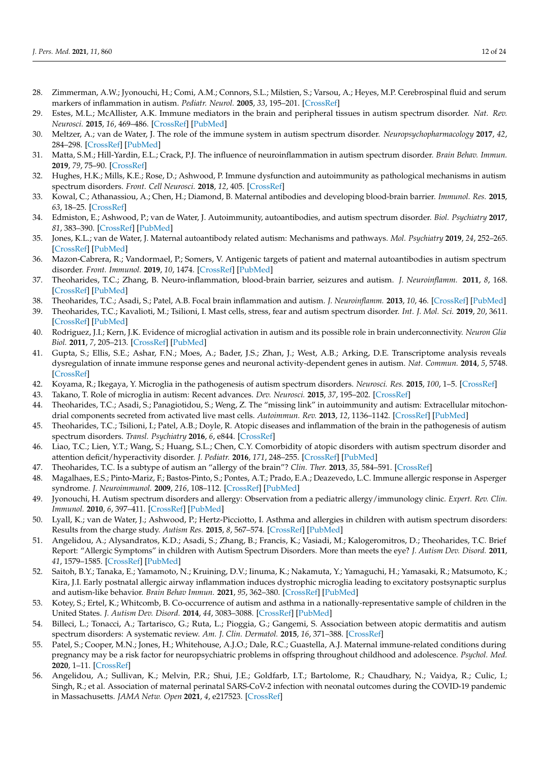- <span id="page-11-0"></span>28. Zimmerman, A.W.; Jyonouchi, H.; Comi, A.M.; Connors, S.L.; Milstien, S.; Varsou, A.; Heyes, M.P. Cerebrospinal fluid and serum markers of inflammation in autism. *Pediatr. Neurol.* **2005**, *33*, 195–201. [\[CrossRef\]](http://doi.org/10.1016/j.pediatrneurol.2005.03.014)
- 29. Estes, M.L.; McAllister, A.K. Immune mediators in the brain and peripheral tissues in autism spectrum disorder. *Nat. Rev. Neurosci.* **2015**, *16*, 469–486. [\[CrossRef\]](http://doi.org/10.1038/nrn3978) [\[PubMed\]](http://www.ncbi.nlm.nih.gov/pubmed/26189694)
- 30. Meltzer, A.; van de Water, J. The role of the immune system in autism spectrum disorder. *Neuropsychopharmacology* **2017**, *42*, 284–298. [\[CrossRef\]](http://doi.org/10.1038/npp.2016.158) [\[PubMed\]](http://www.ncbi.nlm.nih.gov/pubmed/27534269)
- 31. Matta, S.M.; Hill-Yardin, E.L.; Crack, P.J. The influence of neuroinflammation in autism spectrum disorder. *Brain Behav. Immun.* **2019**, *79*, 75–90. [\[CrossRef\]](http://doi.org/10.1016/j.bbi.2019.04.037)
- <span id="page-11-1"></span>32. Hughes, H.K.; Mills, K.E.; Rose, D.; Ashwood, P. Immune dysfunction and autoimmunity as pathological mechanisms in autism spectrum disorders. *Front. Cell Neurosci.* **2018**, *12*, 405. [\[CrossRef\]](http://doi.org/10.3389/fncel.2018.00405)
- <span id="page-11-2"></span>33. Kowal, C.; Athanassiou, A.; Chen, H.; Diamond, B. Maternal antibodies and developing blood-brain barrier. *Immunol. Res.* **2015**, *63*, 18–25. [\[CrossRef\]](http://doi.org/10.1007/s12026-015-8714-5)
- <span id="page-11-3"></span>34. Edmiston, E.; Ashwood, P.; van de Water, J. Autoimmunity, autoantibodies, and autism spectrum disorder. *Biol. Psychiatry* **2017**, *81*, 383–390. [\[CrossRef\]](http://doi.org/10.1016/j.biopsych.2016.08.031) [\[PubMed\]](http://www.ncbi.nlm.nih.gov/pubmed/28340985)
- 35. Jones, K.L.; van de Water, J. Maternal autoantibody related autism: Mechanisms and pathways. *Mol. Psychiatry* **2019**, *24*, 252–265. [\[CrossRef\]](http://doi.org/10.1038/s41380-018-0099-0) [\[PubMed\]](http://www.ncbi.nlm.nih.gov/pubmed/29934547)
- <span id="page-11-4"></span>36. Mazon-Cabrera, R.; Vandormael, P.; Somers, V. Antigenic targets of patient and maternal autoantibodies in autism spectrum disorder. *Front. Immunol.* **2019**, *10*, 1474. [\[CrossRef\]](http://doi.org/10.3389/fimmu.2019.01474) [\[PubMed\]](http://www.ncbi.nlm.nih.gov/pubmed/31379804)
- <span id="page-11-5"></span>37. Theoharides, T.C.; Zhang, B. Neuro-inflammation, blood-brain barrier, seizures and autism. *J. Neuroinflamm.* **2011**, *8*, 168. [\[CrossRef\]](http://doi.org/10.1186/1742-2094-8-168) [\[PubMed\]](http://www.ncbi.nlm.nih.gov/pubmed/22129087)
- <span id="page-11-17"></span>38. Theoharides, T.C.; Asadi, S.; Patel, A.B. Focal brain inflammation and autism. *J. Neuroinflamm.* **2013**, *10*, 46. [\[CrossRef\]](http://doi.org/10.1186/1742-2094-10-46) [\[PubMed\]](http://www.ncbi.nlm.nih.gov/pubmed/23570274)
- <span id="page-11-6"></span>39. Theoharides, T.C.; Kavalioti, M.; Tsilioni, I. Mast cells, stress, fear and autism spectrum disorder. *Int. J. Mol. Sci.* **2019**, *20*, 3611. [\[CrossRef\]](http://doi.org/10.3390/ijms20153611) [\[PubMed\]](http://www.ncbi.nlm.nih.gov/pubmed/31344805)
- <span id="page-11-7"></span>40. Rodriguez, J.I.; Kern, J.K. Evidence of microglial activation in autism and its possible role in brain underconnectivity. *Neuron Glia Biol.* **2011**, *7*, 205–213. [\[CrossRef\]](http://doi.org/10.1017/S1740925X12000142) [\[PubMed\]](http://www.ncbi.nlm.nih.gov/pubmed/22874006)
- <span id="page-11-21"></span>41. Gupta, S.; Ellis, S.E.; Ashar, F.N.; Moes, A.; Bader, J.S.; Zhan, J.; West, A.B.; Arking, D.E. Transcriptome analysis reveals dysregulation of innate immune response genes and neuronal activity-dependent genes in autism. *Nat. Commun.* **2014**, *5*, 5748. [\[CrossRef\]](http://doi.org/10.1038/ncomms6748)
- 42. Koyama, R.; Ikegaya, Y. Microglia in the pathogenesis of autism spectrum disorders. *Neurosci. Res.* **2015**, *100*, 1–5. [\[CrossRef\]](http://doi.org/10.1016/j.neures.2015.06.005)
- <span id="page-11-8"></span>43. Takano, T. Role of microglia in autism: Recent advances. *Dev. Neurosci.* **2015**, *37*, 195–202. [\[CrossRef\]](http://doi.org/10.1159/000398791)
- <span id="page-11-9"></span>44. Theoharides, T.C.; Asadi, S.; Panagiotidou, S.; Weng, Z. The "missing link" in autoimmunity and autism: Extracellular mitochondrial components secreted from activated live mast cells. *Autoimmun. Rev.* **2013**, *12*, 1136–1142. [\[CrossRef\]](http://doi.org/10.1016/j.autrev.2013.06.018) [\[PubMed\]](http://www.ncbi.nlm.nih.gov/pubmed/23831684)
- <span id="page-11-10"></span>45. Theoharides, T.C.; Tsilioni, I.; Patel, A.B.; Doyle, R. Atopic diseases and inflammation of the brain in the pathogenesis of autism spectrum disorders. *Transl. Psychiatry* **2016**, *6*, e844. [\[CrossRef\]](http://doi.org/10.1038/tp.2016.77)
- <span id="page-11-18"></span>46. Liao, T.C.; Lien, Y.T.; Wang, S.; Huang, S.L.; Chen, C.Y. Comorbidity of atopic disorders with autism spectrum disorder and attention deficit/hyperactivity disorder. *J. Pediatr.* **2016**, *171*, 248–255. [\[CrossRef\]](http://doi.org/10.1016/j.jpeds.2015.12.063) [\[PubMed\]](http://www.ncbi.nlm.nih.gov/pubmed/26846570)
- <span id="page-11-19"></span>47. Theoharides, T.C. Is a subtype of autism an "allergy of the brain"? *Clin. Ther.* **2013**, *35*, 584–591. [\[CrossRef\]](http://doi.org/10.1016/j.clinthera.2013.04.009)
- <span id="page-11-20"></span>48. Magalhaes, E.S.; Pinto-Mariz, F.; Bastos-Pinto, S.; Pontes, A.T.; Prado, E.A.; Deazevedo, L.C. Immune allergic response in Asperger syndrome. *J. Neuroimmunol.* **2009**, *216*, 108–112. [\[CrossRef\]](http://doi.org/10.1016/j.jneuroim.2009.09.015) [\[PubMed\]](http://www.ncbi.nlm.nih.gov/pubmed/19840888)
- 49. Jyonouchi, H. Autism spectrum disorders and allergy: Observation from a pediatric allergy/immunology clinic. *Expert. Rev. Clin. Immunol.* **2010**, *6*, 397–411. [\[CrossRef\]](http://doi.org/10.1586/eci.10.18) [\[PubMed\]](http://www.ncbi.nlm.nih.gov/pubmed/20441426)
- <span id="page-11-12"></span>50. Lyall, K.; van de Water, J.; Ashwood, P.; Hertz-Picciotto, I. Asthma and allergies in children with autism spectrum disorders: Results from the charge study. *Autism Res.* **2015**, *8*, 567–574. [\[CrossRef\]](http://doi.org/10.1002/aur.1471) [\[PubMed\]](http://www.ncbi.nlm.nih.gov/pubmed/25722050)
- 51. Angelidou, A.; Alysandratos, K.D.; Asadi, S.; Zhang, B.; Francis, K.; Vasiadi, M.; Kalogeromitros, D.; Theoharides, T.C. Brief Report: "Allergic Symptoms" in children with Autism Spectrum Disorders. More than meets the eye? *J. Autism Dev. Disord.* **2011**, *41*, 1579–1585. [\[CrossRef\]](http://doi.org/10.1007/s10803-010-1171-z) [\[PubMed\]](http://www.ncbi.nlm.nih.gov/pubmed/21210299)
- <span id="page-11-11"></span>52. Saitoh, B.Y.; Tanaka, E.; Yamamoto, N.; Kruining, D.V.; Iinuma, K.; Nakamuta, Y.; Yamaguchi, H.; Yamasaki, R.; Matsumoto, K.; Kira, J.I. Early postnatal allergic airway inflammation induces dystrophic microglia leading to excitatory postsynaptic surplus and autism-like behavior. *Brain Behav Immun.* **2021**, *95*, 362–380. [\[CrossRef\]](http://doi.org/10.1016/j.bbi.2021.04.008) [\[PubMed\]](http://www.ncbi.nlm.nih.gov/pubmed/33862170)
- <span id="page-11-13"></span>53. Kotey, S.; Ertel, K.; Whitcomb, B. Co-occurrence of autism and asthma in a nationally-representative sample of children in the United States. *J. Autism Dev. Disord.* **2014**, *44*, 3083–3088. [\[CrossRef\]](http://doi.org/10.1007/s10803-014-2174-y) [\[PubMed\]](http://www.ncbi.nlm.nih.gov/pubmed/24997632)
- <span id="page-11-14"></span>54. Billeci, L.; Tonacci, A.; Tartarisco, G.; Ruta, L.; Pioggia, G.; Gangemi, S. Association between atopic dermatitis and autism spectrum disorders: A systematic review. *Am. J. Clin. Dermatol.* **2015**, *16*, 371–388. [\[CrossRef\]](http://doi.org/10.1007/s40257-015-0145-5)
- <span id="page-11-15"></span>55. Patel, S.; Cooper, M.N.; Jones, H.; Whitehouse, A.J.O.; Dale, R.C.; Guastella, A.J. Maternal immune-related conditions during pregnancy may be a risk factor for neuropsychiatric problems in offspring throughout childhood and adolescence. *Psychol. Med.* **2020**, 1–11. [\[CrossRef\]](http://doi.org/10.1017/S0033291720001580)
- <span id="page-11-16"></span>56. Angelidou, A.; Sullivan, K.; Melvin, P.R.; Shui, J.E.; Goldfarb, I.T.; Bartolome, R.; Chaudhary, N.; Vaidya, R.; Culic, I.; Singh, R.; et al. Association of maternal perinatal SARS-CoV-2 infection with neonatal outcomes during the COVID-19 pandemic in Massachusetts. *JAMA Netw. Open* **2021**, *4*, e217523. [\[CrossRef\]](http://doi.org/10.1001/jamanetworkopen.2021.7523)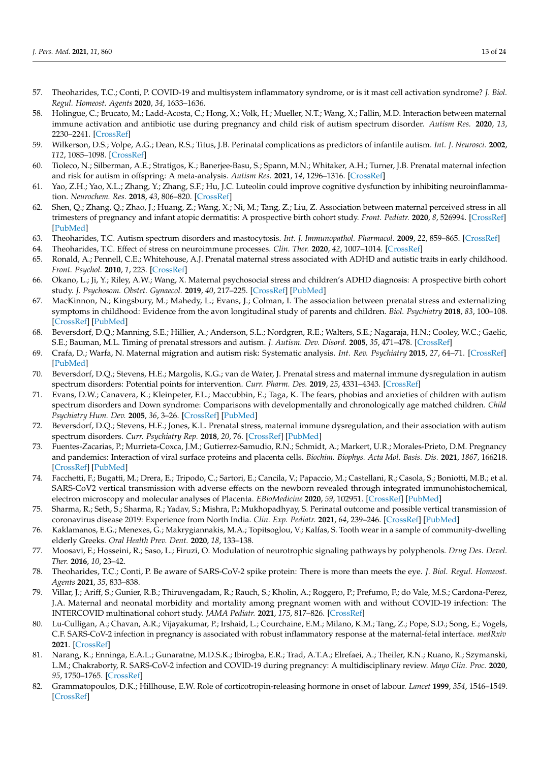- <span id="page-12-0"></span>57. Theoharides, T.C.; Conti, P. COVID-19 and multisystem inflammatory syndrome, or is it mast cell activation syndrome? *J. Biol. Regul. Homeost. Agents* **2020**, *34*, 1633–1636.
- <span id="page-12-1"></span>58. Holingue, C.; Brucato, M.; Ladd-Acosta, C.; Hong, X.; Volk, H.; Mueller, N.T.; Wang, X.; Fallin, M.D. Interaction between maternal immune activation and antibiotic use during pregnancy and child risk of autism spectrum disorder. *Autism Res.* **2020**, *13*, 2230–2241. [\[CrossRef\]](http://doi.org/10.1002/aur.2411)
- <span id="page-12-2"></span>59. Wilkerson, D.S.; Volpe, A.G.; Dean, R.S.; Titus, J.B. Perinatal complications as predictors of infantile autism. *Int. J. Neurosci.* **2002**, *112*, 1085–1098. [\[CrossRef\]](http://doi.org/10.1080/00207450290026076)
- <span id="page-12-3"></span>60. Tioleco, N.; Silberman, A.E.; Stratigos, K.; Banerjee-Basu, S.; Spann, M.N.; Whitaker, A.H.; Turner, J.B. Prenatal maternal infection and risk for autism in offspring: A meta-analysis. *Autism Res.* **2021**, *14*, 1296–1316. [\[CrossRef\]](http://doi.org/10.1002/aur.2499)
- <span id="page-12-4"></span>61. Yao, Z.H.; Yao, X.L.; Zhang, Y.; Zhang, S.F.; Hu, J.C. Luteolin could improve cognitive dysfunction by inhibiting neuroinflammation. *Neurochem. Res.* **2018**, *43*, 806–820. [\[CrossRef\]](http://doi.org/10.1007/s11064-018-2482-2)
- <span id="page-12-5"></span>62. Shen, Q.; Zhang, Q.; Zhao, J.; Huang, Z.; Wang, X.; Ni, M.; Tang, Z.; Liu, Z. Association between maternal perceived stress in all trimesters of pregnancy and infant atopic dermatitis: A prospective birth cohort study. *Front. Pediatr.* **2020**, *8*, 526994. [\[CrossRef\]](http://doi.org/10.3389/fped.2020.526994) [\[PubMed\]](http://www.ncbi.nlm.nih.gov/pubmed/33313022)
- <span id="page-12-6"></span>63. Theoharides, T.C. Autism spectrum disorders and mastocytosis. *Int. J. Immunopathol. Pharmacol.* **2009**, *22*, 859–865. [\[CrossRef\]](http://doi.org/10.1177/039463200902200401)
- <span id="page-12-7"></span>64. Theoharides, T.C. Effect of stress on neuroimmune processes. *Clin. Ther.* **2020**, *42*, 1007–1014. [\[CrossRef\]](http://doi.org/10.1016/j.clinthera.2020.05.002)
- <span id="page-12-19"></span>65. Ronald, A.; Pennell, C.E.; Whitehouse, A.J. Prenatal maternal stress associated with ADHD and autistic traits in early childhood. *Front. Psychol.* **2010**, *1*, 223. [\[CrossRef\]](http://doi.org/10.3389/fpsyg.2010.00223)
- <span id="page-12-20"></span>66. Okano, L.; Ji, Y.; Riley, A.W.; Wang, X. Maternal psychosocial stress and children's ADHD diagnosis: A prospective birth cohort study. *J. Psychosom. Obstet. Gynaecol.* **2019**, *40*, 217–225. [\[CrossRef\]](http://doi.org/10.1080/0167482X.2018.1468434) [\[PubMed\]](http://www.ncbi.nlm.nih.gov/pubmed/29790815)
- <span id="page-12-21"></span>67. MacKinnon, N.; Kingsbury, M.; Mahedy, L.; Evans, J.; Colman, I. The association between prenatal stress and externalizing symptoms in childhood: Evidence from the avon longitudinal study of parents and children. *Biol. Psychiatry* **2018**, *83*, 100–108. [\[CrossRef\]](http://doi.org/10.1016/j.biopsych.2017.07.010) [\[PubMed\]](http://www.ncbi.nlm.nih.gov/pubmed/28893381)
- 68. Beversdorf, D.Q.; Manning, S.E.; Hillier, A.; Anderson, S.L.; Nordgren, R.E.; Walters, S.E.; Nagaraja, H.N.; Cooley, W.C.; Gaelic, S.E.; Bauman, M.L. Timing of prenatal stressors and autism. *J. Autism. Dev. Disord.* **2005**, *35*, 471–478. [\[CrossRef\]](http://doi.org/10.1007/s10803-005-5037-8)
- 69. Crafa, D.; Warfa, N. Maternal migration and autism risk: Systematic analysis. *Int. Rev. Psychiatry* **2015**, *27*, 64–71. [\[CrossRef\]](http://doi.org/10.3109/09540261.2014.995601) [\[PubMed\]](http://www.ncbi.nlm.nih.gov/pubmed/25738316)
- <span id="page-12-22"></span>70. Beversdorf, D.Q.; Stevens, H.E.; Margolis, K.G.; van de Water, J. Prenatal stress and maternal immune dysregulation in autism spectrum disorders: Potential points for intervention. *Curr. Pharm. Des.* **2019**, *25*, 4331–4343. [\[CrossRef\]](http://doi.org/10.2174/1381612825666191119093335)
- 71. Evans, D.W.; Canavera, K.; Kleinpeter, F.L.; Maccubbin, E.; Taga, K. The fears, phobias and anxieties of children with autism spectrum disorders and Down syndrome: Comparisons with developmentally and chronologically age matched children. *Child Psychiatry Hum. Dev.* **2005**, *36*, 3–26. [\[CrossRef\]](http://doi.org/10.1007/s10578-004-3619-x) [\[PubMed\]](http://www.ncbi.nlm.nih.gov/pubmed/16049642)
- <span id="page-12-8"></span>72. Beversdorf, D.Q.; Stevens, H.E.; Jones, K.L. Prenatal stress, maternal immune dysregulation, and their association with autism spectrum disorders. *Curr. Psychiatry Rep.* **2018**, *20*, 76. [\[CrossRef\]](http://doi.org/10.1007/s11920-018-0945-4) [\[PubMed\]](http://www.ncbi.nlm.nih.gov/pubmed/30094645)
- <span id="page-12-9"></span>73. Fuentes-Zacarias, P.; Murrieta-Coxca, J.M.; Gutierrez-Samudio, R.N.; Schmidt, A.; Markert, U.R.; Morales-Prieto, D.M. Pregnancy and pandemics: Interaction of viral surface proteins and placenta cells. *Biochim. Biophys. Acta Mol. Basis. Dis.* **2021**, *1867*, 166218. [\[CrossRef\]](http://doi.org/10.1016/j.bbadis.2021.166218) [\[PubMed\]](http://www.ncbi.nlm.nih.gov/pubmed/34311080)
- <span id="page-12-10"></span>74. Facchetti, F.; Bugatti, M.; Drera, E.; Tripodo, C.; Sartori, E.; Cancila, V.; Papaccio, M.; Castellani, R.; Casola, S.; Boniotti, M.B.; et al. SARS-CoV2 vertical transmission with adverse effects on the newborn revealed through integrated immunohistochemical, electron microscopy and molecular analyses of Placenta. *EBioMedicine* **2020**, *59*, 102951. [\[CrossRef\]](http://doi.org/10.1016/j.ebiom.2020.102951) [\[PubMed\]](http://www.ncbi.nlm.nih.gov/pubmed/32818801)
- <span id="page-12-11"></span>75. Sharma, R.; Seth, S.; Sharma, R.; Yadav, S.; Mishra, P.; Mukhopadhyay, S. Perinatal outcome and possible vertical transmission of coronavirus disease 2019: Experience from North India. *Clin. Exp. Pediatr.* **2021**, *64*, 239–246. [\[CrossRef\]](http://doi.org/10.3345/cep.2020.01704) [\[PubMed\]](http://www.ncbi.nlm.nih.gov/pubmed/33592686)
- <span id="page-12-12"></span>76. Kaklamanos, E.G.; Menexes, G.; Makrygiannakis, M.A.; Topitsoglou, V.; Kalfas, S. Tooth wear in a sample of community-dwelling elderly Greeks. *Oral Health Prev. Dent.* **2020**, *18*, 133–138.
- <span id="page-12-13"></span>77. Moosavi, F.; Hosseini, R.; Saso, L.; Firuzi, O. Modulation of neurotrophic signaling pathways by polyphenols. *Drug Des. Devel. Ther.* **2016**, *10*, 23–42.
- <span id="page-12-14"></span>78. Theoharides, T.C.; Conti, P. Be aware of SARS-CoV-2 spike protein: There is more than meets the eye. *J. Biol. Regul. Homeost. Agents* **2021**, *35*, 833–838.
- <span id="page-12-15"></span>79. Villar, J.; Ariff, S.; Gunier, R.B.; Thiruvengadam, R.; Rauch, S.; Kholin, A.; Roggero, P.; Prefumo, F.; do Vale, M.S.; Cardona-Perez, J.A. Maternal and neonatal morbidity and mortality among pregnant women with and without COVID-19 infection: The INTERCOVID multinational cohort study. *JAMA Pediatr.* **2021**, *175*, 817–826. [\[CrossRef\]](http://doi.org/10.1001/jamapediatrics.2021.1050)
- <span id="page-12-16"></span>80. Lu-Culligan, A.; Chavan, A.R.; Vijayakumar, P.; Irshaid, L.; Courchaine, E.M.; Milano, K.M.; Tang, Z.; Pope, S.D.; Song, E.; Vogels, C.F. SARS-CoV-2 infection in pregnancy is associated with robust inflammatory response at the maternal-fetal interface. *medRxiv* **2021**. [\[CrossRef\]](http://doi.org/10.1101/2021.01.25.21250452)
- <span id="page-12-17"></span>81. Narang, K.; Enninga, E.A.L.; Gunaratne, M.D.S.K.; Ibirogba, E.R.; Trad, A.T.A.; Elrefaei, A.; Theiler, R.N.; Ruano, R.; Szymanski, L.M.; Chakraborty, R. SARS-CoV-2 infection and COVID-19 during pregnancy: A multidisciplinary review. *Mayo Clin. Proc.* **2020**, *95*, 1750–1765. [\[CrossRef\]](http://doi.org/10.1016/j.mayocp.2020.05.011)
- <span id="page-12-18"></span>82. Grammatopoulos, D.K.; Hillhouse, E.W. Role of corticotropin-releasing hormone in onset of labour. *Lancet* **1999**, *354*, 1546–1549. [\[CrossRef\]](http://doi.org/10.1016/S0140-6736(99)03418-2)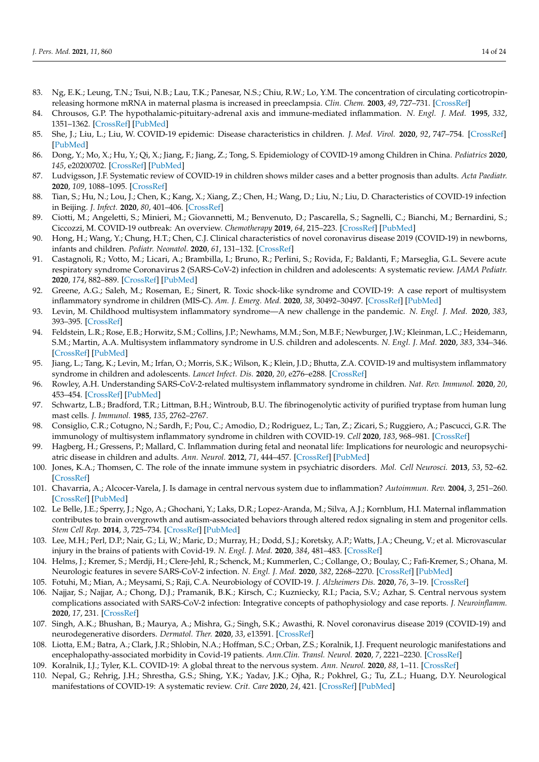- <span id="page-13-0"></span>83. Ng, E.K.; Leung, T.N.; Tsui, N.B.; Lau, T.K.; Panesar, N.S.; Chiu, R.W.; Lo, Y.M. The concentration of circulating corticotropinreleasing hormone mRNA in maternal plasma is increased in preeclampsia. *Clin. Chem.* **2003**, *49*, 727–731. [\[CrossRef\]](http://doi.org/10.1373/49.5.727)
- <span id="page-13-1"></span>84. Chrousos, G.P. The hypothalamic-pituitary-adrenal axis and immune-mediated inflammation. *N. Engl. J. Med.* **1995**, *332*, 1351–1362. [\[CrossRef\]](http://doi.org/10.1056/NEJM199505183322008) [\[PubMed\]](http://www.ncbi.nlm.nih.gov/pubmed/7715646)
- <span id="page-13-2"></span>85. She, J.; Liu, L.; Liu, W. COVID-19 epidemic: Disease characteristics in children. *J. Med. Virol.* **2020**, *92*, 747–754. [\[CrossRef\]](http://doi.org/10.1002/jmv.25807) [\[PubMed\]](http://www.ncbi.nlm.nih.gov/pubmed/32232980)
- 86. Dong, Y.; Mo, X.; Hu, Y.; Qi, X.; Jiang, F.; Jiang, Z.; Tong, S. Epidemiology of COVID-19 among Children in China. *Pediatrics* **2020**, *145*, e20200702. [\[CrossRef\]](http://doi.org/10.1542/peds.2020-0702) [\[PubMed\]](http://www.ncbi.nlm.nih.gov/pubmed/32179660)
- 87. Ludvigsson, J.F. Systematic review of COVID-19 in children shows milder cases and a better prognosis than adults. *Acta Paediatr.* **2020**, *109*, 1088–1095. [\[CrossRef\]](http://doi.org/10.1111/apa.15270)
- 88. Tian, S.; Hu, N.; Lou, J.; Chen, K.; Kang, X.; Xiang, Z.; Chen, H.; Wang, D.; Liu, N.; Liu, D. Characteristics of COVID-19 infection in Beijing. *J. Infect.* **2020**, *80*, 401–406. [\[CrossRef\]](http://doi.org/10.1016/j.jinf.2020.02.018)
- 89. Ciotti, M.; Angeletti, S.; Minieri, M.; Giovannetti, M.; Benvenuto, D.; Pascarella, S.; Sagnelli, C.; Bianchi, M.; Bernardini, S.; Ciccozzi, M. COVID-19 outbreak: An overview. *Chemotherapy* **2019**, *64*, 215–223. [\[CrossRef\]](http://doi.org/10.1159/000507423) [\[PubMed\]](http://www.ncbi.nlm.nih.gov/pubmed/32259829)
- 90. Hong, H.; Wang, Y.; Chung, H.T.; Chen, C.J. Clinical characteristics of novel coronavirus disease 2019 (COVID-19) in newborns, infants and children. *Pediatr. Neonatol.* **2020**, *61*, 131–132. [\[CrossRef\]](http://doi.org/10.1016/j.pedneo.2020.03.001)
- <span id="page-13-3"></span>91. Castagnoli, R.; Votto, M.; Licari, A.; Brambilla, I.; Bruno, R.; Perlini, S.; Rovida, F.; Baldanti, F.; Marseglia, G.L. Severe acute respiratory syndrome Coronavirus 2 (SARS-CoV-2) infection in children and adolescents: A systematic review. *JAMA Pediatr.* **2020**, *174*, 882–889. [\[CrossRef\]](http://doi.org/10.1001/jamapediatrics.2020.1467) [\[PubMed\]](http://www.ncbi.nlm.nih.gov/pubmed/32320004)
- <span id="page-13-4"></span>92. Greene, A.G.; Saleh, M.; Roseman, E.; Sinert, R. Toxic shock-like syndrome and COVID-19: A case report of multisystem inflammatory syndrome in children (MIS-C). *Am. J. Emerg. Med.* **2020**, *38*, 30492–30497. [\[CrossRef\]](http://doi.org/10.1016/j.ajem.2020.05.117) [\[PubMed\]](http://www.ncbi.nlm.nih.gov/pubmed/32532619)
- 93. Levin, M. Childhood multisystem inflammatory syndrome—A new challenge in the pandemic. *N. Engl. J. Med.* **2020**, *383*, 393–395. [\[CrossRef\]](http://doi.org/10.1056/NEJMe2023158)
- <span id="page-13-5"></span>94. Feldstein, L.R.; Rose, E.B.; Horwitz, S.M.; Collins, J.P.; Newhams, M.M.; Son, M.B.F.; Newburger, J.W.; Kleinman, L.C.; Heidemann, S.M.; Martin, A.A. Multisystem inflammatory syndrome in U.S. children and adolescents. *N. Engl. J. Med.* **2020**, *383*, 334–346. [\[CrossRef\]](http://doi.org/10.1056/NEJMoa2021680) [\[PubMed\]](http://www.ncbi.nlm.nih.gov/pubmed/32598831)
- <span id="page-13-6"></span>95. Jiang, L.; Tang, K.; Levin, M.; Irfan, O.; Morris, S.K.; Wilson, K.; Klein, J.D.; Bhutta, Z.A. COVID-19 and multisystem inflammatory syndrome in children and adolescents. *Lancet Infect. Dis.* **2020**, *20*, e276–e288. [\[CrossRef\]](http://doi.org/10.1016/S1473-3099(20)30651-4)
- <span id="page-13-7"></span>96. Rowley, A.H. Understanding SARS-CoV-2-related multisystem inflammatory syndrome in children. *Nat. Rev. Immunol.* **2020**, *20*, 453–454. [\[CrossRef\]](http://doi.org/10.1038/s41577-020-0367-5) [\[PubMed\]](http://www.ncbi.nlm.nih.gov/pubmed/32546853)
- <span id="page-13-8"></span>97. Schwartz, L.B.; Bradford, T.R.; Littman, B.H.; Wintroub, B.U. The fibrinogenolytic activity of purified tryptase from human lung mast cells. *J. Immunol.* **1985**, *135*, 2762–2767.
- <span id="page-13-9"></span>98. Consiglio, C.R.; Cotugno, N.; Sardh, F.; Pou, C.; Amodio, D.; Rodriguez, L.; Tan, Z.; Zicari, S.; Ruggiero, A.; Pascucci, G.R. The immunology of multisystem inflammatory syndrome in children with COVID-19. *Cell* **2020**, *183*, 968–981. [\[CrossRef\]](http://doi.org/10.1016/j.cell.2020.09.016)
- <span id="page-13-10"></span>99. Hagberg, H.; Gressens, P.; Mallard, C. Inflammation during fetal and neonatal life: Implications for neurologic and neuropsychiatric disease in children and adults. *Ann. Neurol.* **2012**, *71*, 444–457. [\[CrossRef\]](http://doi.org/10.1002/ana.22620) [\[PubMed\]](http://www.ncbi.nlm.nih.gov/pubmed/22334391)
- <span id="page-13-11"></span>100. Jones, K.A.; Thomsen, C. The role of the innate immune system in psychiatric disorders. *Mol. Cell Neurosci.* **2013**, *53*, 52–62. [\[CrossRef\]](http://doi.org/10.1016/j.mcn.2012.10.002)
- <span id="page-13-12"></span>101. Chavarria, A.; Alcocer-Varela, J. Is damage in central nervous system due to inflammation? *Autoimmun. Rev.* **2004**, *3*, 251–260. [\[CrossRef\]](http://doi.org/10.1016/j.autrev.2003.09.006) [\[PubMed\]](http://www.ncbi.nlm.nih.gov/pubmed/15246020)
- <span id="page-13-13"></span>102. Le Belle, J.E.; Sperry, J.; Ngo, A.; Ghochani, Y.; Laks, D.R.; Lopez-Aranda, M.; Silva, A.J.; Kornblum, H.I. Maternal inflammation contributes to brain overgrowth and autism-associated behaviors through altered redox signaling in stem and progenitor cells. *Stem Cell Rep.* **2014**, *3*, 725–734. [\[CrossRef\]](http://doi.org/10.1016/j.stemcr.2014.09.004) [\[PubMed\]](http://www.ncbi.nlm.nih.gov/pubmed/25418720)
- <span id="page-13-14"></span>103. Lee, M.H.; Perl, D.P.; Nair, G.; Li, W.; Maric, D.; Murray, H.; Dodd, S.J.; Koretsky, A.P.; Watts, J.A.; Cheung, V.; et al. Microvascular injury in the brains of patients with Covid-19. *N. Engl. J. Med.* **2020**, *384*, 481–483. [\[CrossRef\]](http://doi.org/10.1056/NEJMc2033369)
- <span id="page-13-15"></span>104. Helms, J.; Kremer, S.; Merdji, H.; Clere-Jehl, R.; Schenck, M.; Kummerlen, C.; Collange, O.; Boulay, C.; Fafi-Kremer, S.; Ohana, M. Neurologic features in severe SARS-CoV-2 infection. *N. Engl. J. Med.* **2020**, *382*, 2268–2270. [\[CrossRef\]](http://doi.org/10.1056/NEJMc2008597) [\[PubMed\]](http://www.ncbi.nlm.nih.gov/pubmed/32294339)
- 105. Fotuhi, M.; Mian, A.; Meysami, S.; Raji, C.A. Neurobiology of COVID-19. *J. Alzheimers Dis.* **2020**, *76*, 3–19. [\[CrossRef\]](http://doi.org/10.3233/JAD-200581)
- 106. Najjar, S.; Najjar, A.; Chong, D.J.; Pramanik, B.K.; Kirsch, C.; Kuzniecky, R.I.; Pacia, S.V.; Azhar, S. Central nervous system complications associated with SARS-CoV-2 infection: Integrative concepts of pathophysiology and case reports. *J. Neuroinflamm.* **2020**, *17*, 231. [\[CrossRef\]](http://doi.org/10.1186/s12974-020-01896-0)
- <span id="page-13-16"></span>107. Singh, A.K.; Bhushan, B.; Maurya, A.; Mishra, G.; Singh, S.K.; Awasthi, R. Novel coronavirus disease 2019 (COVID-19) and neurodegenerative disorders. *Dermatol. Ther.* **2020**, *33*, e13591. [\[CrossRef\]](http://doi.org/10.1111/dth.13591)
- 108. Liotta, E.M.; Batra, A.; Clark, J.R.; Shlobin, N.A.; Hoffman, S.C.; Orban, Z.S.; Koralnik, I.J. Frequent neurologic manifestations and encephalopathy-associated morbidity in Covid-19 patients. *Ann.Clin. Transl. Neurol.* **2020**, *7*, 2221–2230. [\[CrossRef\]](http://doi.org/10.1002/acn3.51210)
- 109. Koralnik, I.J.; Tyler, K.L. COVID-19: A global threat to the nervous system. *Ann. Neurol.* **2020**, *88*, 1–11. [\[CrossRef\]](http://doi.org/10.1002/ana.25807)
- 110. Nepal, G.; Rehrig, J.H.; Shrestha, G.S.; Shing, Y.K.; Yadav, J.K.; Ojha, R.; Pokhrel, G.; Tu, Z.L.; Huang, D.Y. Neurological manifestations of COVID-19: A systematic review. *Crit. Care* **2020**, *24*, 421. [\[CrossRef\]](http://doi.org/10.1186/s13054-020-03121-z) [\[PubMed\]](http://www.ncbi.nlm.nih.gov/pubmed/32660520)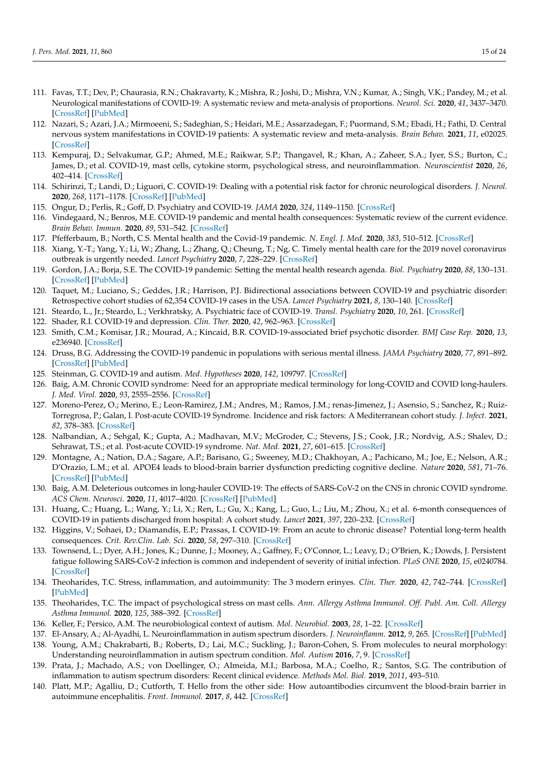- 111. Favas, T.T.; Dev, P.; Chaurasia, R.N.; Chakravarty, K.; Mishra, R.; Joshi, D.; Mishra, V.N.; Kumar, A.; Singh, V.K.; Pandey, M.; et al. Neurological manifestations of COVID-19: A systematic review and meta-analysis of proportions. *Neurol. Sci.* **2020**, *41*, 3437–3470. [\[CrossRef\]](http://doi.org/10.1007/s10072-020-04801-y) [\[PubMed\]](http://www.ncbi.nlm.nih.gov/pubmed/33089477)
- <span id="page-14-0"></span>112. Nazari, S.; Azari, J.A.; Mirmoeeni, S.; Sadeghian, S.; Heidari, M.E.; Assarzadegan, F.; Puormand, S.M.; Ebadi, H.; Fathi, D. Central nervous system manifestations in COVID-19 patients: A systematic review and meta-analysis. *Brain Behav.* **2021**, *11*, e02025. [\[CrossRef\]](http://doi.org/10.1002/brb3.2025)
- <span id="page-14-1"></span>113. Kempuraj, D.; Selvakumar, G.P.; Ahmed, M.E.; Raikwar, S.P.; Thangavel, R.; Khan, A.; Zaheer, S.A.; Iyer, S.S.; Burton, C.; James, D.; et al. COVID-19, mast cells, cytokine storm, psychological stress, and neuroinflammation. *Neuroscientist* **2020**, *26*, 402–414. [\[CrossRef\]](http://doi.org/10.1177/1073858420941476)
- <span id="page-14-2"></span>114. Schirinzi, T.; Landi, D.; Liguori, C. COVID-19: Dealing with a potential risk factor for chronic neurological disorders. *J. Neurol.* **2020**, *268*, 1171–1178. [\[CrossRef\]](http://doi.org/10.1007/s00415-020-10131-y) [\[PubMed\]](http://www.ncbi.nlm.nih.gov/pubmed/32852580)
- 115. Ongur, D.; Perlis, R.; Goff, D. Psychiatry and COVID-19. *JAMA* **2020**, *324*, 1149–1150. [\[CrossRef\]](http://doi.org/10.1001/jama.2020.14294)
- 116. Vindegaard, N.; Benros, M.E. COVID-19 pandemic and mental health consequences: Systematic review of the current evidence. *Brain Behav. Immun.* **2020**, *89*, 531–542. [\[CrossRef\]](http://doi.org/10.1016/j.bbi.2020.05.048)
- 117. Pfefferbaum, B.; North, C.S. Mental health and the Covid-19 pandemic. *N. Engl. J. Med.* **2020**, *383*, 510–512. [\[CrossRef\]](http://doi.org/10.1056/NEJMp2008017)
- <span id="page-14-18"></span>118. Xiang, Y.-T.; Yang, Y.; Li, W.; Zhang, L.; Zhang, Q.; Cheung, T.; Ng, C. Timely mental health care for the 2019 novel coronavirus outbreak is urgently needed. *Lancet Psychiatry* **2020**, *7*, 228–229. [\[CrossRef\]](http://doi.org/10.1016/S2215-0366(20)30046-8)
- <span id="page-14-19"></span>119. Gordon, J.A.; Borja, S.E. The COVID-19 pandemic: Setting the mental health research agenda. *Biol. Psychiatry* **2020**, *88*, 130–131. [\[CrossRef\]](http://doi.org/10.1016/j.biopsych.2020.05.012) [\[PubMed\]](http://www.ncbi.nlm.nih.gov/pubmed/32425206)
- 120. Taquet, M.; Luciano, S.; Geddes, J.R.; Harrison, P.J. Bidirectional associations between COVID-19 and psychiatric disorder: Retrospective cohort studies of 62,354 COVID-19 cases in the USA. *Lancet Psychiatry* **2021**, *8*, 130–140. [\[CrossRef\]](http://doi.org/10.1016/S2215-0366(20)30462-4)
- 121. Steardo, L., Jr.; Steardo, L.; Verkhratsky, A. Psychiatric face of COVID-19. *Transl. Psychiatry* **2020**, *10*, 261. [\[CrossRef\]](http://doi.org/10.1038/s41398-020-00949-5)
- 122. Shader, R.I. COVID-19 and depression. *Clin. Ther.* **2020**, *42*, 962–963. [\[CrossRef\]](http://doi.org/10.1016/j.clinthera.2020.04.010)
- 123. Smith, C.M.; Komisar, J.R.; Mourad, A.; Kincaid, B.R. COVID-19-associated brief psychotic disorder. *BMJ Case Rep.* **2020**, *13*, e236940. [\[CrossRef\]](http://doi.org/10.1136/bcr-2020-236940)
- <span id="page-14-3"></span>124. Druss, B.G. Addressing the COVID-19 pandemic in populations with serious mental illness. *JAMA Psychiatry* **2020**, *77*, 891–892. [\[CrossRef\]](http://doi.org/10.1001/jamapsychiatry.2020.0894) [\[PubMed\]](http://www.ncbi.nlm.nih.gov/pubmed/32242888)
- <span id="page-14-4"></span>125. Steinman, G. COVID-19 and autism. *Med. Hypotheses* **2020**, *142*, 109797. [\[CrossRef\]](http://doi.org/10.1016/j.mehy.2020.109797)
- <span id="page-14-5"></span>126. Baig, A.M. Chronic COVID syndrome: Need for an appropriate medical terminology for long-COVID and COVID long-haulers. *J. Med. Virol.* **2020**, *93*, 2555–2556. [\[CrossRef\]](http://doi.org/10.1002/jmv.26624)
- <span id="page-14-6"></span>127. Moreno-Perez, O.; Merino, E.; Leon-Ramirez, J.M.; Andres, M.; Ramos, J.M.; renas-Jimenez, J.; Asensio, S.; Sanchez, R.; Ruiz-Torregrosa, P.; Galan, I. Post-acute COVID-19 Syndrome. Incidence and risk factors: A Mediterranean cohort study. *J. Infect.* **2021**, *82*, 378–383. [\[CrossRef\]](http://doi.org/10.1016/j.jinf.2021.01.004)
- <span id="page-14-8"></span>128. Nalbandian, A.; Sehgal, K.; Gupta, A.; Madhavan, M.V.; McGroder, C.; Stevens, J.S.; Cook, J.R.; Nordvig, A.S.; Shalev, D.; Sehrawat, T.S.; et al. Post-acute COVID-19 syndrome. *Nat. Med.* **2021**, *27*, 601–615. [\[CrossRef\]](http://doi.org/10.1038/s41591-021-01283-z)
- <span id="page-14-7"></span>129. Montagne, A.; Nation, D.A.; Sagare, A.P.; Barisano, G.; Sweeney, M.D.; Chakhoyan, A.; Pachicano, M.; Joe, E.; Nelson, A.R.; D'Orazio, L.M.; et al. APOE4 leads to blood-brain barrier dysfunction predicting cognitive decline. *Nature* **2020**, *581*, 71–76. [\[CrossRef\]](http://doi.org/10.1038/s41586-020-2247-3) [\[PubMed\]](http://www.ncbi.nlm.nih.gov/pubmed/32376954)
- <span id="page-14-9"></span>130. Baig, A.M. Deleterious outcomes in long-hauler COVID-19: The effects of SARS-CoV-2 on the CNS in chronic COVID syndrome. *ACS Chem. Neurosci.* **2020**, *11*, 4017–4020. [\[CrossRef\]](http://doi.org/10.1021/acschemneuro.0c00725) [\[PubMed\]](http://www.ncbi.nlm.nih.gov/pubmed/33275404)
- 131. Huang, C.; Huang, L.; Wang, Y.; Li, X.; Ren, L.; Gu, X.; Kang, L.; Guo, L.; Liu, M.; Zhou, X.; et al. 6-month consequences of COVID-19 in patients discharged from hospital: A cohort study. *Lancet* **2021**, *397*, 220–232. [\[CrossRef\]](http://doi.org/10.1016/S0140-6736(20)32656-8)
- <span id="page-14-10"></span>132. Higgins, V.; Sohaei, D.; Diamandis, E.P.; Prassas, I. COVID-19: From an acute to chronic disease? Potential long-term health consequences. *Crit. Rev.Clin. Lab. Sci.* **2020**, *58*, 297–310. [\[CrossRef\]](http://doi.org/10.1080/10408363.2020.1860895)
- <span id="page-14-11"></span>133. Townsend, L.; Dyer, A.H.; Jones, K.; Dunne, J.; Mooney, A.; Gaffney, F.; O'Connor, L.; Leavy, D.; O'Brien, K.; Dowds, J. Persistent fatigue following SARS-CoV-2 infection is common and independent of severity of initial infection. *PLoS ONE* **2020**, *15*, e0240784. [\[CrossRef\]](http://doi.org/10.1371/journal.pone.0240784)
- <span id="page-14-12"></span>134. Theoharides, T.C. Stress, inflammation, and autoimmunity: The 3 modern erinyes. *Clin. Ther.* **2020**, *42*, 742–744. [\[CrossRef\]](http://doi.org/10.1016/j.clinthera.2020.04.002) [\[PubMed\]](http://www.ncbi.nlm.nih.gov/pubmed/32354496)
- <span id="page-14-13"></span>135. Theoharides, T.C. The impact of psychological stress on mast cells. *Ann. Allergy Asthma Immunol. Off. Publ. Am. Coll. Allergy Asthma Immunol.* **2020**, *125*, 388–392. [\[CrossRef\]](http://doi.org/10.1016/j.anai.2020.07.007)
- <span id="page-14-14"></span>136. Keller, F.; Persico, A.M. The neurobiological context of autism. *Mol. Neurobiol.* **2003**, *28*, 1–22. [\[CrossRef\]](http://doi.org/10.1385/MN:28:1:1)
- <span id="page-14-15"></span>137. El-Ansary, A.; Al-Ayadhi, L. Neuroinflammation in autism spectrum disorders. *J. Neuroinflamm.* **2012**, *9*, 265. [\[CrossRef\]](http://doi.org/10.1186/1742-2094-9-265) [\[PubMed\]](http://www.ncbi.nlm.nih.gov/pubmed/23231720)
- 138. Young, A.M.; Chakrabarti, B.; Roberts, D.; Lai, M.C.; Suckling, J.; Baron-Cohen, S. From molecules to neural morphology: Understanding neuroinflammation in autism spectrum condition. *Mol. Autism* **2016**, *7*, 9. [\[CrossRef\]](http://doi.org/10.1186/s13229-016-0068-x)
- <span id="page-14-16"></span>139. Prata, J.; Machado, A.S.; von Doellinger, O.; Almeida, M.I.; Barbosa, M.A.; Coelho, R.; Santos, S.G. The contribution of inflammation to autism spectrum disorders: Recent clinical evidence. *Methods Mol. Biol.* **2019**, *2011*, 493–510.
- <span id="page-14-17"></span>140. Platt, M.P.; Agalliu, D.; Cutforth, T. Hello from the other side: How autoantibodies circumvent the blood-brain barrier in autoimmune encephalitis. *Front. Immunol.* **2017**, *8*, 442. [\[CrossRef\]](http://doi.org/10.3389/fimmu.2017.00442)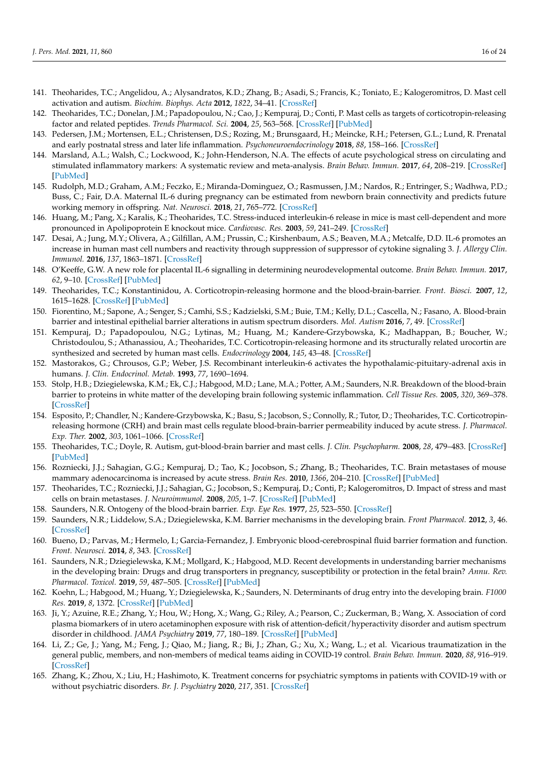- <span id="page-15-0"></span>141. Theoharides, T.C.; Angelidou, A.; Alysandratos, K.D.; Zhang, B.; Asadi, S.; Francis, K.; Toniato, E.; Kalogeromitros, D. Mast cell activation and autism. *Biochim. Biophys. Acta* **2012**, *1822*, 34–41. [\[CrossRef\]](http://doi.org/10.1016/j.bbadis.2010.12.017)
- <span id="page-15-1"></span>142. Theoharides, T.C.; Donelan, J.M.; Papadopoulou, N.; Cao, J.; Kempuraj, D.; Conti, P. Mast cells as targets of corticotropin-releasing factor and related peptides. *Trends Pharmacol. Sci.* **2004**, *25*, 563–568. [\[CrossRef\]](http://doi.org/10.1016/j.tips.2004.09.007) [\[PubMed\]](http://www.ncbi.nlm.nih.gov/pubmed/15491778)
- <span id="page-15-2"></span>143. Pedersen, J.M.; Mortensen, E.L.; Christensen, D.S.; Rozing, M.; Brunsgaard, H.; Meincke, R.H.; Petersen, G.L.; Lund, R. Prenatal and early postnatal stress and later life inflammation. *Psychoneuroendocrinology* **2018**, *88*, 158–166. [\[CrossRef\]](http://doi.org/10.1016/j.psyneuen.2017.12.014)
- <span id="page-15-3"></span>144. Marsland, A.L.; Walsh, C.; Lockwood, K.; John-Henderson, N.A. The effects of acute psychological stress on circulating and stimulated inflammatory markers: A systematic review and meta-analysis. *Brain Behav. Immun.* **2017**, *64*, 208–219. [\[CrossRef\]](http://doi.org/10.1016/j.bbi.2017.01.011) [\[PubMed\]](http://www.ncbi.nlm.nih.gov/pubmed/28089638)
- <span id="page-15-4"></span>145. Rudolph, M.D.; Graham, A.M.; Feczko, E.; Miranda-Dominguez, O.; Rasmussen, J.M.; Nardos, R.; Entringer, S.; Wadhwa, P.D.; Buss, C.; Fair, D.A. Maternal IL-6 during pregnancy can be estimated from newborn brain connectivity and predicts future working memory in offspring. *Nat. Neurosci.* **2018**, *21*, 765–772. [\[CrossRef\]](http://doi.org/10.1038/s41593-018-0128-y)
- <span id="page-15-5"></span>146. Huang, M.; Pang, X.; Karalis, K.; Theoharides, T.C. Stress-induced interleukin-6 release in mice is mast cell-dependent and more pronounced in Apolipoprotein E knockout mice. *Cardiovasc. Res.* **2003**, *59*, 241–249. [\[CrossRef\]](http://doi.org/10.1016/S0008-6363(03)00340-7)
- <span id="page-15-6"></span>147. Desai, A.; Jung, M.Y.; Olivera, A.; Gilfillan, A.M.; Prussin, C.; Kirshenbaum, A.S.; Beaven, M.A.; Metcalfe, D.D. IL-6 promotes an increase in human mast cell numbers and reactivity through suppression of suppressor of cytokine signaling 3. *J. Allergy Clin. Immunol.* **2016**, *137*, 1863–1871. [\[CrossRef\]](http://doi.org/10.1016/j.jaci.2015.09.059)
- <span id="page-15-7"></span>148. O'Keeffe, G.W. A new role for placental IL-6 signalling in determining neurodevelopmental outcome. *Brain Behav. Immun.* **2017**, *62*, 9–10. [\[CrossRef\]](http://doi.org/10.1016/j.bbi.2017.02.011) [\[PubMed\]](http://www.ncbi.nlm.nih.gov/pubmed/28216086)
- <span id="page-15-8"></span>149. Theoharides, T.C.; Konstantinidou, A. Corticotropin-releasing hormone and the blood-brain-barrier. *Front. Biosci.* **2007**, *12*, 1615–1628. [\[CrossRef\]](http://doi.org/10.2741/2174) [\[PubMed\]](http://www.ncbi.nlm.nih.gov/pubmed/17127408)
- <span id="page-15-9"></span>150. Fiorentino, M.; Sapone, A.; Senger, S.; Camhi, S.S.; Kadzielski, S.M.; Buie, T.M.; Kelly, D.L.; Cascella, N.; Fasano, A. Blood-brain barrier and intestinal epithelial barrier alterations in autism spectrum disorders. *Mol. Autism* **2016**, *7*, 49. [\[CrossRef\]](http://doi.org/10.1186/s13229-016-0110-z)
- <span id="page-15-10"></span>151. Kempuraj, D.; Papadopoulou, N.G.; Lytinas, M.; Huang, M.; Kandere-Grzybowska, K.; Madhappan, B.; Boucher, W.; Christodoulou, S.; Athanassiou, A.; Theoharides, T.C. Corticotropin-releasing hormone and its structurally related urocortin are synthesized and secreted by human mast cells. *Endocrinology* **2004**, *145*, 43–48. [\[CrossRef\]](http://doi.org/10.1210/en.2003-0805)
- <span id="page-15-11"></span>152. Mastorakos, G.; Chrousos, G.P.; Weber, J.S. Recombinant interleukin-6 activates the hypothalamic-pituitary-adrenal axis in humans. *J. Clin. Endocrinol. Metab.* **1993**, *77*, 1690–1694.
- <span id="page-15-12"></span>153. Stolp, H.B.; Dziegielewska, K.M.; Ek, C.J.; Habgood, M.D.; Lane, M.A.; Potter, A.M.; Saunders, N.R. Breakdown of the blood-brain barrier to proteins in white matter of the developing brain following systemic inflammation. *Cell Tissue Res.* **2005**, *320*, 369–378. [\[CrossRef\]](http://doi.org/10.1007/s00441-005-1088-6)
- <span id="page-15-13"></span>154. Esposito, P.; Chandler, N.; Kandere-Grzybowska, K.; Basu, S.; Jacobson, S.; Connolly, R.; Tutor, D.; Theoharides, T.C. Corticotropinreleasing hormone (CRH) and brain mast cells regulate blood-brain-barrier permeability induced by acute stress. *J. Pharmacol. Exp. Ther.* **2002**, *303*, 1061–1066. [\[CrossRef\]](http://doi.org/10.1124/jpet.102.038497)
- <span id="page-15-14"></span>155. Theoharides, T.C.; Doyle, R. Autism, gut-blood-brain barrier and mast cells. *J. Clin. Psychopharm.* **2008**, *28*, 479–483. [\[CrossRef\]](http://doi.org/10.1097/JCP.0b013e3181845f48) [\[PubMed\]](http://www.ncbi.nlm.nih.gov/pubmed/18794641)
- <span id="page-15-15"></span>156. Rozniecki, J.J.; Sahagian, G.G.; Kempuraj, D.; Tao, K.; Jocobson, S.; Zhang, B.; Theoharides, T.C. Brain metastases of mouse mammary adenocarcinoma is increased by acute stress. *Brain Res.* **2010**, *1366*, 204–210. [\[CrossRef\]](http://doi.org/10.1016/j.brainres.2010.09.085) [\[PubMed\]](http://www.ncbi.nlm.nih.gov/pubmed/20887716)
- <span id="page-15-16"></span>157. Theoharides, T.C.; Rozniecki, J.J.; Sahagian, G.; Jocobson, S.; Kempuraj, D.; Conti, P.; Kalogeromitros, D. Impact of stress and mast cells on brain metastases. *J. Neuroimmunol.* **2008**, *205*, 1–7. [\[CrossRef\]](http://doi.org/10.1016/j.jneuroim.2008.09.014) [\[PubMed\]](http://www.ncbi.nlm.nih.gov/pubmed/18977036)
- <span id="page-15-17"></span>158. Saunders, N.R. Ontogeny of the blood-brain barrier. *Exp. Eye Res.* **1977**, *25*, 523–550. [\[CrossRef\]](http://doi.org/10.1016/S0014-4835(77)80046-8)
- 159. Saunders, N.R.; Liddelow, S.A.; Dziegielewska, K.M. Barrier mechanisms in the developing brain. *Front Pharmacol.* **2012**, *3*, 46. [\[CrossRef\]](http://doi.org/10.3389/fphar.2012.00046)
- <span id="page-15-18"></span>160. Bueno, D.; Parvas, M.; Hermelo, I.; Garcia-Fernandez, J. Embryonic blood-cerebrospinal fluid barrier formation and function. *Front. Neurosci.* **2014**, *8*, 343. [\[CrossRef\]](http://doi.org/10.3389/fnins.2014.00343)
- <span id="page-15-19"></span>161. Saunders, N.R.; Dziegielewska, K.M.; Mollgard, K.; Habgood, M.D. Recent developments in understanding barrier mechanisms in the developing brain: Drugs and drug transporters in pregnancy, susceptibility or protection in the fetal brain? *Annu. Rev. Pharmacol. Toxicol.* **2019**, *59*, 487–505. [\[CrossRef\]](http://doi.org/10.1146/annurev-pharmtox-010818-021430) [\[PubMed\]](http://www.ncbi.nlm.nih.gov/pubmed/30183506)
- <span id="page-15-20"></span>162. Koehn, L.; Habgood, M.; Huang, Y.; Dziegielewska, K.; Saunders, N. Determinants of drug entry into the developing brain. *F1000 Res.* **2019**, *8*, 1372. [\[CrossRef\]](http://doi.org/10.12688/f1000research.20078.1) [\[PubMed\]](http://www.ncbi.nlm.nih.gov/pubmed/31656590)
- <span id="page-15-21"></span>163. Ji, Y.; Azuine, R.E.; Zhang, Y.; Hou, W.; Hong, X.; Wang, G.; Riley, A.; Pearson, C.; Zuckerman, B.; Wang, X. Association of cord plasma biomarkers of in utero acetaminophen exposure with risk of attention-deficit/hyperactivity disorder and autism spectrum disorder in childhood. *JAMA Psychiatry* **2019**, *77*, 180–189. [\[CrossRef\]](http://doi.org/10.1001/jamapsychiatry.2019.3259) [\[PubMed\]](http://www.ncbi.nlm.nih.gov/pubmed/31664451)
- <span id="page-15-22"></span>164. Li, Z.; Ge, J.; Yang, M.; Feng, J.; Qiao, M.; Jiang, R.; Bi, J.; Zhan, G.; Xu, X.; Wang, L.; et al. Vicarious traumatization in the general public, members, and non-members of medical teams aiding in COVID-19 control. *Brain Behav. Immun.* **2020**, *88*, 916–919. [\[CrossRef\]](http://doi.org/10.1016/j.bbi.2020.03.007)
- 165. Zhang, K.; Zhou, X.; Liu, H.; Hashimoto, K. Treatment concerns for psychiatric symptoms in patients with COVID-19 with or without psychiatric disorders. *Br. J. Psychiatry* **2020**, *217*, 351. [\[CrossRef\]](http://doi.org/10.1192/bjp.2020.84)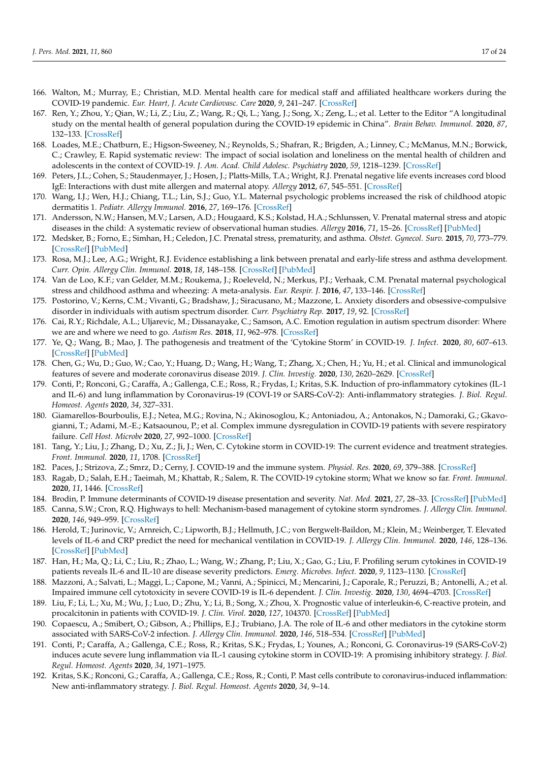- 166. Walton, M.; Murray, E.; Christian, M.D. Mental health care for medical staff and affiliated healthcare workers during the COVID-19 pandemic. *Eur. Heart, J. Acute Cardiovasc. Care* **2020**, *9*, 241–247. [\[CrossRef\]](http://doi.org/10.1177/2048872620922795)
- <span id="page-16-0"></span>167. Ren, Y.; Zhou, Y.; Qian, W.; Li, Z.; Liu, Z.; Wang, R.; Qi, L.; Yang, J.; Song, X.; Zeng, L.; et al. Letter to the Editor "A longitudinal study on the mental health of general population during the COVID-19 epidemic in China". *Brain Behav. Immunol.* **2020**, *87*, 132–133. [\[CrossRef\]](http://doi.org/10.1016/j.bbi.2020.05.004)
- <span id="page-16-1"></span>168. Loades, M.E.; Chatburn, E.; Higson-Sweeney, N.; Reynolds, S.; Shafran, R.; Brigden, A.; Linney, C.; McManus, M.N.; Borwick, C.; Crawley, E. Rapid systematic review: The impact of social isolation and loneliness on the mental health of children and adolescents in the context of COVID-19. *J. Am. Acad. Child Adolesc. Psychiatry* **2020**, *59*, 1218–1239. [\[CrossRef\]](http://doi.org/10.1016/j.jaac.2020.05.009)
- <span id="page-16-2"></span>169. Peters, J.L.; Cohen, S.; Staudenmayer, J.; Hosen, J.; Platts-Mills, T.A.; Wright, R.J. Prenatal negative life events increases cord blood IgE: Interactions with dust mite allergen and maternal atopy. *Allergy* **2012**, *67*, 545–551. [\[CrossRef\]](http://doi.org/10.1111/j.1398-9995.2012.02791.x)
- <span id="page-16-3"></span>170. Wang, I.J.; Wen, H.J.; Chiang, T.L.; Lin, S.J.; Guo, Y.L. Maternal psychologic problems increased the risk of childhood atopic dermatitis 1. *Pediatr. Allergy Immunol.* **2016**, *27*, 169–176. [\[CrossRef\]](http://doi.org/10.1111/pai.12518)
- <span id="page-16-4"></span>171. Andersson, N.W.; Hansen, M.V.; Larsen, A.D.; Hougaard, K.S.; Kolstad, H.A.; Schlunssen, V. Prenatal maternal stress and atopic diseases in the child: A systematic review of observational human studies. *Allergy* **2016**, *71*, 15–26. [\[CrossRef\]](http://doi.org/10.1111/all.12762) [\[PubMed\]](http://www.ncbi.nlm.nih.gov/pubmed/26395995)
- <span id="page-16-5"></span>172. Medsker, B.; Forno, E.; Simhan, H.; Celedon, J.C. Prenatal stress, prematurity, and asthma. *Obstet. Gynecol. Surv.* **2015**, *70*, 773–779. [\[CrossRef\]](http://doi.org/10.1097/OGX.0000000000000256) [\[PubMed\]](http://www.ncbi.nlm.nih.gov/pubmed/26676148)
- 173. Rosa, M.J.; Lee, A.G.; Wright, R.J. Evidence establishing a link between prenatal and early-life stress and asthma development. *Curr. Opin. Allergy Clin. Immunol.* **2018**, *18*, 148–158. [\[CrossRef\]](http://doi.org/10.1097/ACI.0000000000000421) [\[PubMed\]](http://www.ncbi.nlm.nih.gov/pubmed/29369067)
- <span id="page-16-6"></span>174. Van de Loo, K.F.; van Gelder, M.M.; Roukema, J.; Roeleveld, N.; Merkus, P.J.; Verhaak, C.M. Prenatal maternal psychological stress and childhood asthma and wheezing: A meta-analysis. *Eur. Respir. J.* **2016**, *47*, 133–146. [\[CrossRef\]](http://doi.org/10.1183/13993003.00299-2015)
- <span id="page-16-7"></span>175. Postorino, V.; Kerns, C.M.; Vivanti, G.; Bradshaw, J.; Siracusano, M.; Mazzone, L. Anxiety disorders and obsessive-compulsive disorder in individuals with autism spectrum disorder. *Curr. Psychiatry Rep.* **2017**, *19*, 92. [\[CrossRef\]](http://doi.org/10.1007/s11920-017-0846-y)
- <span id="page-16-8"></span>176. Cai, R.Y.; Richdale, A.L.; Uljarevic, M.; Dissanayake, C.; Samson, A.C. Emotion regulation in autism spectrum disorder: Where we are and where we need to go. *Autism Res.* **2018**, *11*, 962–978. [\[CrossRef\]](http://doi.org/10.1002/aur.1968)
- <span id="page-16-9"></span>177. Ye, Q.; Wang, B.; Mao, J. The pathogenesis and treatment of the 'Cytokine Storm' in COVID-19. *J. Infect.* **2020**, *80*, 607–613. [\[CrossRef\]](http://doi.org/10.1016/j.jinf.2020.03.037) [\[PubMed\]](http://www.ncbi.nlm.nih.gov/pubmed/32283152)
- 178. Chen, G.; Wu, D.; Guo, W.; Cao, Y.; Huang, D.; Wang, H.; Wang, T.; Zhang, X.; Chen, H.; Yu, H.; et al. Clinical and immunological features of severe and moderate coronavirus disease 2019. *J. Clin. Investig.* **2020**, *130*, 2620–2629. [\[CrossRef\]](http://doi.org/10.1172/JCI137244)
- 179. Conti, P.; Ronconi, G.; Caraffa, A.; Gallenga, C.E.; Ross, R.; Frydas, I.; Kritas, S.K. Induction of pro-inflammatory cytokines (IL-1 and IL-6) and lung inflammation by Coronavirus-19 (COVI-19 or SARS-CoV-2): Anti-inflammatory strategies. *J. Biol. Regul. Homeost. Agents* **2020**, *34*, 327–331.
- 180. Giamarellos-Bourboulis, E.J.; Netea, M.G.; Rovina, N.; Akinosoglou, K.; Antoniadou, A.; Antonakos, N.; Damoraki, G.; Gkavogianni, T.; Adami, M.-E.; Katsaounou, P.; et al. Complex immune dysregulation in COVID-19 patients with severe respiratory failure. *Cell Host. Microbe* **2020**, *27*, 992–1000. [\[CrossRef\]](http://doi.org/10.1016/j.chom.2020.04.009)
- 181. Tang, Y.; Liu, J.; Zhang, D.; Xu, Z.; Ji, J.; Wen, C. Cytokine storm in COVID-19: The current evidence and treatment strategies. *Front. Immunol.* **2020**, *11*, 1708. [\[CrossRef\]](http://doi.org/10.3389/fimmu.2020.01708)
- 182. Paces, J.; Strizova, Z.; Smrz, D.; Cerny, J. COVID-19 and the immune system. *Physiol. Res.* **2020**, *69*, 379–388. [\[CrossRef\]](http://doi.org/10.33549/physiolres.934492)
- 183. Ragab, D.; Salah, E.H.; Taeimah, M.; Khattab, R.; Salem, R. The COVID-19 cytokine storm; What we know so far. *Front. Immunol.* **2020**, *11*, 1446. [\[CrossRef\]](http://doi.org/10.3389/fimmu.2020.01446)
- 184. Brodin, P. Immune determinants of COVID-19 disease presentation and severity. *Nat. Med.* **2021**, *27*, 28–33. [\[CrossRef\]](http://doi.org/10.1038/s41591-020-01202-8) [\[PubMed\]](http://www.ncbi.nlm.nih.gov/pubmed/33442016)
- <span id="page-16-10"></span>185. Canna, S.W.; Cron, R.Q. Highways to hell: Mechanism-based management of cytokine storm syndromes. *J. Allergy Clin. Immunol.* **2020**, *146*, 949–959. [\[CrossRef\]](http://doi.org/10.1016/j.jaci.2020.09.016)
- <span id="page-16-11"></span>186. Herold, T.; Jurinovic, V.; Arnreich, C.; Lipworth, B.J.; Hellmuth, J.C.; von Bergwelt-Baildon, M.; Klein, M.; Weinberger, T. Elevated levels of IL-6 and CRP predict the need for mechanical ventilation in COVID-19. *J. Allergy Clin. Immunol.* **2020**, *146*, 128–136. [\[CrossRef\]](http://doi.org/10.1016/j.jaci.2020.05.008) [\[PubMed\]](http://www.ncbi.nlm.nih.gov/pubmed/32425269)
- 187. Han, H.; Ma, Q.; Li, C.; Liu, R.; Zhao, L.; Wang, W.; Zhang, P.; Liu, X.; Gao, G.; Liu, F. Profiling serum cytokines in COVID-19 patients reveals IL-6 and IL-10 are disease severity predictors. *Emerg. Microbes. Infect.* **2020**, *9*, 1123–1130. [\[CrossRef\]](http://doi.org/10.1080/22221751.2020.1770129)
- 188. Mazzoni, A.; Salvati, L.; Maggi, L.; Capone, M.; Vanni, A.; Spinicci, M.; Mencarini, J.; Caporale, R.; Peruzzi, B.; Antonelli, A.; et al. Impaired immune cell cytotoxicity in severe COVID-19 is IL-6 dependent. *J. Clin. Investig.* **2020**, *130*, 4694–4703. [\[CrossRef\]](http://doi.org/10.1172/JCI138554)
- <span id="page-16-12"></span>189. Liu, F.; Li, L.; Xu, M.; Wu, J.; Luo, D.; Zhu, Y.; Li, B.; Song, X.; Zhou, X. Prognostic value of interleukin-6, C-reactive protein, and procalcitonin in patients with COVID-19. *J. Clin. Virol.* **2020**, *127*, 104370. [\[CrossRef\]](http://doi.org/10.1016/j.jcv.2020.104370) [\[PubMed\]](http://www.ncbi.nlm.nih.gov/pubmed/32344321)
- <span id="page-16-13"></span>190. Copaescu, A.; Smibert, O.; Gibson, A.; Phillips, E.J.; Trubiano, J.A. The role of IL-6 and other mediators in the cytokine storm associated with SARS-CoV-2 infection. *J. Allergy Clin. Immunol.* **2020**, *146*, 518–534. [\[CrossRef\]](http://doi.org/10.1016/j.jaci.2020.07.001) [\[PubMed\]](http://www.ncbi.nlm.nih.gov/pubmed/32896310)
- <span id="page-16-14"></span>191. Conti, P.; Caraffa, A.; Gallenga, C.E.; Ross, R.; Kritas, S.K.; Frydas, I.; Younes, A.; Ronconi, G. Coronavirus-19 (SARS-CoV-2) induces acute severe lung inflammation via IL-1 causing cytokine storm in COVID-19: A promising inhibitory strategy. *J. Biol. Regul. Homeost. Agents* **2020**, *34*, 1971–1975.
- <span id="page-16-15"></span>192. Kritas, S.K.; Ronconi, G.; Caraffa, A.; Gallenga, C.E.; Ross, R.; Conti, P. Mast cells contribute to coronavirus-induced inflammation: New anti-inflammatory strategy. *J. Biol. Regul. Homeost. Agents* **2020**, *34*, 9–14.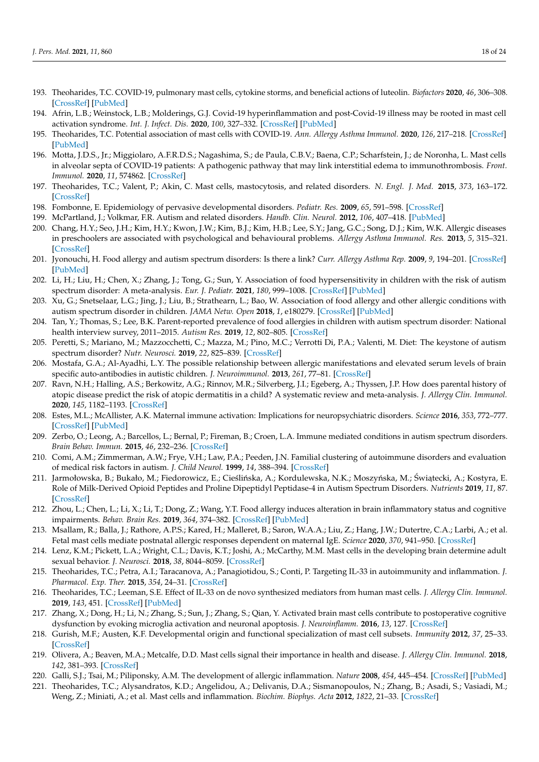- 193. Theoharides, T.C. COVID-19, pulmonary mast cells, cytokine storms, and beneficial actions of luteolin. *Biofactors* **2020**, *46*, 306–308. [\[CrossRef\]](http://doi.org/10.1002/biof.1633) [\[PubMed\]](http://www.ncbi.nlm.nih.gov/pubmed/32339387)
- 194. Afrin, L.B.; Weinstock, L.B.; Molderings, G.J. Covid-19 hyperinflammation and post-Covid-19 illness may be rooted in mast cell activation syndrome. *Int. J. Infect. Dis.* **2020**, *100*, 327–332. [\[CrossRef\]](http://doi.org/10.1016/j.ijid.2020.09.016) [\[PubMed\]](http://www.ncbi.nlm.nih.gov/pubmed/32920235)
- <span id="page-17-0"></span>195. Theoharides, T.C. Potential association of mast cells with COVID-19. *Ann. Allergy Asthma Immunol.* **2020**, *126*, 217–218. [\[CrossRef\]](http://doi.org/10.1016/j.anai.2020.11.003) [\[PubMed\]](http://www.ncbi.nlm.nih.gov/pubmed/33161155)
- <span id="page-17-1"></span>196. Motta, J.D.S., Jr.; Miggiolaro, A.F.R.D.S.; Nagashima, S.; de Paula, C.B.V.; Baena, C.P.; Scharfstein, J.; de Noronha, L. Mast cells in alveolar septa of COVID-19 patients: A pathogenic pathway that may link interstitial edema to immunothrombosis. *Front. Immunol.* **2020**, *11*, 574862. [\[CrossRef\]](http://doi.org/10.3389/fimmu.2020.574862)
- <span id="page-17-2"></span>197. Theoharides, T.C.; Valent, P.; Akin, C. Mast cells, mastocytosis, and related disorders. *N. Engl. J. Med.* **2015**, *373*, 163–172. [\[CrossRef\]](http://doi.org/10.1056/NEJMra1409760)
- <span id="page-17-3"></span>198. Fombonne, E. Epidemiology of pervasive developmental disorders. *Pediatr. Res.* **2009**, *65*, 591–598. [\[CrossRef\]](http://doi.org/10.1203/PDR.0b013e31819e7203)
- <span id="page-17-4"></span>199. McPartland, J.; Volkmar, F.R. Autism and related disorders. *Handb. Clin. Neurol.* **2012**, *106*, 407–418. [\[PubMed\]](http://www.ncbi.nlm.nih.gov/pubmed/22608634)
- <span id="page-17-5"></span>200. Chang, H.Y.; Seo, J.H.; Kim, H.Y.; Kwon, J.W.; Kim, B.J.; Kim, H.B.; Lee, S.Y.; Jang, G.C.; Song, D.J.; Kim, W.K. Allergic diseases in preschoolers are associated with psychological and behavioural problems. *Allergy Asthma Immunol. Res.* **2013**, *5*, 315–321. [\[CrossRef\]](http://doi.org/10.4168/aair.2013.5.5.315)
- <span id="page-17-6"></span>201. Jyonouchi, H. Food allergy and autism spectrum disorders: Is there a link? *Curr. Allergy Asthma Rep.* **2009**, *9*, 194–201. [\[CrossRef\]](http://doi.org/10.1007/s11882-009-0029-y) [\[PubMed\]](http://www.ncbi.nlm.nih.gov/pubmed/19348719)
- <span id="page-17-14"></span>202. Li, H.; Liu, H.; Chen, X.; Zhang, J.; Tong, G.; Sun, Y. Association of food hypersensitivity in children with the risk of autism spectrum disorder: A meta-analysis. *Eur. J. Pediatr.* **2021**, *180*, 999–1008. [\[CrossRef\]](http://doi.org/10.1007/s00431-020-03826-x) [\[PubMed\]](http://www.ncbi.nlm.nih.gov/pubmed/33145704)
- 203. Xu, G.; Snetselaar, L.G.; Jing, J.; Liu, B.; Strathearn, L.; Bao, W. Association of food allergy and other allergic conditions with autism spectrum disorder in children. *JAMA Netw. Open* **2018**, *1*, e180279. [\[CrossRef\]](http://doi.org/10.1001/jamanetworkopen.2018.0279) [\[PubMed\]](http://www.ncbi.nlm.nih.gov/pubmed/30646068)
- 204. Tan, Y.; Thomas, S.; Lee, B.K. Parent-reported prevalence of food allergies in children with autism spectrum disorder: National health interview survey, 2011–2015. *Autism Res.* **2019**, *12*, 802–805. [\[CrossRef\]](http://doi.org/10.1002/aur.2106)
- <span id="page-17-7"></span>205. Peretti, S.; Mariano, M.; Mazzocchetti, C.; Mazza, M.; Pino, M.C.; Verrotti Di, P.A.; Valenti, M. Diet: The keystone of autism spectrum disorder? *Nutr. Neurosci.* **2019**, *22*, 825–839. [\[CrossRef\]](http://doi.org/10.1080/1028415X.2018.1464819)
- <span id="page-17-8"></span>206. Mostafa, G.A.; Al-Ayadhi, L.Y. The possible relationship between allergic manifestations and elevated serum levels of brain specific auto-antibodies in autistic children. *J. Neuroimmunol.* **2013**, *261*, 77–81. [\[CrossRef\]](http://doi.org/10.1016/j.jneuroim.2013.04.003)
- <span id="page-17-9"></span>207. Ravn, N.H.; Halling, A.S.; Berkowitz, A.G.; Rinnov, M.R.; Silverberg, J.I.; Egeberg, A.; Thyssen, J.P. How does parental history of atopic disease predict the risk of atopic dermatitis in a child? A systematic review and meta-analysis. *J. Allergy Clin. Immunol.* **2020**, *145*, 1182–1193. [\[CrossRef\]](http://doi.org/10.1016/j.jaci.2019.12.899)
- <span id="page-17-10"></span>208. Estes, M.L.; McAllister, A.K. Maternal immune activation: Implications for neuropsychiatric disorders. *Science* **2016**, *353*, 772–777. [\[CrossRef\]](http://doi.org/10.1126/science.aag3194) [\[PubMed\]](http://www.ncbi.nlm.nih.gov/pubmed/27540164)
- <span id="page-17-11"></span>209. Zerbo, O.; Leong, A.; Barcellos, L.; Bernal, P.; Fireman, B.; Croen, L.A. Immune mediated conditions in autism spectrum disorders. *Brain Behav. Immun.* **2015**, *46*, 232–236. [\[CrossRef\]](http://doi.org/10.1016/j.bbi.2015.02.001)
- <span id="page-17-12"></span>210. Comi, A.M.; Zimmerman, A.W.; Frye, V.H.; Law, P.A.; Peeden, J.N. Familial clustering of autoimmune disorders and evaluation of medical risk factors in autism. *J. Child Neurol.* **1999**, *14*, 388–394. [\[CrossRef\]](http://doi.org/10.1177/088307389901400608)
- <span id="page-17-13"></span>211. Jarmołowska, B.; Bukało, M.; Fiedorowicz, E.; Cieślińska, A.; Kordulewska, N.K.; Moszyńska, M.; Świątecki, A.; Kostyra, E. Role of Milk-Derived Opioid Peptides and Proline Dipeptidyl Peptidase-4 in Autism Spectrum Disorders. *Nutrients* **2019**, *11*, 87. [\[CrossRef\]](http://doi.org/10.3390/nu11010087)
- <span id="page-17-15"></span>212. Zhou, L.; Chen, L.; Li, X.; Li, T.; Dong, Z.; Wang, Y.T. Food allergy induces alteration in brain inflammatory status and cognitive impairments. *Behav. Brain Res.* **2019**, *364*, 374–382. [\[CrossRef\]](http://doi.org/10.1016/j.bbr.2018.01.011) [\[PubMed\]](http://www.ncbi.nlm.nih.gov/pubmed/29339006)
- <span id="page-17-16"></span>213. Msallam, R.; Balla, J.; Rathore, A.P.S.; Kared, H.; Malleret, B.; Saron, W.A.A.; Liu, Z.; Hang, J.W.; Dutertre, C.A.; Larbi, A.; et al. Fetal mast cells mediate postnatal allergic responses dependent on maternal IgE. *Science* **2020**, *370*, 941–950. [\[CrossRef\]](http://doi.org/10.1126/science.aba0864)
- <span id="page-17-17"></span>214. Lenz, K.M.; Pickett, L.A.; Wright, C.L.; Davis, K.T.; Joshi, A.; McCarthy, M.M. Mast cells in the developing brain determine adult sexual behavior. *J. Neurosci.* **2018**, *38*, 8044–8059. [\[CrossRef\]](http://doi.org/10.1523/JNEUROSCI.1176-18.2018)
- <span id="page-17-18"></span>215. Theoharides, T.C.; Petra, A.I.; Taracanova, A.; Panagiotidou, S.; Conti, P. Targeting IL-33 in autoimmunity and inflammation. *J. Pharmacol. Exp. Ther.* **2015**, *354*, 24–31. [\[CrossRef\]](http://doi.org/10.1124/jpet.114.222505)
- <span id="page-17-19"></span>216. Theoharides, T.C.; Leeman, S.E. Effect of IL-33 on de novo synthesized mediators from human mast cells. *J. Allergy Clin. Immunol.* **2019**, *143*, 451. [\[CrossRef\]](http://doi.org/10.1016/j.jaci.2018.09.014) [\[PubMed\]](http://www.ncbi.nlm.nih.gov/pubmed/30390921)
- <span id="page-17-20"></span>217. Zhang, X.; Dong, H.; Li, N.; Zhang, S.; Sun, J.; Zhang, S.; Qian, Y. Activated brain mast cells contribute to postoperative cognitive dysfunction by evoking microglia activation and neuronal apoptosis. *J. Neuroinflamm.* **2016**, *13*, 127. [\[CrossRef\]](http://doi.org/10.1186/s12974-016-0592-9)
- <span id="page-17-21"></span>218. Gurish, M.F.; Austen, K.F. Developmental origin and functional specialization of mast cell subsets. *Immunity* **2012**, *37*, 25–33. [\[CrossRef\]](http://doi.org/10.1016/j.immuni.2012.07.003)
- <span id="page-17-22"></span>219. Olivera, A.; Beaven, M.A.; Metcalfe, D.D. Mast cells signal their importance in health and disease. *J. Allergy Clin. Immunol.* **2018**, *142*, 381–393. [\[CrossRef\]](http://doi.org/10.1016/j.jaci.2018.01.034)
- <span id="page-17-23"></span>220. Galli, S.J.; Tsai, M.; Piliponsky, A.M. The development of allergic inflammation. *Nature* **2008**, *454*, 445–454. [\[CrossRef\]](http://doi.org/10.1038/nature07204) [\[PubMed\]](http://www.ncbi.nlm.nih.gov/pubmed/18650915)
- <span id="page-17-24"></span>221. Theoharides, T.C.; Alysandratos, K.D.; Angelidou, A.; Delivanis, D.A.; Sismanopoulos, N.; Zhang, B.; Asadi, S.; Vasiadi, M.; Weng, Z.; Miniati, A.; et al. Mast cells and inflammation. *Biochim. Biophys. Acta* **2012**, *1822*, 21–33. [\[CrossRef\]](http://doi.org/10.1016/j.bbadis.2010.12.014)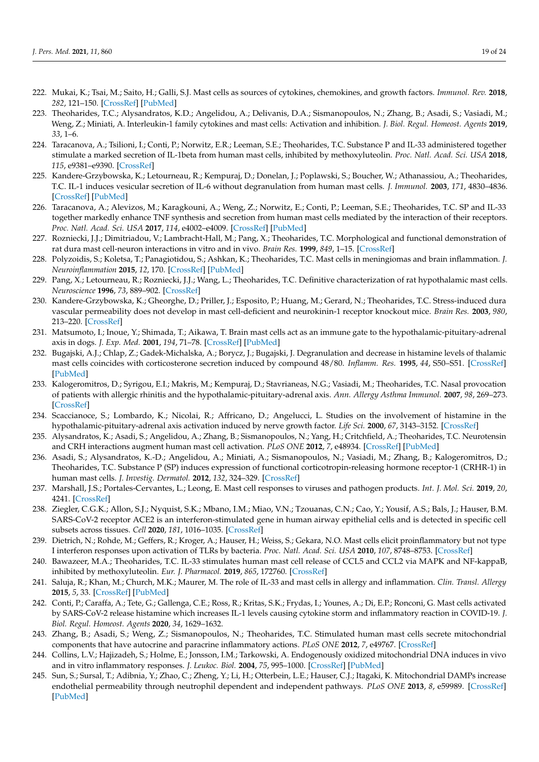- <span id="page-18-0"></span>222. Mukai, K.; Tsai, M.; Saito, H.; Galli, S.J. Mast cells as sources of cytokines, chemokines, and growth factors. *Immunol. Rev.* **2018**, *282*, 121–150. [\[CrossRef\]](http://doi.org/10.1111/imr.12634) [\[PubMed\]](http://www.ncbi.nlm.nih.gov/pubmed/29431212)
- <span id="page-18-1"></span>223. Theoharides, T.C.; Alysandratos, K.D.; Angelidou, A.; Delivanis, D.A.; Sismanopoulos, N.; Zhang, B.; Asadi, S.; Vasiadi, M.; Weng, Z.; Miniati, A. Interleukin-1 family cytokines and mast cells: Activation and inhibition. *J. Biol. Regul. Homeost. Agents* **2019**, *33*, 1–6.
- <span id="page-18-2"></span>224. Taracanova, A.; Tsilioni, I.; Conti, P.; Norwitz, E.R.; Leeman, S.E.; Theoharides, T.C. Substance P and IL-33 administered together stimulate a marked secretion of IL-1beta from human mast cells, inhibited by methoxyluteolin. *Proc. Natl. Acad. Sci. USA* **2018**, *115*, e9381–e9390. [\[CrossRef\]](http://doi.org/10.1073/pnas.1810133115)
- <span id="page-18-3"></span>225. Kandere-Grzybowska, K.; Letourneau, R.; Kempuraj, D.; Donelan, J.; Poplawski, S.; Boucher, W.; Athanassiou, A.; Theoharides, T.C. IL-1 induces vesicular secretion of IL-6 without degranulation from human mast cells. *J. Immunol.* **2003**, *171*, 4830–4836. [\[CrossRef\]](http://doi.org/10.4049/jimmunol.171.9.4830) [\[PubMed\]](http://www.ncbi.nlm.nih.gov/pubmed/14568962)
- <span id="page-18-4"></span>226. Taracanova, A.; Alevizos, M.; Karagkouni, A.; Weng, Z.; Norwitz, E.; Conti, P.; Leeman, S.E.; Theoharides, T.C. SP and IL-33 together markedly enhance TNF synthesis and secretion from human mast cells mediated by the interaction of their receptors. *Proc. Natl. Acad. Sci. USA* **2017**, *114*, e4002–e4009. [\[CrossRef\]](http://doi.org/10.1073/pnas.1524845114) [\[PubMed\]](http://www.ncbi.nlm.nih.gov/pubmed/28461492)
- <span id="page-18-5"></span>227. Rozniecki, J.J.; Dimitriadou, V.; Lambracht-Hall, M.; Pang, X.; Theoharides, T.C. Morphological and functional demonstration of rat dura mast cell-neuron interactions in vitro and in vivo. *Brain Res.* **1999**, *849*, 1–15. [\[CrossRef\]](http://doi.org/10.1016/S0006-8993(99)01855-7)
- <span id="page-18-6"></span>228. Polyzoidis, S.; Koletsa, T.; Panagiotidou, S.; Ashkan, K.; Theoharides, T.C. Mast cells in meningiomas and brain inflammation. *J. Neuroinflammation* **2015**, *12*, 170. [\[CrossRef\]](http://doi.org/10.1186/s12974-015-0388-3) [\[PubMed\]](http://www.ncbi.nlm.nih.gov/pubmed/26377554)
- <span id="page-18-7"></span>229. Pang, X.; Letourneau, R.; Rozniecki, J.J.; Wang, L.; Theoharides, T.C. Definitive characterization of rat hypothalamic mast cells. *Neuroscience* **1996**, *73*, 889–902. [\[CrossRef\]](http://doi.org/10.1016/0306-4522(95)00606-0)
- <span id="page-18-8"></span>230. Kandere-Grzybowska, K.; Gheorghe, D.; Priller, J.; Esposito, P.; Huang, M.; Gerard, N.; Theoharides, T.C. Stress-induced dura vascular permeability does not develop in mast cell-deficient and neurokinin-1 receptor knockout mice. *Brain Res.* **2003**, *980*, 213–220. [\[CrossRef\]](http://doi.org/10.1016/S0006-8993(03)02975-5)
- <span id="page-18-9"></span>231. Matsumoto, I.; Inoue, Y.; Shimada, T.; Aikawa, T. Brain mast cells act as an immune gate to the hypothalamic-pituitary-adrenal axis in dogs. *J. Exp. Med.* **2001**, *194*, 71–78. [\[CrossRef\]](http://doi.org/10.1084/jem.194.1.71) [\[PubMed\]](http://www.ncbi.nlm.nih.gov/pubmed/11435473)
- 232. Bugajski, A.J.; Chlap, Z.; Gadek-Michalska, A.; Borycz, J.; Bugajski, J. Degranulation and decrease in histamine levels of thalamic mast cells coincides with corticosterone secretion induced by compound 48/80. *Inflamm. Res.* **1995**, *44*, S50–S51. [\[CrossRef\]](http://doi.org/10.1007/BF01674391) [\[PubMed\]](http://www.ncbi.nlm.nih.gov/pubmed/8520998)
- <span id="page-18-10"></span>233. Kalogeromitros, D.; Syrigou, E.I.; Makris, M.; Kempuraj, D.; Stavrianeas, N.G.; Vasiadi, M.; Theoharides, T.C. Nasal provocation of patients with allergic rhinitis and the hypothalamic-pituitary-adrenal axis. *Ann. Allergy Asthma Immunol.* **2007**, *98*, 269–273. [\[CrossRef\]](http://doi.org/10.1016/S1081-1206(10)60717-X)
- <span id="page-18-11"></span>234. Scaccianoce, S.; Lombardo, K.; Nicolai, R.; Affricano, D.; Angelucci, L. Studies on the involvement of histamine in the hypothalamic-pituitary-adrenal axis activation induced by nerve growth factor. *Life Sci.* **2000**, *67*, 3143–3152. [\[CrossRef\]](http://doi.org/10.1016/S0024-3205(00)00899-7)
- <span id="page-18-12"></span>235. Alysandratos, K.; Asadi, S.; Angelidou, A.; Zhang, B.; Sismanopoulos, N.; Yang, H.; Critchfield, A.; Theoharides, T.C. Neurotensin and CRH interactions augment human mast cell activation. *PLoS ONE* **2012**, *7*, e48934. [\[CrossRef\]](http://doi.org/10.1371/journal.pone.0048934) [\[PubMed\]](http://www.ncbi.nlm.nih.gov/pubmed/23155429)
- <span id="page-18-13"></span>236. Asadi, S.; Alysandratos, K.-D.; Angelidou, A.; Miniati, A.; Sismanopoulos, N.; Vasiadi, M.; Zhang, B.; Kalogeromitros, D.; Theoharides, T.C. Substance P (SP) induces expression of functional corticotropin-releasing hormone receptor-1 (CRHR-1) in human mast cells. *J. Investig. Dermatol.* **2012**, *132*, 324–329. [\[CrossRef\]](http://doi.org/10.1038/jid.2011.334)
- <span id="page-18-14"></span>237. Marshall, J.S.; Portales-Cervantes, L.; Leong, E. Mast cell responses to viruses and pathogen products. *Int. J. Mol. Sci.* **2019**, *20*, 4241. [\[CrossRef\]](http://doi.org/10.3390/ijms20174241)
- <span id="page-18-15"></span>238. Ziegler, C.G.K.; Allon, S.J.; Nyquist, S.K.; Mbano, I.M.; Miao, V.N.; Tzouanas, C.N.; Cao, Y.; Yousif, A.S.; Bals, J.; Hauser, B.M. SARS-CoV-2 receptor ACE2 is an interferon-stimulated gene in human airway epithelial cells and is detected in specific cell subsets across tissues. *Cell* **2020**, *181*, 1016–1035. [\[CrossRef\]](http://doi.org/10.1016/j.cell.2020.04.035)
- <span id="page-18-16"></span>239. Dietrich, N.; Rohde, M.; Geffers, R.; Kroger, A.; Hauser, H.; Weiss, S.; Gekara, N.O. Mast cells elicit proinflammatory but not type I interferon responses upon activation of TLRs by bacteria. *Proc. Natl. Acad. Sci. USA* **2010**, *107*, 8748–8753. [\[CrossRef\]](http://doi.org/10.1073/pnas.0912551107)
- <span id="page-18-17"></span>240. Bawazeer, M.A.; Theoharides, T.C. IL-33 stimulates human mast cell release of CCL5 and CCL2 via MAPK and NF-kappaB, inhibited by methoxyluteolin. *Eur. J. Pharmacol.* **2019**, *865*, 172760. [\[CrossRef\]](http://doi.org/10.1016/j.ejphar.2019.172760)
- <span id="page-18-18"></span>241. Saluja, R.; Khan, M.; Church, M.K.; Maurer, M. The role of IL-33 and mast cells in allergy and inflammation. *Clin. Transl. Allergy* **2015**, *5*, 33. [\[CrossRef\]](http://doi.org/10.1186/s13601-015-0076-5) [\[PubMed\]](http://www.ncbi.nlm.nih.gov/pubmed/26425339)
- <span id="page-18-19"></span>242. Conti, P.; Caraffa, A.; Tete, G.; Gallenga, C.E.; Ross, R.; Kritas, S.K.; Frydas, I.; Younes, A.; Di, E.P.; Ronconi, G. Mast cells activated by SARS-CoV-2 release histamine which increases IL-1 levels causing cytokine storm and inflammatory reaction in COVID-19. *J. Biol. Regul. Homeost. Agents* **2020**, *34*, 1629–1632.
- <span id="page-18-20"></span>243. Zhang, B.; Asadi, S.; Weng, Z.; Sismanopoulos, N.; Theoharides, T.C. Stimulated human mast cells secrete mitochondrial components that have autocrine and paracrine inflammatory actions. *PLoS ONE* **2012**, *7*, e49767. [\[CrossRef\]](http://doi.org/10.1371/journal.pone.0049767)
- <span id="page-18-21"></span>244. Collins, L.V.; Hajizadeh, S.; Holme, E.; Jonsson, I.M.; Tarkowski, A. Endogenously oxidized mitochondrial DNA induces in vivo and in vitro inflammatory responses. *J. Leukoc. Biol.* **2004**, *75*, 995–1000. [\[CrossRef\]](http://doi.org/10.1189/jlb.0703328) [\[PubMed\]](http://www.ncbi.nlm.nih.gov/pubmed/14982943)
- <span id="page-18-22"></span>245. Sun, S.; Sursal, T.; Adibnia, Y.; Zhao, C.; Zheng, Y.; Li, H.; Otterbein, L.E.; Hauser, C.J.; Itagaki, K. Mitochondrial DAMPs increase endothelial permeability through neutrophil dependent and independent pathways. *PLoS ONE* **2013**, *8*, e59989. [\[CrossRef\]](http://doi.org/10.1371/journal.pone.0059989) [\[PubMed\]](http://www.ncbi.nlm.nih.gov/pubmed/23527291)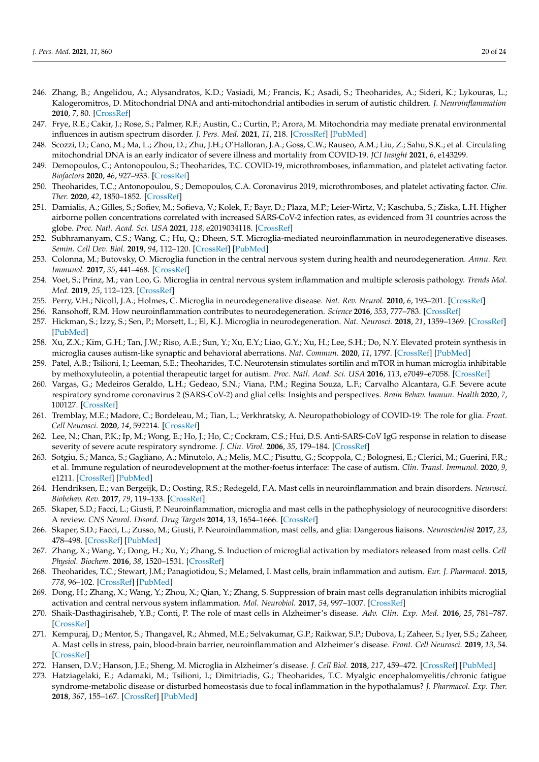- <span id="page-19-0"></span>246. Zhang, B.; Angelidou, A.; Alysandratos, K.D.; Vasiadi, M.; Francis, K.; Asadi, S.; Theoharides, A.; Sideri, K.; Lykouras, L.; Kalogeromitros, D. Mitochondrial DNA and anti-mitochondrial antibodies in serum of autistic children. *J. Neuroinflammation* **2010**, *7*, 80. [\[CrossRef\]](http://doi.org/10.1186/1742-2094-7-80)
- <span id="page-19-1"></span>247. Frye, R.E.; Cakir, J.; Rose, S.; Palmer, R.F.; Austin, C.; Curtin, P.; Arora, M. Mitochondria may mediate prenatal environmental influences in autism spectrum disorder. *J. Pers. Med.* **2021**, *11*, 218. [\[CrossRef\]](http://doi.org/10.3390/jpm11030218) [\[PubMed\]](http://www.ncbi.nlm.nih.gov/pubmed/33803789)
- <span id="page-19-2"></span>248. Scozzi, D.; Cano, M.; Ma, L.; Zhou, D.; Zhu, J.H.; O'Halloran, J.A.; Goss, C.W.; Rauseo, A.M.; Liu, Z.; Sahu, S.K.; et al. Circulating mitochondrial DNA is an early indicator of severe illness and mortality from COVID-19. *JCI Insight* **2021**, *6*, e143299.
- <span id="page-19-3"></span>249. Demopoulos, C.; Antonopoulou, S.; Theoharides, T.C. COVID-19, microthromboses, inflammation, and platelet activating factor. *Biofactors* **2020**, *46*, 927–933. [\[CrossRef\]](http://doi.org/10.1002/biof.1696)
- <span id="page-19-4"></span>250. Theoharides, T.C.; Antonopoulou, S.; Demopoulos, C.A. Coronavirus 2019, microthromboses, and platelet activating factor. *Clin. Ther.* **2020**, *42*, 1850–1852. [\[CrossRef\]](http://doi.org/10.1016/j.clinthera.2020.08.006)
- <span id="page-19-5"></span>251. Damialis, A.; Gilles, S.; Sofiev, M.; Sofieva, V.; Kolek, F.; Bayr, D.; Plaza, M.P.; Leier-Wirtz, V.; Kaschuba, S.; Ziska, L.H. Higher airborne pollen concentrations correlated with increased SARS-CoV-2 infection rates, as evidenced from 31 countries across the globe. *Proc. Natl. Acad. Sci. USA* **2021**, *118*, e2019034118. [\[CrossRef\]](http://doi.org/10.1073/pnas.2019034118)
- <span id="page-19-6"></span>252. Subhramanyam, C.S.; Wang, C.; Hu, Q.; Dheen, S.T. Microglia-mediated neuroinflammation in neurodegenerative diseases. *Semin. Cell Dev. Biol.* **2019**, *94*, 112–120. [\[CrossRef\]](http://doi.org/10.1016/j.semcdb.2019.05.004) [\[PubMed\]](http://www.ncbi.nlm.nih.gov/pubmed/31077796)
- 253. Colonna, M.; Butovsky, O. Microglia function in the central nervous system during health and neurodegeneration. *Annu. Rev. Immunol.* **2017**, *35*, 441–468. [\[CrossRef\]](http://doi.org/10.1146/annurev-immunol-051116-052358)
- <span id="page-19-7"></span>254. Voet, S.; Prinz, M.; van Loo, G. Microglia in central nervous system inflammation and multiple sclerosis pathology. *Trends Mol. Med.* **2019**, *25*, 112–123. [\[CrossRef\]](http://doi.org/10.1016/j.molmed.2018.11.005)
- <span id="page-19-8"></span>255. Perry, V.H.; Nicoll, J.A.; Holmes, C. Microglia in neurodegenerative disease. *Nat. Rev. Neurol.* **2010**, *6*, 193–201. [\[CrossRef\]](http://doi.org/10.1038/nrneurol.2010.17)
- 256. Ransohoff, R.M. How neuroinflammation contributes to neurodegeneration. *Science* **2016**, *353*, 777–783. [\[CrossRef\]](http://doi.org/10.1126/science.aag2590)
- <span id="page-19-9"></span>257. Hickman, S.; Izzy, S.; Sen, P.; Morsett, L.; El, K.J. Microglia in neurodegeneration. *Nat. Neurosci.* **2018**, *21*, 1359–1369. [\[CrossRef\]](http://doi.org/10.1038/s41593-018-0242-x) [\[PubMed\]](http://www.ncbi.nlm.nih.gov/pubmed/30258234)
- <span id="page-19-10"></span>258. Xu, Z.X.; Kim, G.H.; Tan, J.W.; Riso, A.E.; Sun, Y.; Xu, E.Y.; Liao, G.Y.; Xu, H.; Lee, S.H.; Do, N.Y. Elevated protein synthesis in microglia causes autism-like synaptic and behavioral aberrations. *Nat. Commun.* **2020**, *11*, 1797. [\[CrossRef\]](http://doi.org/10.1038/s41467-020-15530-3) [\[PubMed\]](http://www.ncbi.nlm.nih.gov/pubmed/32286273)
- <span id="page-19-11"></span>259. Patel, A.B.; Tsilioni, I.; Leeman, S.E.; Theoharides, T.C. Neurotensin stimulates sortilin and mTOR in human microglia inhibitable by methoxyluteolin, a potential therapeutic target for autism. *Proc. Natl. Acad. Sci. USA* **2016**, *113*, e7049–e7058. [\[CrossRef\]](http://doi.org/10.1073/pnas.1604992113)
- <span id="page-19-12"></span>260. Vargas, G.; Medeiros Geraldo, L.H.; Gedeao, S.N.; Viana, P.M.; Regina Souza, L.F.; Carvalho Alcantara, G.F. Severe acute respiratory syndrome coronavirus 2 (SARS-CoV-2) and glial cells: Insights and perspectives. *Brain Behav. Immun. Health* **2020**, *7*, 100127. [\[CrossRef\]](http://doi.org/10.1016/j.bbih.2020.100127)
- <span id="page-19-13"></span>261. Tremblay, M.E.; Madore, C.; Bordeleau, M.; Tian, L.; Verkhratsky, A. Neuropathobiology of COVID-19: The role for glia. *Front. Cell Neurosci.* **2020**, *14*, 592214. [\[CrossRef\]](http://doi.org/10.3389/fncel.2020.592214)
- <span id="page-19-14"></span>262. Lee, N.; Chan, P.K.; Ip, M.; Wong, E.; Ho, J.; Ho, C.; Cockram, C.S.; Hui, D.S. Anti-SARS-CoV IgG response in relation to disease severity of severe acute respiratory syndrome. *J. Clin. Virol.* **2006**, *35*, 179–184. [\[CrossRef\]](http://doi.org/10.1016/j.jcv.2005.07.005)
- <span id="page-19-15"></span>263. Sotgiu, S.; Manca, S.; Gagliano, A.; Minutolo, A.; Melis, M.C.; Pisuttu, G.; Scoppola, C.; Bolognesi, E.; Clerici, M.; Guerini, F.R.; et al. Immune regulation of neurodevelopment at the mother-foetus interface: The case of autism. *Clin. Transl. Immunol.* **2020**, *9*, e1211. [\[CrossRef\]](http://doi.org/10.1002/cti2.1211) [\[PubMed\]](http://www.ncbi.nlm.nih.gov/pubmed/33209302)
- <span id="page-19-16"></span>264. Hendriksen, E.; van Bergeijk, D.; Oosting, R.S.; Redegeld, F.A. Mast cells in neuroinflammation and brain disorders. *Neurosci. Biobehav. Rev.* **2017**, *79*, 119–133. [\[CrossRef\]](http://doi.org/10.1016/j.neubiorev.2017.05.001)
- 265. Skaper, S.D.; Facci, L.; Giusti, P. Neuroinflammation, microglia and mast cells in the pathophysiology of neurocognitive disorders: A review. *CNS Neurol. Disord. Drug Targets* **2014**, *13*, 1654–1666. [\[CrossRef\]](http://doi.org/10.2174/1871527313666141130224206)
- <span id="page-19-18"></span>266. Skaper, S.D.; Facci, L.; Zusso, M.; Giusti, P. Neuroinflammation, mast cells, and glia: Dangerous liaisons. *Neuroscientist* **2017**, *23*, 478–498. [\[CrossRef\]](http://doi.org/10.1177/1073858416687249) [\[PubMed\]](http://www.ncbi.nlm.nih.gov/pubmed/29283023)
- <span id="page-19-17"></span>267. Zhang, X.; Wang, Y.; Dong, H.; Xu, Y.; Zhang, S. Induction of microglial activation by mediators released from mast cells. *Cell Physiol. Biochem.* **2016**, *38*, 1520–1531. [\[CrossRef\]](http://doi.org/10.1159/000443093)
- <span id="page-19-19"></span>268. Theoharides, T.C.; Stewart, J.M.; Panagiotidou, S.; Melamed, I. Mast cells, brain inflammation and autism. *Eur. J. Pharmacol.* **2015**, *778*, 96–102. [\[CrossRef\]](http://doi.org/10.1016/j.ejphar.2015.03.086) [\[PubMed\]](http://www.ncbi.nlm.nih.gov/pubmed/25941080)
- <span id="page-19-20"></span>269. Dong, H.; Zhang, X.; Wang, Y.; Zhou, X.; Qian, Y.; Zhang, S. Suppression of brain mast cells degranulation inhibits microglial activation and central nervous system inflammation. *Mol. Neurobiol.* **2017**, *54*, 997–1007. [\[CrossRef\]](http://doi.org/10.1007/s12035-016-9720-x)
- <span id="page-19-21"></span>270. Shaik-Dasthagirisaheb, Y.B.; Conti, P. The role of mast cells in Alzheimer's disease. *Adv. Clin. Exp. Med.* **2016**, *25*, 781–787. [\[CrossRef\]](http://doi.org/10.17219/acem/61914)
- <span id="page-19-22"></span>271. Kempuraj, D.; Mentor, S.; Thangavel, R.; Ahmed, M.E.; Selvakumar, G.P.; Raikwar, S.P.; Dubova, I.; Zaheer, S.; Iyer, S.S.; Zaheer, A. Mast cells in stress, pain, blood-brain barrier, neuroinflammation and Alzheimer's disease. *Front. Cell Neurosci.* **2019**, *13*, 54. [\[CrossRef\]](http://doi.org/10.3389/fncel.2019.00054)
- <span id="page-19-23"></span>272. Hansen, D.V.; Hanson, J.E.; Sheng, M. Microglia in Alzheimer's disease. *J. Cell Biol.* **2018**, *217*, 459–472. [\[CrossRef\]](http://doi.org/10.1083/jcb.201709069) [\[PubMed\]](http://www.ncbi.nlm.nih.gov/pubmed/29196460)
- <span id="page-19-24"></span>273. Hatziagelaki, E.; Adamaki, M.; Tsilioni, I.; Dimitriadis, G.; Theoharides, T.C. Myalgic encephalomyelitis/chronic fatigue syndrome-metabolic disease or disturbed homeostasis due to focal inflammation in the hypothalamus? *J. Pharmacol. Exp. Ther.* **2018**, *367*, 155–167. [\[CrossRef\]](http://doi.org/10.1124/jpet.118.250845) [\[PubMed\]](http://www.ncbi.nlm.nih.gov/pubmed/30076265)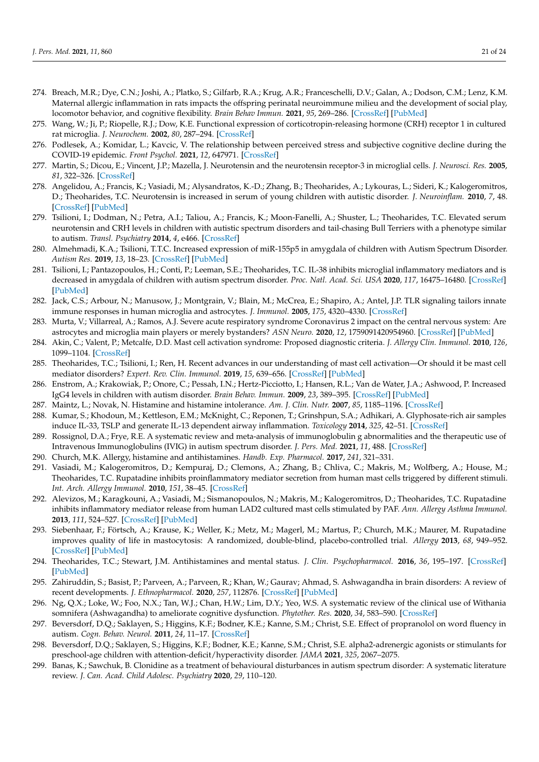- <span id="page-20-0"></span>274. Breach, M.R.; Dye, C.N.; Joshi, A.; Platko, S.; Gilfarb, R.A.; Krug, A.R.; Franceschelli, D.V.; Galan, A.; Dodson, C.M.; Lenz, K.M. Maternal allergic inflammation in rats impacts the offspring perinatal neuroimmune milieu and the development of social play, locomotor behavior, and cognitive flexibility. *Brain Behav Immun.* **2021**, *95*, 269–286. [\[CrossRef\]](http://doi.org/10.1016/j.bbi.2021.03.025) [\[PubMed\]](http://www.ncbi.nlm.nih.gov/pubmed/33798637)
- <span id="page-20-1"></span>275. Wang, W.; Ji, P.; Riopelle, R.J.; Dow, K.E. Functional expression of corticotropin-releasing hormone (CRH) receptor 1 in cultured rat microglia. *J. Neurochem.* **2002**, *80*, 287–294. [\[CrossRef\]](http://doi.org/10.1046/j.0022-3042.2001.00687.x)
- <span id="page-20-2"></span>276. Podlesek, A.; Komidar, L.; Kavcic, V. The relationship between perceived stress and subjective cognitive decline during the COVID-19 epidemic. *Front Psychol.* **2021**, *12*, 647971. [\[CrossRef\]](http://doi.org/10.3389/fpsyg.2021.647971)
- <span id="page-20-3"></span>277. Martin, S.; Dicou, E.; Vincent, J.P.; Mazella, J. Neurotensin and the neurotensin receptor-3 in microglial cells. *J. Neurosci. Res.* **2005**, *81*, 322–326. [\[CrossRef\]](http://doi.org/10.1002/jnr.20477)
- <span id="page-20-4"></span>278. Angelidou, A.; Francis, K.; Vasiadi, M.; Alysandratos, K.-D.; Zhang, B.; Theoharides, A.; Lykouras, L.; Sideri, K.; Kalogeromitros, D.; Theoharides, T.C. Neurotensin is increased in serum of young children with autistic disorder. *J. Neuroinflam.* **2010**, *7*, 48. [\[CrossRef\]](http://doi.org/10.1186/1742-2094-7-48) [\[PubMed\]](http://www.ncbi.nlm.nih.gov/pubmed/20731814)
- <span id="page-20-5"></span>279. Tsilioni, I.; Dodman, N.; Petra, A.I.; Taliou, A.; Francis, K.; Moon-Fanelli, A.; Shuster, L.; Theoharides, T.C. Elevated serum neurotensin and CRH levels in children with autistic spectrum disorders and tail-chasing Bull Terriers with a phenotype similar to autism. *Transl. Psychiatry* **2014**, *4*, e466. [\[CrossRef\]](http://doi.org/10.1038/tp.2014.106)
- <span id="page-20-6"></span>280. Almehmadi, K.A.; Tsilioni, T.T.C. Increased expression of miR-155p5 in amygdala of children with Autism Spectrum Disorder. *Autism Res.* **2019**, *13*, 18–23. [\[CrossRef\]](http://doi.org/10.1002/aur.2205) [\[PubMed\]](http://www.ncbi.nlm.nih.gov/pubmed/31502418)
- <span id="page-20-7"></span>281. Tsilioni, I.; Pantazopoulos, H.; Conti, P.; Leeman, S.E.; Theoharides, T.C. IL-38 inhibits microglial inflammatory mediators and is decreased in amygdala of children with autism spectrum disorder. *Proc. Natl. Acad. Sci. USA* **2020**, *117*, 16475–16480. [\[CrossRef\]](http://doi.org/10.1073/pnas.2004666117) [\[PubMed\]](http://www.ncbi.nlm.nih.gov/pubmed/32601180)
- <span id="page-20-8"></span>282. Jack, C.S.; Arbour, N.; Manusow, J.; Montgrain, V.; Blain, M.; McCrea, E.; Shapiro, A.; Antel, J.P. TLR signaling tailors innate immune responses in human microglia and astrocytes. *J. Immunol.* **2005**, *175*, 4320–4330. [\[CrossRef\]](http://doi.org/10.4049/jimmunol.175.7.4320)
- <span id="page-20-9"></span>283. Murta, V.; Villarreal, A.; Ramos, A.J. Severe acute respiratory syndrome Coronavirus 2 impact on the central nervous system: Are astrocytes and microglia main players or merely bystanders? *ASN Neuro.* **2020**, *12*, 1759091420954960. [\[CrossRef\]](http://doi.org/10.1177/1759091420954960) [\[PubMed\]](http://www.ncbi.nlm.nih.gov/pubmed/32878468)
- <span id="page-20-10"></span>284. Akin, C.; Valent, P.; Metcalfe, D.D. Mast cell activation syndrome: Proposed diagnostic criteria. *J. Allergy Clin. Immunol.* **2010**, *126*, 1099–1104. [\[CrossRef\]](http://doi.org/10.1016/j.jaci.2010.08.035)
- <span id="page-20-11"></span>285. Theoharides, T.C.; Tsilioni, I.; Ren, H. Recent advances in our understanding of mast cell activation—Or should it be mast cell mediator disorders? *Expert. Rev. Clin. Immunol.* **2019**, *15*, 639–656. [\[CrossRef\]](http://doi.org/10.1080/1744666X.2019.1596800) [\[PubMed\]](http://www.ncbi.nlm.nih.gov/pubmed/30884251)
- <span id="page-20-12"></span>286. Enstrom, A.; Krakowiak, P.; Onore, C.; Pessah, I.N.; Hertz-Picciotto, I.; Hansen, R.L.; Van de Water, J.A.; Ashwood, P. Increased IgG4 levels in children with autism disorder. *Brain Behav. Immun.* **2009**, *23*, 389–395. [\[CrossRef\]](http://doi.org/10.1016/j.bbi.2008.12.005) [\[PubMed\]](http://www.ncbi.nlm.nih.gov/pubmed/19136055)
- <span id="page-20-13"></span>287. Maintz, L.; Novak, N. Histamine and histamine intolerance. *Am. J. Clin. Nutr.* **2007**, *85*, 1185–1196. [\[CrossRef\]](http://doi.org/10.1093/ajcn/85.5.1185)
- <span id="page-20-14"></span>288. Kumar, S.; Khodoun, M.; Kettleson, E.M.; McKnight, C.; Reponen, T.; Grinshpun, S.A.; Adhikari, A. Glyphosate-rich air samples induce IL-33, TSLP and generate IL-13 dependent airway inflammation. *Toxicology* **2014**, *325*, 42–51. [\[CrossRef\]](http://doi.org/10.1016/j.tox.2014.08.008)
- <span id="page-20-15"></span>289. Rossignol, D.A.; Frye, R.E. A systematic review and meta-analysis of immunoglobulin g abnormalities and the therapeutic use of Intravenous Immunoglobulins (IVIG) in autism spectrum disorder. *J. Pers. Med.* **2021**, *11*, 488. [\[CrossRef\]](http://doi.org/10.3390/jpm11060488)
- <span id="page-20-16"></span>290. Church, M.K. Allergy, histamine and antihistamines. *Handb. Exp. Pharmacol.* **2017**, *241*, 321–331.
- <span id="page-20-17"></span>291. Vasiadi, M.; Kalogeromitros, D.; Kempuraj, D.; Clemons, A.; Zhang, B.; Chliva, C.; Makris, M.; Wolfberg, A.; House, M.; Theoharides, T.C. Rupatadine inhibits proinflammatory mediator secretion from human mast cells triggered by different stimuli. *Int. Arch. Allergy Immunol.* **2010**, *151*, 38–45. [\[CrossRef\]](http://doi.org/10.1159/000232569)
- 292. Alevizos, M.; Karagkouni, A.; Vasiadi, M.; Sismanopoulos, N.; Makris, M.; Kalogeromitros, D.; Theoharides, T.C. Rupatadine inhibits inflammatory mediator release from human LAD2 cultured mast cells stimulated by PAF. *Ann. Allergy Asthma Immunol.* **2013**, *111*, 524–527. [\[CrossRef\]](http://doi.org/10.1016/j.anai.2013.08.025) [\[PubMed\]](http://www.ncbi.nlm.nih.gov/pubmed/24267366)
- <span id="page-20-18"></span>293. Siebenhaar, F.; Förtsch, A.; Krause, K.; Weller, K.; Metz, M.; Magerl, M.; Martus, P.; Church, M.K.; Maurer, M. Rupatadine improves quality of life in mastocytosis: A randomized, double-blind, placebo-controlled trial. *Allergy* **2013**, *68*, 949–952. [\[CrossRef\]](http://doi.org/10.1111/all.12159) [\[PubMed\]](http://www.ncbi.nlm.nih.gov/pubmed/23734572)
- <span id="page-20-19"></span>294. Theoharides, T.C.; Stewart, J.M. Antihistamines and mental status. *J. Clin. Psychopharmacol.* **2016**, *36*, 195–197. [\[CrossRef\]](http://doi.org/10.1097/JCP.0000000000000483) [\[PubMed\]](http://www.ncbi.nlm.nih.gov/pubmed/26974123)
- <span id="page-20-20"></span>295. Zahiruddin, S.; Basist, P.; Parveen, A.; Parveen, R.; Khan, W.; Gaurav; Ahmad, S. Ashwagandha in brain disorders: A review of recent developments. *J. Ethnopharmacol.* **2020**, *257*, 112876. [\[CrossRef\]](http://doi.org/10.1016/j.jep.2020.112876) [\[PubMed\]](http://www.ncbi.nlm.nih.gov/pubmed/32305638)
- <span id="page-20-21"></span>296. Ng, Q.X.; Loke, W.; Foo, N.X.; Tan, W.J.; Chan, H.W.; Lim, D.Y.; Yeo, W.S. A systematic review of the clinical use of Withania somnifera (Ashwagandha) to ameliorate cognitive dysfunction. *Phytother. Res.* **2020**, *34*, 583–590. [\[CrossRef\]](http://doi.org/10.1002/ptr.6552)
- <span id="page-20-22"></span>297. Beversdorf, D.Q.; Saklayen, S.; Higgins, K.F.; Bodner, K.E.; Kanne, S.M.; Christ, S.E. Effect of propranolol on word fluency in autism. *Cogn. Behav. Neurol.* **2011**, *24*, 11–17. [\[CrossRef\]](http://doi.org/10.1097/WNN.0b013e318204d20e)
- <span id="page-20-23"></span>298. Beversdorf, D.Q.; Saklayen, S.; Higgins, K.F.; Bodner, K.E.; Kanne, S.M.; Christ, S.E. alpha2-adrenergic agonists or stimulants for preschool-age children with attention-deficit/hyperactivity disorder. *JAMA* **2021**, *325*, 2067–2075.
- <span id="page-20-24"></span>299. Banas, K.; Sawchuk, B. Clonidine as a treatment of behavioural disturbances in autism spectrum disorder: A systematic literature review. *J. Can. Acad. Child Adolesc. Psychiatry* **2020**, *29*, 110–120.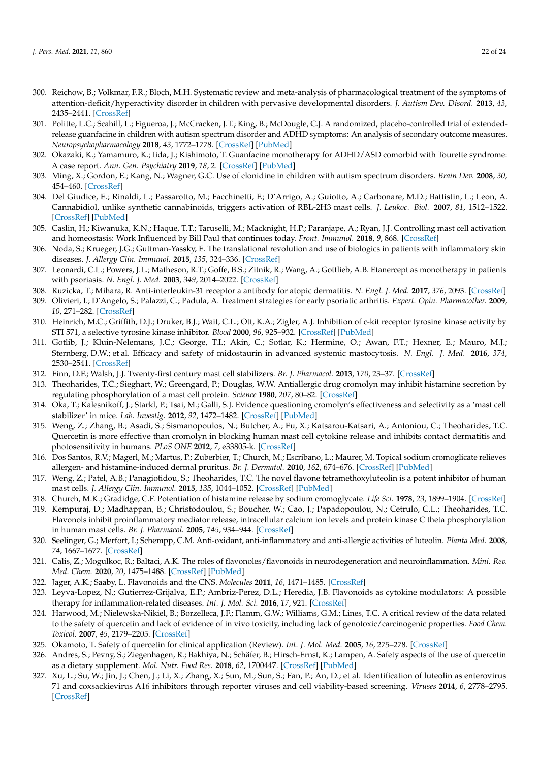- <span id="page-21-0"></span>300. Reichow, B.; Volkmar, F.R.; Bloch, M.H. Systematic review and meta-analysis of pharmacological treatment of the symptoms of attention-deficit/hyperactivity disorder in children with pervasive developmental disorders. *J. Autism Dev. Disord.* **2013**, *43*, 2435–2441. [\[CrossRef\]](http://doi.org/10.1007/s10803-013-1793-z)
- <span id="page-21-1"></span>301. Politte, L.C.; Scahill, L.; Figueroa, J.; McCracken, J.T.; King, B.; McDougle, C.J. A randomized, placebo-controlled trial of extendedrelease guanfacine in children with autism spectrum disorder and ADHD symptoms: An analysis of secondary outcome measures. *Neuropsychopharmacology* **2018**, *43*, 1772–1778. [\[CrossRef\]](http://doi.org/10.1038/s41386-018-0039-3) [\[PubMed\]](http://www.ncbi.nlm.nih.gov/pubmed/29540864)
- <span id="page-21-2"></span>302. Okazaki, K.; Yamamuro, K.; Iida, J.; Kishimoto, T. Guanfacine monotherapy for ADHD/ASD comorbid with Tourette syndrome: A case report. *Ann. Gen. Psychiatry* **2019**, *18*, 2. [\[CrossRef\]](http://doi.org/10.1186/s12991-019-0226-6) [\[PubMed\]](http://www.ncbi.nlm.nih.gov/pubmed/30899317)
- <span id="page-21-3"></span>303. Ming, X.; Gordon, E.; Kang, N.; Wagner, G.C. Use of clonidine in children with autism spectrum disorders. *Brain Dev.* **2008**, *30*, 454–460. [\[CrossRef\]](http://doi.org/10.1016/j.braindev.2007.12.007)
- <span id="page-21-4"></span>304. Del Giudice, E.; Rinaldi, L.; Passarotto, M.; Facchinetti, F.; D'Arrigo, A.; Guiotto, A.; Carbonare, M.D.; Battistin, L.; Leon, A. Cannabidiol, unlike synthetic cannabinoids, triggers activation of RBL-2H3 mast cells. *J. Leukoc. Biol.* **2007**, *81*, 1512–1522. [\[CrossRef\]](http://doi.org/10.1189/jlb.1206738) [\[PubMed\]](http://www.ncbi.nlm.nih.gov/pubmed/17339608)
- <span id="page-21-5"></span>305. Caslin, H.; Kiwanuka, K.N.; Haque, T.T.; Taruselli, M.; Macknight, H.P.; Paranjape, A.; Ryan, J.J. Controlling mast cell activation and homeostasis: Work Influenced by Bill Paul that continues today. *Front. Immunol.* **2018**, *9*, 868. [\[CrossRef\]](http://doi.org/10.3389/fimmu.2018.00868)
- <span id="page-21-6"></span>306. Noda, S.; Krueger, J.G.; Guttman-Yassky, E. The translational revolution and use of biologics in patients with inflammatory skin diseases. *J. Allergy Clin. Immunol.* **2015**, *135*, 324–336. [\[CrossRef\]](http://doi.org/10.1016/j.jaci.2014.11.015)
- <span id="page-21-7"></span>307. Leonardi, C.L.; Powers, J.L.; Matheson, R.T.; Goffe, B.S.; Zitnik, R.; Wang, A.; Gottlieb, A.B. Etanercept as monotherapy in patients with psoriasis. *N. Engl. J. Med.* **2003**, *349*, 2014–2022. [\[CrossRef\]](http://doi.org/10.1056/NEJMoa030409)
- <span id="page-21-8"></span>308. Ruzicka, T.; Mihara, R. Anti-interleukin-31 receptor a antibody for atopic dermatitis. *N. Engl. J. Med.* **2017**, *376*, 2093. [\[CrossRef\]](http://doi.org/10.1056/NEJMoa1606490)
- <span id="page-21-9"></span>309. Olivieri, I.; D'Angelo, S.; Palazzi, C.; Padula, A. Treatment strategies for early psoriatic arthritis. *Expert. Opin. Pharmacother.* **2009**, *10*, 271–282. [\[CrossRef\]](http://doi.org/10.1517/14656560802653198)
- <span id="page-21-10"></span>310. Heinrich, M.C.; Griffith, D.J.; Druker, B.J.; Wait, C.L.; Ott, K.A.; Zigler, A.J. Inhibition of c-kit receptor tyrosine kinase activity by STI 571, a selective tyrosine kinase inhibitor. *Blood* **2000**, *96*, 925–932. [\[CrossRef\]](http://doi.org/10.1182/blood.V96.3.925) [\[PubMed\]](http://www.ncbi.nlm.nih.gov/pubmed/10910906)
- <span id="page-21-11"></span>311. Gotlib, J.; Kluin-Nelemans, J.C.; George, T.I.; Akin, C.; Sotlar, K.; Hermine, O.; Awan, F.T.; Hexner, E.; Mauro, M.J.; Sternberg, D.W.; et al. Efficacy and safety of midostaurin in advanced systemic mastocytosis. *N. Engl. J. Med.* **2016**, *374*, 2530–2541. [\[CrossRef\]](http://doi.org/10.1056/NEJMoa1513098)
- <span id="page-21-12"></span>312. Finn, D.F.; Walsh, J.J. Twenty-first century mast cell stabilizers. *Br. J. Pharmacol.* **2013**, *170*, 23–37. [\[CrossRef\]](http://doi.org/10.1111/bph.12138)
- <span id="page-21-13"></span>313. Theoharides, T.C.; Sieghart, W.; Greengard, P.; Douglas, W.W. Antiallergic drug cromolyn may inhibit histamine secretion by regulating phosphorylation of a mast cell protein. *Science* **1980**, *207*, 80–82. [\[CrossRef\]](http://doi.org/10.1126/science.6153130)
- <span id="page-21-14"></span>314. Oka, T.; Kalesnikoff, J.; Starkl, P.; Tsai, M.; Galli, S.J. Evidence questioning cromolyn's effectiveness and selectivity as a 'mast cell stabilizer' in mice. *Lab. Investig.* **2012**, *92*, 1472–1482. [\[CrossRef\]](http://doi.org/10.1038/labinvest.2012.116) [\[PubMed\]](http://www.ncbi.nlm.nih.gov/pubmed/22906983)
- <span id="page-21-15"></span>315. Weng, Z.; Zhang, B.; Asadi, S.; Sismanopoulos, N.; Butcher, A.; Fu, X.; Katsarou-Katsari, A.; Antoniou, C.; Theoharides, T.C. Quercetin is more effective than cromolyn in blocking human mast cell cytokine release and inhibits contact dermatitis and photosensitivity in humans. *PLoS ONE* **2012**, *7*, e33805-k. [\[CrossRef\]](http://doi.org/10.1371/journal.pone.0033805)
- 316. Dos Santos, R.V.; Magerl, M.; Martus, P.; Zuberbier, T.; Church, M.; Escribano, L.; Maurer, M. Topical sodium cromoglicate relieves allergen- and histamine-induced dermal pruritus. *Br. J. Dermatol.* **2010**, *162*, 674–676. [\[CrossRef\]](http://doi.org/10.1111/j.1365-2133.2009.09516.x) [\[PubMed\]](http://www.ncbi.nlm.nih.gov/pubmed/19785618)
- <span id="page-21-16"></span>317. Weng, Z.; Patel, A.B.; Panagiotidou, S.; Theoharides, T.C. The novel flavone tetramethoxyluteolin is a potent inhibitor of human mast cells. *J. Allergy Clin. Immunol.* **2015**, *135*, 1044–1052. [\[CrossRef\]](http://doi.org/10.1016/j.jaci.2014.10.032) [\[PubMed\]](http://www.ncbi.nlm.nih.gov/pubmed/25498791)
- <span id="page-21-17"></span>318. Church, M.K.; Gradidge, C.F. Potentiation of histamine release by sodium cromoglycate. *Life Sci.* **1978**, *23*, 1899–1904. [\[CrossRef\]](http://doi.org/10.1016/0024-3205(78)90555-6)
- <span id="page-21-18"></span>319. Kempuraj, D.; Madhappan, B.; Christodoulou, S.; Boucher, W.; Cao, J.; Papadopoulou, N.; Cetrulo, C.L.; Theoharides, T.C. Flavonols inhibit proinflammatory mediator release, intracellular calcium ion levels and protein kinase C theta phosphorylation in human mast cells. *Br. J. Pharmacol.* **2005**, *145*, 934–944. [\[CrossRef\]](http://doi.org/10.1038/sj.bjp.0706246)
- <span id="page-21-23"></span>320. Seelinger, G.; Merfort, I.; Schempp, C.M. Anti-oxidant, anti-inflammatory and anti-allergic activities of luteolin. *Planta Med.* **2008**, *74*, 1667–1677. [\[CrossRef\]](http://doi.org/10.1055/s-0028-1088314)
- 321. Calis, Z.; Mogulkoc, R.; Baltaci, A.K. The roles of flavonoles/flavonoids in neurodegeneration and neuroinflammation. *Mini. Rev. Med. Chem.* **2020**, *20*, 1475–1488. [\[CrossRef\]](http://doi.org/10.2174/1389557519666190617150051) [\[PubMed\]](http://www.ncbi.nlm.nih.gov/pubmed/31288717)
- 322. Jager, A.K.; Saaby, L. Flavonoids and the CNS. *Molecules* **2011**, *16*, 1471–1485. [\[CrossRef\]](http://doi.org/10.3390/molecules16021471)
- <span id="page-21-19"></span>323. Leyva-Lopez, N.; Gutierrez-Grijalva, E.P.; Ambriz-Perez, D.L.; Heredia, J.B. Flavonoids as cytokine modulators: A possible therapy for inflammation-related diseases. *Int. J. Mol. Sci.* **2016**, *17*, 921. [\[CrossRef\]](http://doi.org/10.3390/ijms17060921)
- <span id="page-21-20"></span>324. Harwood, M.; Nielewska-Nikiel, B.; Borzelleca, J.F.; Flamm, G.W.; Williams, G.M.; Lines, T.C. A critical review of the data related to the safety of quercetin and lack of evidence of in vivo toxicity, including lack of genotoxic/carcinogenic properties. *Food Chem. Toxicol.* **2007**, *45*, 2179–2205. [\[CrossRef\]](http://doi.org/10.1016/j.fct.2007.05.015)
- 325. Okamoto, T. Safety of quercetin for clinical application (Review). *Int. J. Mol. Med.* **2005**, *16*, 275–278. [\[CrossRef\]](http://doi.org/10.3892/ijmm.16.2.275)
- <span id="page-21-21"></span>326. Andres, S.; Pevny, S.; Ziegenhagen, R.; Bakhiya, N.; Schäfer, B.; Hirsch-Ernst, K.; Lampen, A. Safety aspects of the use of quercetin as a dietary supplement. *Mol. Nutr. Food Res.* **2018**, *62*, 1700447. [\[CrossRef\]](http://doi.org/10.1002/mnfr.201700447) [\[PubMed\]](http://www.ncbi.nlm.nih.gov/pubmed/29127724)
- <span id="page-21-22"></span>327. Xu, L.; Su, W.; Jin, J.; Chen, J.; Li, X.; Zhang, X.; Sun, M.; Sun, S.; Fan, P.; An, D.; et al. Identification of luteolin as enterovirus 71 and coxsackievirus A16 inhibitors through reporter viruses and cell viability-based screening. *Viruses* **2014**, *6*, 2778–2795. [\[CrossRef\]](http://doi.org/10.3390/v6072778)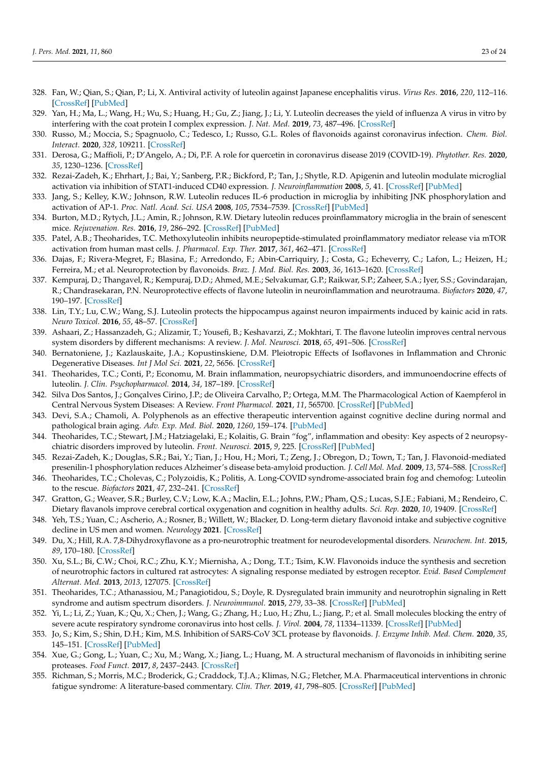- 328. Fan, W.; Qian, S.; Qian, P.; Li, X. Antiviral activity of luteolin against Japanese encephalitis virus. *Virus Res.* **2016**, *220*, 112–116. [\[CrossRef\]](http://doi.org/10.1016/j.virusres.2016.04.021) [\[PubMed\]](http://www.ncbi.nlm.nih.gov/pubmed/27126774)
- <span id="page-22-0"></span>329. Yan, H.; Ma, L.; Wang, H.; Wu, S.; Huang, H.; Gu, Z.; Jiang, J.; Li, Y. Luteolin decreases the yield of influenza A virus in vitro by interfering with the coat protein I complex expression. *J. Nat. Med.* **2019**, *73*, 487–496. [\[CrossRef\]](http://doi.org/10.1007/s11418-019-01287-7)
- <span id="page-22-1"></span>330. Russo, M.; Moccia, S.; Spagnuolo, C.; Tedesco, I.; Russo, G.L. Roles of flavonoids against coronavirus infection. *Chem. Biol. Interact.* **2020**, *328*, 109211. [\[CrossRef\]](http://doi.org/10.1016/j.cbi.2020.109211)
- <span id="page-22-2"></span>331. Derosa, G.; Maffioli, P.; D'Angelo, A.; Di, P.F. A role for quercetin in coronavirus disease 2019 (COVID-19). *Phytother. Res.* **2020**, *35*, 1230–1236. [\[CrossRef\]](http://doi.org/10.1002/ptr.6887)
- <span id="page-22-3"></span>332. Rezai-Zadeh, K.; Ehrhart, J.; Bai, Y.; Sanberg, P.R.; Bickford, P.; Tan, J.; Shytle, R.D. Apigenin and luteolin modulate microglial activation via inhibition of STAT1-induced CD40 expression. *J. Neuroinflammation* **2008**, *5*, 41. [\[CrossRef\]](http://doi.org/10.1186/1742-2094-5-41) [\[PubMed\]](http://www.ncbi.nlm.nih.gov/pubmed/18817573)
- <span id="page-22-24"></span>333. Jang, S.; Kelley, K.W.; Johnson, R.W. Luteolin reduces IL-6 production in microglia by inhibiting JNK phosphorylation and activation of AP-1. *Proc. Natl. Acad. Sci. USA* **2008**, *105*, 7534–7539. [\[CrossRef\]](http://doi.org/10.1073/pnas.0802865105) [\[PubMed\]](http://www.ncbi.nlm.nih.gov/pubmed/18490655)
- <span id="page-22-4"></span>334. Burton, M.D.; Rytych, J.L.; Amin, R.; Johnson, R.W. Dietary luteolin reduces proinflammatory microglia in the brain of senescent mice. *Rejuvenation. Res.* **2016**, *19*, 286–292. [\[CrossRef\]](http://doi.org/10.1089/rej.2015.1708) [\[PubMed\]](http://www.ncbi.nlm.nih.gov/pubmed/26918466)
- <span id="page-22-5"></span>335. Patel, A.B.; Theoharides, T.C. Methoxyluteolin inhibits neuropeptide-stimulated proinflammatory mediator release via mTOR activation from human mast cells. *J. Pharmacol. Exp. Ther.* **2017**, *361*, 462–471. [\[CrossRef\]](http://doi.org/10.1124/jpet.117.240564)
- <span id="page-22-6"></span>336. Dajas, F.; Rivera-Megret, F.; Blasina, F.; Arredondo, F.; Abin-Carriquiry, J.; Costa, G.; Echeverry, C.; Lafon, L.; Heizen, H.; Ferreira, M.; et al. Neuroprotection by flavonoids. *Braz. J. Med. Biol. Res.* **2003**, *36*, 1613–1620. [\[CrossRef\]](http://doi.org/10.1590/S0100-879X2003001200002)
- <span id="page-22-8"></span>337. Kempuraj, D.; Thangavel, R.; Kempuraj, D.D.; Ahmed, M.E.; Selvakumar, G.P.; Raikwar, S.P.; Zaheer, S.A.; Iyer, S.S.; Govindarajan, R.; Chandrasekaran, P.N. Neuroprotective effects of flavone luteolin in neuroinflammation and neurotrauma. *Biofactors* **2020**, *47*, 190–197. [\[CrossRef\]](http://doi.org/10.1002/biof.1687)
- 338. Lin, T.Y.; Lu, C.W.; Wang, S.J. Luteolin protects the hippocampus against neuron impairments induced by kainic acid in rats. *Neuro Toxicol.* **2016**, *55*, 48–57. [\[CrossRef\]](http://doi.org/10.1016/j.neuro.2016.05.008)
- <span id="page-22-7"></span>339. Ashaari, Z.; Hassanzadeh, G.; Alizamir, T.; Yousefi, B.; Keshavarzi, Z.; Mokhtari, T. The flavone luteolin improves central nervous system disorders by different mechanisms: A review. *J. Mol. Neurosci.* **2018**, *65*, 491–506. [\[CrossRef\]](http://doi.org/10.1007/s12031-018-1094-2)
- <span id="page-22-9"></span>340. Bernatoniene, J.; Kazlauskaite, J.A.; Kopustinskiene, D.M. Pleiotropic Effects of Isoflavones in Inflammation and Chronic Degenerative Diseases. *Int J Mol Sci.* **2021**, *22*, 5656. [\[CrossRef\]](http://doi.org/10.3390/ijms22115656)
- 341. Theoharides, T.C.; Conti, P.; Economu, M. Brain inflammation, neuropsychiatric disorders, and immunoendocrine effects of luteolin. *J. Clin. Psychopharmacol.* **2014**, *34*, 187–189. [\[CrossRef\]](http://doi.org/10.1097/JCP.0000000000000084)
- <span id="page-22-10"></span>342. Silva Dos Santos, J.; Gonçalves Cirino, J.P.; de Oliveira Carvalho, P.; Ortega, M.M. The Pharmacological Action of Kaempferol in Central Nervous System Diseases: A Review. *Front Pharmacol.* **2021**, *11*, 565700. [\[CrossRef\]](http://doi.org/10.3389/fphar.2020.565700) [\[PubMed\]](http://www.ncbi.nlm.nih.gov/pubmed/33519431)
- <span id="page-22-11"></span>343. Devi, S.A.; Chamoli, A. Polyphenols as an effective therapeutic intervention against cognitive decline during normal and pathological brain aging. *Adv. Exp. Med. Biol.* **2020**, *1260*, 159–174. [\[PubMed\]](http://www.ncbi.nlm.nih.gov/pubmed/32304034)
- <span id="page-22-23"></span>344. Theoharides, T.C.; Stewart, J.M.; Hatziagelaki, E.; Kolaitis, G. Brain "fog", inflammation and obesity: Key aspects of 2 neuropsychiatric disorders improved by luteolin. *Front. Neurosci.* **2015**, *9*, 225. [\[CrossRef\]](http://doi.org/10.3389/fnins.2015.00225) [\[PubMed\]](http://www.ncbi.nlm.nih.gov/pubmed/26190965)
- <span id="page-22-12"></span>345. Rezai-Zadeh, K.; Douglas, S.R.; Bai, Y.; Tian, J.; Hou, H.; Mori, T.; Zeng, J.; Obregon, D.; Town, T.; Tan, J. Flavonoid-mediated presenilin-1 phosphorylation reduces Alzheimer's disease beta-amyloid production. *J. Cell Mol. Med.* **2009**, *13*, 574–588. [\[CrossRef\]](http://doi.org/10.1111/j.1582-4934.2008.00344.x)
- <span id="page-22-13"></span>346. Theoharides, T.C.; Cholevas, C.; Polyzoidis, K.; Politis, A. Long-COVID syndrome-associated brain fog and chemofog: Luteolin to the rescue. *Biofactors* **2021**, *47*, 232–241. [\[CrossRef\]](http://doi.org/10.1002/biof.1726)
- <span id="page-22-14"></span>347. Gratton, G.; Weaver, S.R.; Burley, C.V.; Low, K.A.; Maclin, E.L.; Johns, P.W.; Pham, Q.S.; Lucas, S.J.E.; Fabiani, M.; Rendeiro, C. Dietary flavanols improve cerebral cortical oxygenation and cognition in healthy adults. *Sci. Rep.* **2020**, *10*, 19409. [\[CrossRef\]](http://doi.org/10.1038/s41598-020-76160-9)
- <span id="page-22-15"></span>348. Yeh, T.S.; Yuan, C.; Ascherio, A.; Rosner, B.; Willett, W.; Blacker, D. Long-term dietary flavonoid intake and subjective cognitive decline in US men and women. *Neurology* **2021**. [\[CrossRef\]](http://doi.org/10.1212/WNL.0000000000012454)
- <span id="page-22-16"></span>349. Du, X.; Hill, R.A. 7,8-Dihydroxyflavone as a pro-neurotrophic treatment for neurodevelopmental disorders. *Neurochem. Int.* **2015**, *89*, 170–180. [\[CrossRef\]](http://doi.org/10.1016/j.neuint.2015.07.021)
- <span id="page-22-17"></span>350. Xu, S.L.; Bi, C.W.; Choi, R.C.; Zhu, K.Y.; Miernisha, A.; Dong, T.T.; Tsim, K.W. Flavonoids induce the synthesis and secretion of neurotrophic factors in cultured rat astrocytes: A signaling response mediated by estrogen receptor. *Evid. Based Complement Alternat. Med.* **2013**, *2013*, 127075. [\[CrossRef\]](http://doi.org/10.1155/2013/127075)
- <span id="page-22-18"></span>351. Theoharides, T.C.; Athanassiou, M.; Panagiotidou, S.; Doyle, R. Dysregulated brain immunity and neurotrophin signaling in Rett syndrome and autism spectrum disorders. *J. Neuroimmunol.* **2015**, *279*, 33–38. [\[CrossRef\]](http://doi.org/10.1016/j.jneuroim.2014.12.003) [\[PubMed\]](http://www.ncbi.nlm.nih.gov/pubmed/25669997)
- <span id="page-22-19"></span>352. Yi, L.; Li, Z.; Yuan, K.; Qu, X.; Chen, J.; Wang, G.; Zhang, H.; Luo, H.; Zhu, L.; Jiang, P.; et al. Small molecules blocking the entry of severe acute respiratory syndrome coronavirus into host cells. *J. Virol.* **2004**, *78*, 11334–11339. [\[CrossRef\]](http://doi.org/10.1128/JVI.78.20.11334-11339.2004) [\[PubMed\]](http://www.ncbi.nlm.nih.gov/pubmed/15452254)
- <span id="page-22-20"></span>353. Jo, S.; Kim, S.; Shin, D.H.; Kim, M.S. Inhibition of SARS-CoV 3CL protease by flavonoids. *J. Enzyme Inhib. Med. Chem.* **2020**, *35*, 145–151. [\[CrossRef\]](http://doi.org/10.1080/14756366.2019.1690480) [\[PubMed\]](http://www.ncbi.nlm.nih.gov/pubmed/31724441)
- <span id="page-22-21"></span>354. Xue, G.; Gong, L.; Yuan, C.; Xu, M.; Wang, X.; Jiang, L.; Huang, M. A structural mechanism of flavonoids in inhibiting serine proteases. *Food Funct.* **2017**, *8*, 2437–2443. [\[CrossRef\]](http://doi.org/10.1039/C6FO01825D)
- <span id="page-22-22"></span>355. Richman, S.; Morris, M.C.; Broderick, G.; Craddock, T.J.A.; Klimas, N.G.; Fletcher, M.A. Pharmaceutical interventions in chronic fatigue syndrome: A literature-based commentary. *Clin. Ther.* **2019**, *41*, 798–805. [\[CrossRef\]](http://doi.org/10.1016/j.clinthera.2019.02.011) [\[PubMed\]](http://www.ncbi.nlm.nih.gov/pubmed/30871727)